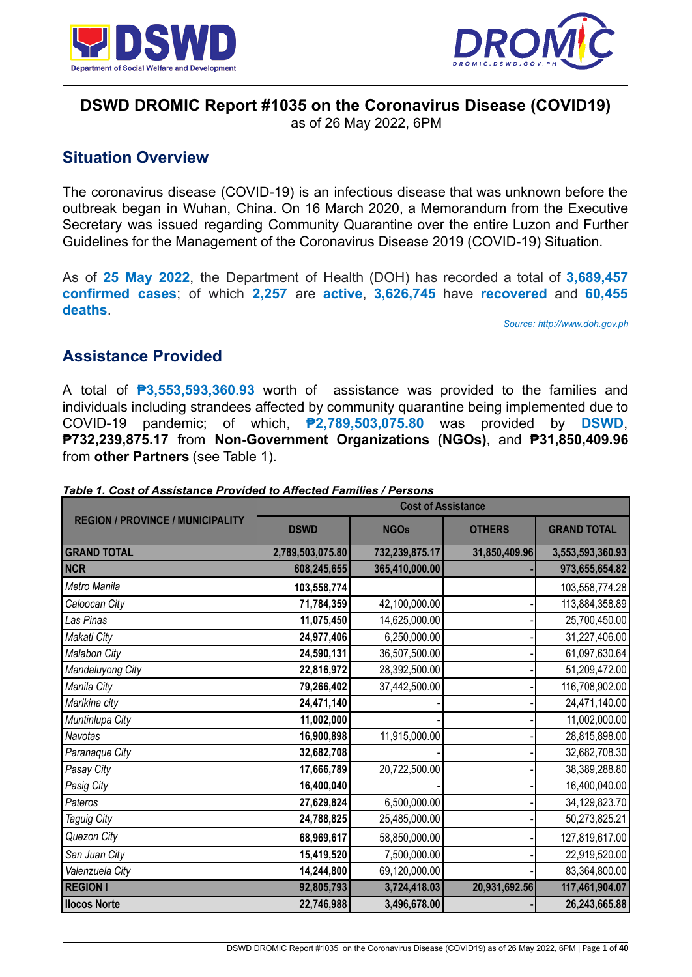



# **DSWD DROMIC Report #1035 on the Coronavirus Disease (COVID19)**

as of 26 May 2022, 6PM

# **Situation Overview**

The coronavirus disease (COVID-19) is an infectious disease that was unknown before the outbreak began in Wuhan, China. On 16 March 2020, a Memorandum from the Executive Secretary was issued regarding Community Quarantine over the entire Luzon and Further Guidelines for the Management of the Coronavirus Disease 2019 (COVID-19) Situation.

As of **25 May 2022**, the Department of Health (DOH) has recorded a total of **3,689,457 confirmed cases**; of which **2,257** are **active**, **3,626,745** have **recovered** and **60,455 deaths**.

*Source: http://www.doh.gov.ph*

# **Assistance Provided**

A total of **₱3,553,593,360.93** worth of assistance was provided to the families and individuals including strandees affected by community quarantine being implemented due to COVID-19 pandemic; of which, **₱2,789,503,075.80** was provided by **DSWD**, **₱732,239,875.17** from **Non-Government Organizations (NGOs)**, and **₱31,850,409.96** from **other Partners** (see Table 1).

|                                         | <b>Cost of Assistance</b> |                |               |                    |
|-----------------------------------------|---------------------------|----------------|---------------|--------------------|
| <b>REGION / PROVINCE / MUNICIPALITY</b> | <b>DSWD</b>               | <b>NGOs</b>    | <b>OTHERS</b> | <b>GRAND TOTAL</b> |
| <b>GRAND TOTAL</b>                      | 2,789,503,075.80          | 732,239,875.17 | 31,850,409.96 | 3,553,593,360.93   |
| <b>NCR</b>                              | 608,245,655               | 365,410,000.00 |               | 973,655,654.82     |
| Metro Manila                            | 103,558,774               |                |               | 103,558,774.28     |
| Caloocan City                           | 71,784,359                | 42,100,000.00  |               | 113,884,358.89     |
| Las Pinas                               | 11,075,450                | 14,625,000.00  |               | 25,700,450.00      |
| Makati City                             | 24,977,406                | 6,250,000.00   |               | 31,227,406.00      |
| Malabon City                            | 24,590,131                | 36,507,500.00  |               | 61,097,630.64      |
| Mandaluyong City                        | 22,816,972                | 28,392,500.00  |               | 51,209,472.00      |
| Manila City                             | 79,266,402                | 37,442,500.00  |               | 116,708,902.00     |
| Marikina city                           | 24,471,140                |                |               | 24,471,140.00      |
| Muntinlupa City                         | 11,002,000                |                |               | 11,002,000.00      |
| Navotas                                 | 16,900,898                | 11,915,000.00  |               | 28,815,898.00      |
| Paranaque City                          | 32,682,708                |                |               | 32,682,708.30      |
| Pasay City                              | 17,666,789                | 20,722,500.00  |               | 38,389,288.80      |
| Pasig City                              | 16,400,040                |                |               | 16,400,040.00      |
| Pateros                                 | 27,629,824                | 6,500,000.00   |               | 34,129,823.70      |
| <b>Taguig City</b>                      | 24,788,825                | 25,485,000.00  |               | 50,273,825.21      |
| Quezon City                             | 68,969,617                | 58,850,000.00  |               | 127,819,617.00     |
| San Juan City                           | 15,419,520                | 7,500,000.00   |               | 22,919,520.00      |
| Valenzuela City                         | 14,244,800                | 69,120,000.00  |               | 83,364,800.00      |
| <b>REGION I</b>                         | 92,805,793                | 3,724,418.03   | 20,931,692.56 | 117,461,904.07     |
| <b>Ilocos Norte</b>                     | 22,746,988                | 3,496,678.00   |               | 26,243,665.88      |

*Table 1. Cost of Assistance Provided to Affected Families / Persons*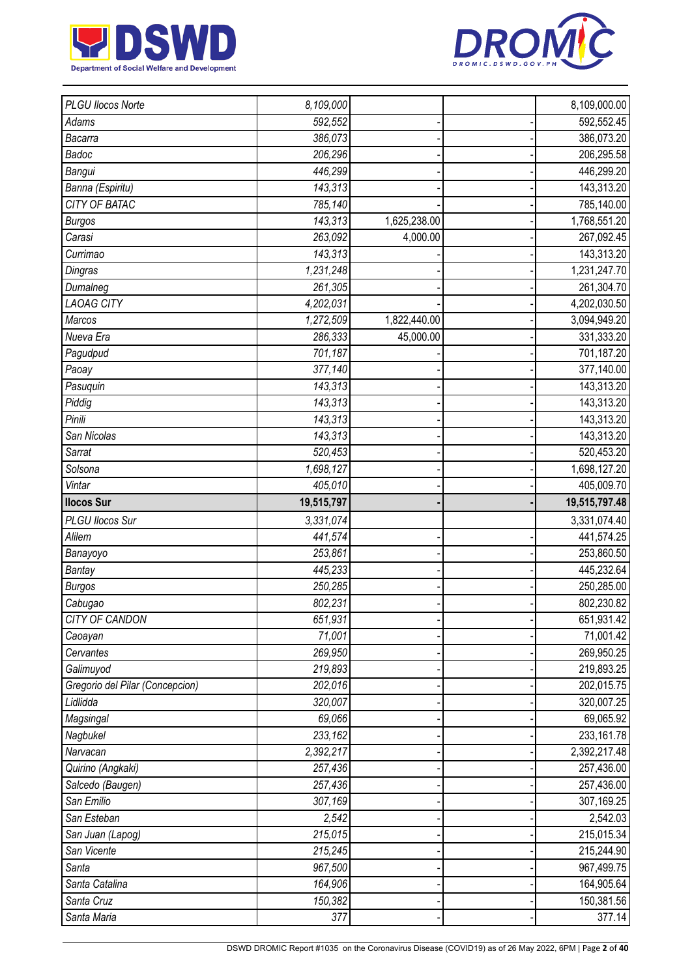



| PLGU Ilocos Norte               | 8,109,000              |              | 8,109,000.00         |
|---------------------------------|------------------------|--------------|----------------------|
| Adams                           | 592,552                |              | 592,552.45           |
| Bacarra                         | 386,073                |              | 386,073.20           |
| Badoc                           | 206,296                |              | 206,295.58           |
| Bangui                          | 446,299                |              | 446,299.20           |
| Banna (Espiritu)                | 143,313                |              | 143,313.20           |
| <b>CITY OF BATAC</b>            | 785,140                |              | 785,140.00           |
| <b>Burgos</b>                   | 143,313                | 1,625,238.00 | 1,768,551.20         |
| Carasi                          | 263,092                | 4,000.00     | 267,092.45           |
| Currimao                        | 143,313                |              | 143,313.20           |
| Dingras                         | $\overline{1,231,248}$ |              | 1,231,247.70         |
| Dumalneg                        | 261,305                |              | 261,304.70           |
| <b>LAOAG CITY</b>               | 4,202,031              |              | 4,202,030.50         |
| Marcos                          | 1,272,509              | 1,822,440.00 | 3,094,949.20         |
| Nueva Era                       | 286,333                | 45,000.00    | 331,333.20           |
| Pagudpud                        | 701,187                |              | 701,187.20           |
| Paoay                           | 377,140                |              | 377,140.00           |
| Pasuquin                        | 143,313                |              | 143,313.20           |
| Piddig                          | 143,313                |              | 143,313.20           |
| Pinili                          | 143,313                |              | 143,313.20           |
| San Nicolas                     | 143,313                |              | 143,313.20           |
| Sarrat                          | 520,453                |              | 520,453.20           |
| Solsona                         | 1,698,127              |              | 1,698,127.20         |
| Vintar                          | 405,010                |              | 405,009.70           |
| <b>Ilocos Sur</b>               | 19,515,797             |              | 19,515,797.48        |
|                                 |                        |              |                      |
| PLGU Ilocos Sur                 | 3,331,074              |              | 3,331,074.40         |
| Alilem                          | 441,574                |              | 441,574.25           |
| Banayoyo                        | 253,861                |              | 253,860.50           |
| <b>Bantay</b>                   | 445,233                |              | 445,232.64           |
| <b>Burgos</b>                   | 250,285                |              | 250,285.00           |
| Cabugao                         | 802,231                |              | 802,230.82           |
| <b>CITY OF CANDON</b>           | 651,931                |              | 651,931.42           |
| Caoayan                         | 71,001                 |              | 71,001.42            |
| Cervantes                       | 269,950                |              | 269,950.25           |
| Galimuyod                       | 219,893                |              | 219,893.25           |
| Gregorio del Pilar (Concepcion) | 202,016                |              | 202,015.75           |
| Lidlidda                        | 320,007                |              | 320,007.25           |
| Magsingal                       | 69,066                 |              | 69,065.92            |
| Nagbukel                        | 233,162                |              | 233,161.78           |
| Narvacan                        | 2,392,217              |              | 2,392,217.48         |
| Quirino (Angkaki)               | 257,436                |              | 257,436.00           |
| Salcedo (Baugen)                | 257,436                |              | 257,436.00           |
| San Emilio                      | 307,169                |              | 307,169.25           |
| San Esteban                     | 2,542                  |              | 2,542.03             |
| San Juan (Lapog)                | 215,015                |              | 215,015.34           |
| San Vicente                     | 215,245                |              | 215,244.90           |
| Santa                           | 967,500                |              | 967,499.75           |
| Santa Catalina                  | 164,906                |              | 164,905.64           |
| Santa Cruz<br>Santa Maria       | 150,382<br>377         |              | 150,381.56<br>377.14 |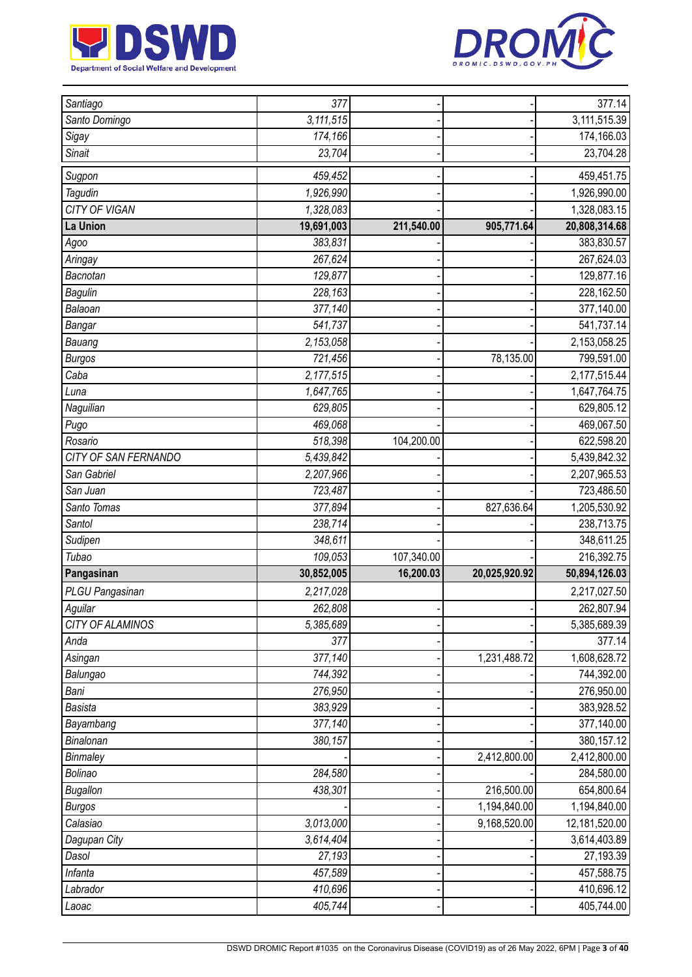



| Santiago             | 377                       |            |               | 377.14        |
|----------------------|---------------------------|------------|---------------|---------------|
| Santo Domingo        | $\overline{3}$ , 111, 515 |            |               | 3,111,515.39  |
| Sigay                | 174,166                   |            |               | 174,166.03    |
| <b>Sinait</b>        | 23,704                    |            |               | 23,704.28     |
| Sugpon               | 459,452                   |            |               | 459,451.75    |
| Tagudin              | 1,926,990                 |            |               | 1,926,990.00  |
| CITY OF VIGAN        | 1,328,083                 |            |               | 1,328,083.15  |
| La Union             | 19,691,003                | 211,540.00 | 905,771.64    | 20,808,314.68 |
| Agoo                 | 383,831                   |            |               | 383,830.57    |
| Aringay              | 267,624                   |            |               | 267,624.03    |
| Bacnotan             | 129,877                   |            |               | 129,877.16    |
| <b>Bagulin</b>       | 228,163                   |            |               | 228,162.50    |
| Balaoan              | 377,140                   |            |               | 377,140.00    |
| Bangar               | 541,737                   |            |               | 541,737.14    |
| Bauang               | 2,153,058                 |            |               | 2,153,058.25  |
| <b>Burgos</b>        | 721,456                   |            | 78,135.00     | 799,591.00    |
| Caba                 | 2,177,515                 |            |               | 2,177,515.44  |
| Luna                 | 1,647,765                 |            |               | 1,647,764.75  |
| Naguilian            | 629,805                   |            |               | 629,805.12    |
| Pugo                 | 469,068                   |            |               | 469,067.50    |
| Rosario              | 518,398                   | 104,200.00 |               | 622,598.20    |
| CITY OF SAN FERNANDO | 5,439,842                 |            |               | 5,439,842.32  |
| San Gabriel          | 2,207,966                 |            |               | 2,207,965.53  |
| San Juan             | 723,487                   |            |               | 723,486.50    |
| Santo Tomas          | 377,894                   |            | 827,636.64    | 1,205,530.92  |
| Santol               | 238,714                   |            |               | 238,713.75    |
| Sudipen              | 348,611                   |            |               | 348,611.25    |
| Tubao                | 109,053                   | 107,340.00 |               | 216,392.75    |
| Pangasinan           | 30,852,005                | 16,200.03  | 20,025,920.92 | 50,894,126.03 |
| PLGU Pangasinan      | 2,217,028                 |            |               | 2,217,027.50  |
| Aguilar              | 262,808                   |            |               | 262,807.94    |
| CITY OF ALAMINOS     | 5,385,689                 |            |               | 5,385,689.39  |
| Anda                 | 377                       |            |               | 377.14        |
| Asingan              | 377,140                   |            | 1,231,488.72  | 1,608,628.72  |
| Balungao             | 744,392                   |            |               | 744,392.00    |
| Bani                 | 276,950                   |            |               | 276,950.00    |
| <b>Basista</b>       | 383,929                   |            |               | 383,928.52    |
| Bayambang            | 377,140                   |            |               | 377,140.00    |
| Binalonan            | 380,157                   |            |               | 380,157.12    |
| Binmaley             |                           |            | 2,412,800.00  | 2,412,800.00  |
| Bolinao              | 284,580                   |            |               | 284,580.00    |
| <b>Bugallon</b>      | 438,301                   |            | 216,500.00    | 654,800.64    |
| <b>Burgos</b>        |                           |            | 1,194,840.00  | 1,194,840.00  |
| Calasiao             | 3,013,000                 |            | 9,168,520.00  | 12,181,520.00 |
| Dagupan City         | 3,614,404                 |            |               | 3,614,403.89  |
| Dasol                | 27,193                    |            |               | 27,193.39     |
| Infanta              | 457,589                   |            |               | 457,588.75    |
| Labrador             | 410,696                   |            |               | 410,696.12    |
| Laoac                | 405,744                   |            |               | 405,744.00    |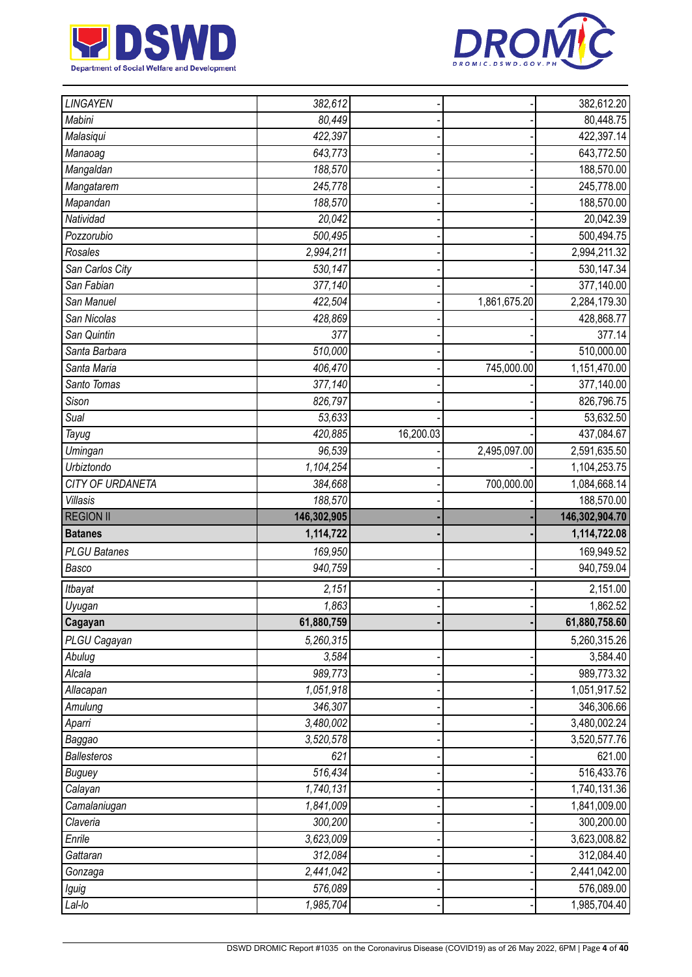



| LINGAYEN            | 382,612              |           |              | 382,612.20                 |
|---------------------|----------------------|-----------|--------------|----------------------------|
| Mabini              | 80,449               |           |              | 80,448.75                  |
| Malasiqui           | 422,397              |           |              | 422,397.14                 |
| Manaoag             | 643,773              |           |              | 643,772.50                 |
| Mangaldan           | 188,570              |           |              | 188,570.00                 |
| Mangatarem          | 245,778              |           |              | 245,778.00                 |
| Mapandan            | 188,570              |           |              | 188,570.00                 |
| Natividad           | 20,042               |           |              | 20,042.39                  |
| Pozzorubio          | 500,495              |           |              | 500,494.75                 |
| Rosales             | 2,994,211            |           |              | 2,994,211.32               |
| San Carlos City     | 530,147              |           |              | 530,147.34                 |
| San Fabian          | 377,140              |           |              | 377,140.00                 |
| San Manuel          | 422,504              |           | 1,861,675.20 | 2,284,179.30               |
| San Nicolas         | 428,869              |           |              | 428,868.77                 |
| San Quintin         | 377                  |           |              | 377.14                     |
| Santa Barbara       | 510,000              |           |              | 510,000.00                 |
| Santa Maria         | 406,470              |           | 745,000.00   | 1,151,470.00               |
| Santo Tomas         | 377,140              |           |              | 377,140.00                 |
| Sison               | 826,797              |           |              | 826,796.75                 |
| Sual                | 53,633               |           |              | 53,632.50                  |
| Tayug               | 420,885              | 16,200.03 |              | 437,084.67                 |
| Umingan             | 96,539               |           | 2,495,097.00 | 2,591,635.50               |
| <b>Urbiztondo</b>   | 1,104,254            |           |              | 1,104,253.75               |
| CITY OF URDANETA    | 384,668              |           | 700,000.00   | 1,084,668.14               |
| Villasis            | 188,570              |           |              | 188,570.00                 |
|                     |                      |           |              |                            |
| <b>REGION II</b>    | 146,302,905          |           |              | 146,302,904.70             |
| <b>Batanes</b>      | 1,114,722            |           |              | 1,114,722.08               |
| <b>PLGU Batanes</b> | 169,950              |           |              | 169,949.52                 |
| Basco               | 940,759              |           |              | 940,759.04                 |
| Itbayat             | 2,151                |           |              | 2,151.00                   |
| Uyugan              | 1,863                |           |              | 1,862.52                   |
| Cagayan             | 61,880,759           |           |              | 61,880,758.60              |
| PLGU Cagayan        | 5,260,315            |           |              | 5,260,315.26               |
| Abulug              | 3,584                |           |              | 3,584.40                   |
| Alcala              | 989,773              |           |              | 989,773.32                 |
| Allacapan           | 1,051,918            |           |              | 1,051,917.52               |
| Amulung             | 346,307              |           |              | 346,306.66                 |
| Aparri              | 3,480,002            |           |              | 3,480,002.24               |
| Baggao              | 3,520,578            |           |              | 3,520,577.76               |
| <b>Ballesteros</b>  | 621                  |           |              | 621.00                     |
| <b>Buguey</b>       | 516,434              |           |              | 516,433.76                 |
| Calayan             | 1,740,131            |           |              | 1,740,131.36               |
| Camalaniugan        | 1,841,009            |           |              | 1,841,009.00               |
| Claveria            | 300,200              |           |              | 300,200.00                 |
| Enrile              | 3,623,009            |           |              | 3,623,008.82               |
| Gattaran            | 312,084              |           |              | 312,084.40                 |
| Gonzaga             | 2,441,042            |           |              | 2,441,042.00               |
| Iguig<br>Lal-lo     | 576,089<br>1,985,704 |           |              | 576,089.00<br>1,985,704.40 |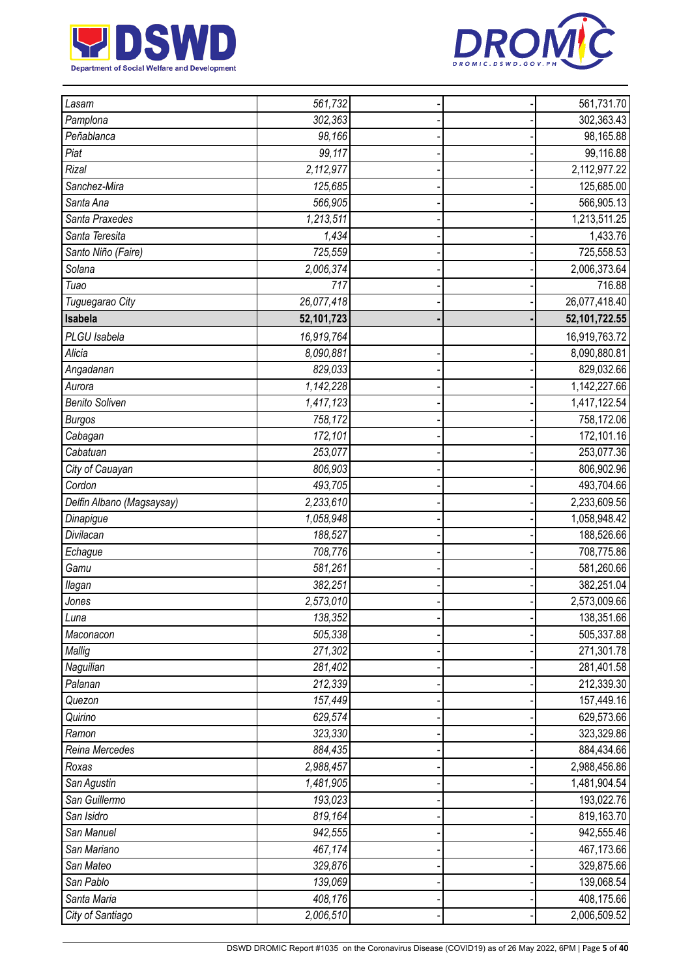



| Lasam                     | 561,732    |  | 561,731.70    |
|---------------------------|------------|--|---------------|
| Pamplona                  | 302,363    |  | 302,363.43    |
| Peñablanca                | 98,166     |  | 98,165.88     |
| Piat                      | 99,117     |  | 99,116.88     |
| <b>Rizal</b>              | 2,112,977  |  | 2,112,977.22  |
| Sanchez-Mira              | 125,685    |  | 125,685.00    |
| Santa Ana                 | 566,905    |  | 566,905.13    |
| Santa Praxedes            | 1,213,511  |  | 1,213,511.25  |
| Santa Teresita            | 1,434      |  | 1,433.76      |
| Santo Niño (Faire)        | 725,559    |  | 725,558.53    |
| Solana                    | 2,006,374  |  | 2,006,373.64  |
| Tuao                      | 717        |  | 716.88        |
| Tuguegarao City           | 26,077,418 |  | 26,077,418.40 |
| Isabela                   | 52,101,723 |  | 52,101,722.55 |
| PLGU Isabela              | 16,919,764 |  | 16,919,763.72 |
| Alicia                    | 8,090,881  |  | 8,090,880.81  |
| Angadanan                 | 829,033    |  | 829,032.66    |
| Aurora                    | 1,142,228  |  | 1,142,227.66  |
| <b>Benito Soliven</b>     | 1,417,123  |  | 1,417,122.54  |
| <b>Burgos</b>             | 758,172    |  | 758,172.06    |
| Cabagan                   | 172,101    |  | 172,101.16    |
| Cabatuan                  | 253,077    |  | 253,077.36    |
| City of Cauayan           | 806,903    |  | 806,902.96    |
| Cordon                    | 493,705    |  | 493,704.66    |
| Delfin Albano (Magsaysay) | 2,233,610  |  | 2,233,609.56  |
| Dinapigue                 | 1,058,948  |  | 1,058,948.42  |
| Divilacan                 | 188,527    |  | 188,526.66    |
| Echague                   | 708,776    |  | 708,775.86    |
| Gamu                      | 581,261    |  | 581,260.66    |
| llagan                    | 382,251    |  | 382,251.04    |
| Jones                     | 2,573,010  |  | 2,573,009.66  |
| Luna                      | 138,352    |  | 138,351.66    |
| Maconacon                 | 505,338    |  | 505,337.88    |
| Mallig                    | 271,302    |  | 271,301.78    |
| Naguilian                 | 281,402    |  | 281,401.58    |
| Palanan                   | 212,339    |  | 212,339.30    |
| Quezon                    | 157,449    |  | 157,449.16    |
| Quirino                   | 629,574    |  | 629,573.66    |
| Ramon                     | 323,330    |  | 323,329.86    |
| Reina Mercedes            | 884,435    |  | 884,434.66    |
| Roxas                     | 2,988,457  |  | 2,988,456.86  |
| San Agustin               | 1,481,905  |  | 1,481,904.54  |
| San Guillermo             | 193,023    |  | 193,022.76    |
| San Isidro                | 819,164    |  | 819,163.70    |
| San Manuel                | 942,555    |  | 942,555.46    |
| San Mariano               | 467,174    |  | 467,173.66    |
| San Mateo                 | 329,876    |  | 329,875.66    |
| San Pablo                 | 139,069    |  | 139,068.54    |
| Santa Maria               | 408,176    |  | 408,175.66    |
| City of Santiago          | 2,006,510  |  | 2,006,509.52  |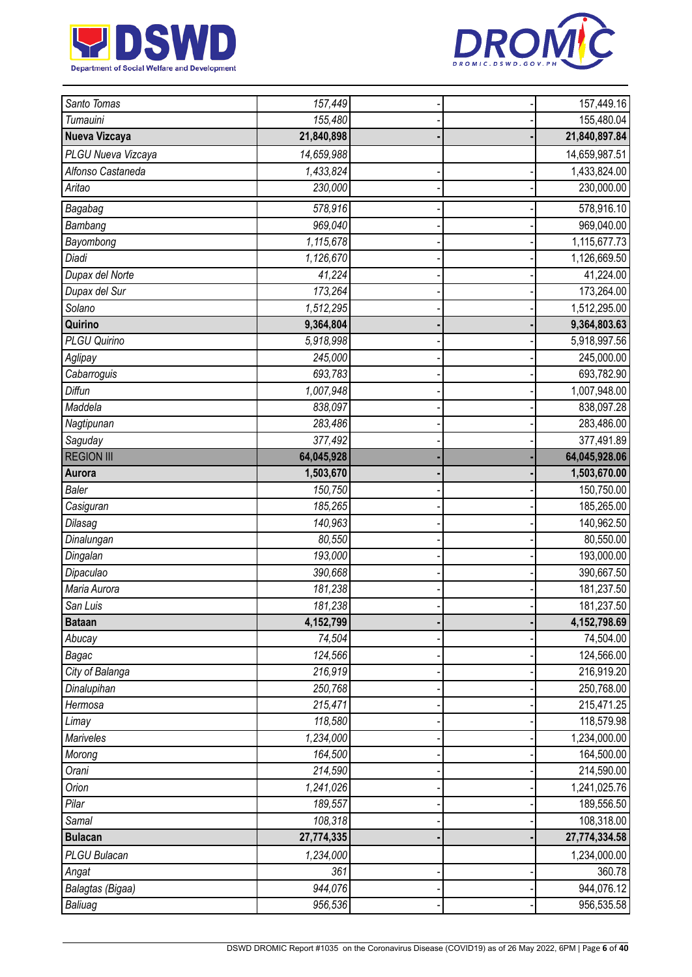



| Santo Tomas         | $\overline{157,}449$ |  | 157,449.16     |
|---------------------|----------------------|--|----------------|
| Tumauini            | 155,480              |  | 155,480.04     |
| Nueva Vizcaya       | 21,840,898           |  | 21,840,897.84  |
| PLGU Nueva Vizcaya  | 14,659,988           |  | 14,659,987.51  |
| Alfonso Castaneda   | 1,433,824            |  | 1,433,824.00   |
| Aritao              | 230,000              |  | 230,000.00     |
| Bagabag             | 578,916              |  | 578,916.10     |
| Bambang             | 969,040              |  | 969,040.00     |
| Bayombong           | 1,115,678            |  | 1,115,677.73   |
| Diadi               | 1,126,670            |  | 1,126,669.50   |
| Dupax del Norte     | 41,224               |  | 41,224.00      |
| Dupax del Sur       | 173,264              |  | 173,264.00     |
| Solano              | 1,512,295            |  | 1,512,295.00   |
| Quirino             | 9,364,804            |  | 9,364,803.63   |
| <b>PLGU Quirino</b> | 5,918,998            |  | 5,918,997.56   |
| Aglipay             | 245,000              |  | 245,000.00     |
| Cabarroguis         | 693,783              |  | 693,782.90     |
| Diffun              | 1,007,948            |  | 1,007,948.00   |
| Maddela             | 838,097              |  | 838,097.28     |
| Nagtipunan          | 283,486              |  | 283,486.00     |
| Saguday             | 377,492              |  | 377,491.89     |
| <b>REGION III</b>   | 64,045,928           |  | 64,045,928.06  |
| Aurora              | 1,503,670            |  | 1,503,670.00   |
| <b>Baler</b>        | 150,750              |  | 150,750.00     |
| Casiguran           | 185,265              |  | 185,265.00     |
| Dilasag             | 140,963              |  | 140,962.50     |
| Dinalungan          | 80,550               |  | 80,550.00      |
| Dingalan            | 193,000              |  | 193,000.00     |
| Dipaculao           | 390,668              |  | 390,667.50     |
| Maria Aurora        | 181,238              |  | 181,237.50     |
| San Luis            | 181,238              |  | 181,237.50     |
| <b>Bataan</b>       | 4,152,799            |  | 4, 152, 798.69 |
| Abucay              | 74,504               |  | 74,504.00      |
| Bagac               | 124,566              |  | 124,566.00     |
| City of Balanga     | 216,919              |  | 216,919.20     |
| Dinalupihan         | 250,768              |  | 250,768.00     |
| Hermosa             | 215,471              |  | 215,471.25     |
| Limay               | 118,580              |  | 118,579.98     |
| Mariveles           | 1,234,000            |  | 1,234,000.00   |
| Morong              | 164,500              |  | 164,500.00     |
| Orani               | 214,590              |  | 214,590.00     |
| Orion               | 1,241,026            |  | 1,241,025.76   |
| Pilar               | 189,557              |  | 189,556.50     |
| Samal               | $\overline{108,}318$ |  | 108,318.00     |
| <b>Bulacan</b>      | 27,774,335           |  | 27,774,334.58  |
| PLGU Bulacan        | 1,234,000            |  | 1,234,000.00   |
| Angat               | 361                  |  | 360.78         |
| Balagtas (Bigaa)    | 944,076              |  | 944,076.12     |
| Baliuag             | 956,536              |  | 956,535.58     |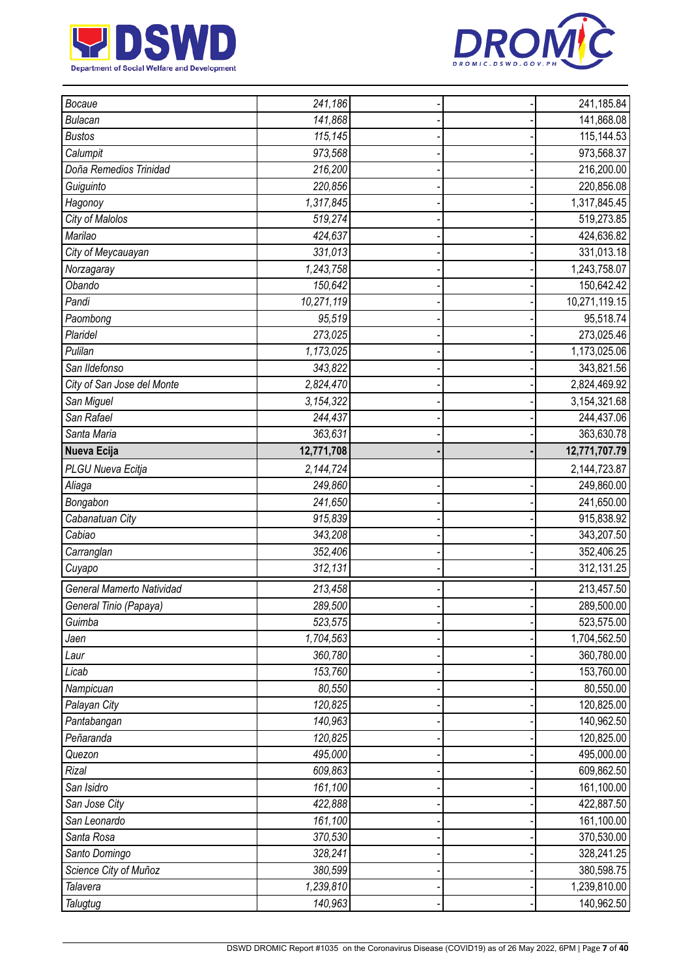



| Bocaue                     | 241,186    |  | 241,185.84     |
|----------------------------|------------|--|----------------|
| <b>Bulacan</b>             | 141,868    |  | 141,868.08     |
| <b>Bustos</b>              | 115,145    |  | 115,144.53     |
| Calumpit                   | 973,568    |  | 973,568.37     |
| Doña Remedios Trinidad     | 216,200    |  | 216,200.00     |
| Guiguinto                  | 220,856    |  | 220,856.08     |
| Hagonoy                    | 1,317,845  |  | 1,317,845.45   |
| City of Malolos            | 519,274    |  | 519,273.85     |
| Marilao                    | 424,637    |  | 424,636.82     |
| City of Meycauayan         | 331,013    |  | 331,013.18     |
| Norzagaray                 | 1,243,758  |  | 1,243,758.07   |
| Obando                     | 150,642    |  | 150,642.42     |
| Pandi                      | 10,271,119 |  | 10,271,119.15  |
| Paombong                   | 95,519     |  | 95,518.74      |
| Plaridel                   | 273,025    |  | 273,025.46     |
| Pulilan                    | 1,173,025  |  | 1,173,025.06   |
| San Ildefonso              | 343,822    |  | 343,821.56     |
| City of San Jose del Monte | 2,824,470  |  | 2,824,469.92   |
| San Miguel                 | 3,154,322  |  | 3, 154, 321.68 |
| San Rafael                 | 244,437    |  | 244,437.06     |
| Santa Maria                | 363,631    |  | 363,630.78     |
| Nueva Ecija                | 12,771,708 |  | 12,771,707.79  |
| PLGU Nueva Ecitja          | 2,144,724  |  | 2,144,723.87   |
| Aliaga                     | 249,860    |  | 249,860.00     |
| Bongabon                   | 241,650    |  | 241,650.00     |
| Cabanatuan City            | 915,839    |  | 915,838.92     |
| Cabiao                     | 343,208    |  | 343,207.50     |
| Carranglan                 | 352,406    |  | 352,406.25     |
| Cuyapo                     | 312,131    |  | 312,131.25     |
| General Mamerto Natividad  | 213,458    |  | 213,457.50     |
| General Tinio (Papaya)     | 289,500    |  | 289,500.00     |
| Guimba                     | 523,575    |  | 523,575.00     |
| Jaen                       | 1,704,563  |  | 1,704,562.50   |
| Laur                       | 360,780    |  | 360,780.00     |
| Licab                      | 153,760    |  | 153,760.00     |
| Nampicuan                  | 80,550     |  | 80,550.00      |
| Palayan City               | 120,825    |  | 120,825.00     |
| Pantabangan                | 140,963    |  | 140,962.50     |
| Peñaranda                  | 120,825    |  | 120,825.00     |
| Quezon                     | 495,000    |  | 495,000.00     |
| Rizal                      | 609,863    |  | 609,862.50     |
| San Isidro                 | 161,100    |  | 161,100.00     |
| San Jose City              | 422,888    |  | 422,887.50     |
| San Leonardo               | 161,100    |  | 161,100.00     |
| Santa Rosa                 | 370,530    |  | 370,530.00     |
| Santo Domingo              | 328,241    |  | 328,241.25     |
| Science City of Muñoz      | 380,599    |  | 380,598.75     |
| Talavera                   | 1,239,810  |  | 1,239,810.00   |
| Talugtug                   | 140,963    |  | 140,962.50     |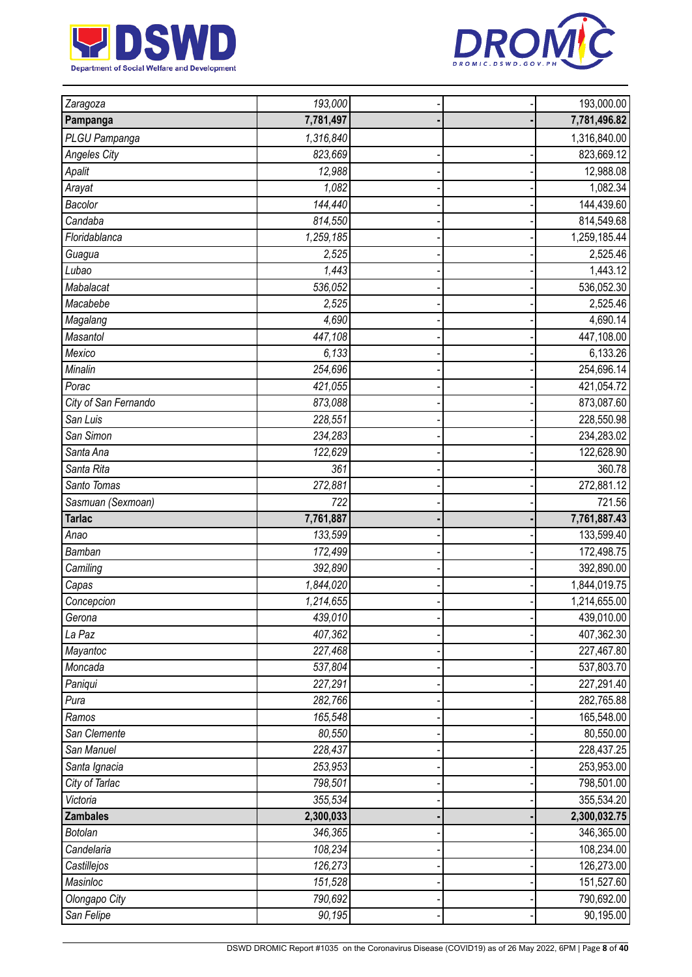



| Zaragoza                    | 193,000           |  | 193,000.00              |
|-----------------------------|-------------------|--|-------------------------|
| Pampanga                    | 7,781,497         |  | 7,781,496.82            |
| PLGU Pampanga               | 1,316,840         |  | 1,316,840.00            |
| <b>Angeles City</b>         | 823,669           |  | 823,669.12              |
| Apalit                      | 12,988            |  | 12,988.08               |
| Arayat                      | 1,082             |  | 1,082.34                |
| Bacolor                     | 144,440           |  | 144,439.60              |
| Candaba                     | 814,550           |  | 814,549.68              |
| Floridablanca               | 1,259,185         |  | 1,259,185.44            |
| Guagua                      | 2,525             |  | 2,525.46                |
| Lubao                       | 1,443             |  | 1,443.12                |
| Mabalacat                   | 536,052           |  | 536,052.30              |
| Macabebe                    | 2,525             |  | 2,525.46                |
| Magalang                    | 4,690             |  | 4,690.14                |
| Masantol                    | 447,108           |  | 447,108.00              |
| Mexico                      | 6,133             |  | 6,133.26                |
| Minalin                     | 254,696           |  | 254,696.14              |
| Porac                       | 421,055           |  | 421,054.72              |
| City of San Fernando        | 873,088           |  | 873,087.60              |
| San Luis                    | 228,551           |  | 228,550.98              |
| San Simon                   | 234,283           |  | 234,283.02              |
| Santa Ana                   | 122,629           |  | 122,628.90              |
| Santa Rita                  | 361               |  | 360.78                  |
| Santo Tomas                 | 272,881           |  | 272,881.12              |
| Sasmuan (Sexmoan)           | 722               |  | 721.56                  |
|                             |                   |  |                         |
| <b>Tarlac</b>               | 7,761,887         |  | 7,761,887.43            |
| Anao                        | 133,599           |  | 133,599.40              |
| Bamban                      | 172,499           |  | 172,498.75              |
| Camiling                    | 392,890           |  | 392,890.00              |
| Capas                       | 1,844,020         |  | 1,844,019.75            |
| Concepcion                  | 1,214,655         |  | 1,214,655.00            |
| Gerona                      | 439,010           |  | 439,010.00              |
| La Paz                      | 407,362           |  | 407,362.30              |
| Mayantoc                    | 227,468           |  | 227,467.80              |
| Moncada                     | 537,804           |  | 537,803.70              |
| Paniqui                     | 227,291           |  | 227,291.40              |
| Pura                        | 282,766           |  | 282,765.88              |
| Ramos                       | 165,548           |  | 165,548.00              |
| San Clemente                | 80,550            |  | 80,550.00               |
| San Manuel                  | 228,437           |  | 228,437.25              |
| Santa Ignacia               | 253,953           |  | 253,953.00              |
| City of Tarlac              | 798,501           |  | 798,501.00              |
| Victoria                    | 355,534           |  | 355,534.20              |
| Zambales                    | 2,300,033         |  | 2,300,032.75            |
| <b>Botolan</b>              | 346,365           |  | 346,365.00              |
| Candelaria                  | 108,234           |  | 108,234.00              |
| Castillejos                 | 126,273           |  | 126,273.00              |
| Masinloc                    | 151,528           |  | 151,527.60              |
| Olongapo City<br>San Felipe | 790,692<br>90,195 |  | 790,692.00<br>90,195.00 |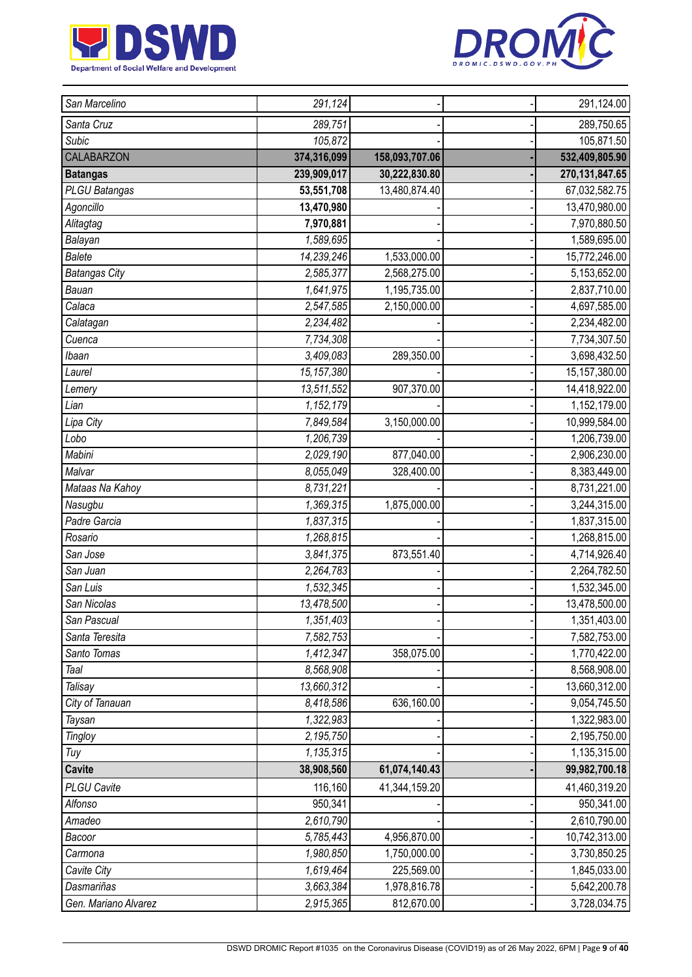



| San Marcelino        | 291,124      |                | 291,124.00       |
|----------------------|--------------|----------------|------------------|
| Santa Cruz           | 289,751      |                | 289,750.65       |
| Subic                | 105,872      |                | 105,871.50       |
| CALABARZON           | 374,316,099  | 158,093,707.06 | 532,409,805.90   |
| <b>Batangas</b>      | 239,909,017  | 30,222,830.80  | 270, 131, 847.65 |
| <b>PLGU</b> Batangas | 53,551,708   | 13,480,874.40  | 67,032,582.75    |
| Agoncillo            | 13,470,980   |                | 13,470,980.00    |
| Alitagtag            | 7,970,881    |                | 7,970,880.50     |
| Balayan              | 1,589,695    |                | 1,589,695.00     |
| <b>Balete</b>        | 14,239,246   | 1,533,000.00   | 15,772,246.00    |
| <b>Batangas City</b> | 2,585,377    | 2,568,275.00   | 5,153,652.00     |
| Bauan                | 1,641,975    | 1,195,735.00   | 2,837,710.00     |
| Calaca               | 2,547,585    | 2,150,000.00   | 4,697,585.00     |
| Calatagan            | 2,234,482    |                | 2,234,482.00     |
| Cuenca               | 7,734,308    |                | 7,734,307.50     |
| Ibaan                | 3,409,083    | 289,350.00     | 3,698,432.50     |
| Laurel               | 15, 157, 380 |                | 15, 157, 380.00  |
| Lemery               | 13,511,552   | 907,370.00     | 14,418,922.00    |
| Lian                 | 1,152,179    |                | 1,152,179.00     |
| Lipa City            | 7,849,584    | 3,150,000.00   | 10,999,584.00    |
| Lobo                 | 1,206,739    |                | 1,206,739.00     |
| Mabini               | 2,029,190    | 877,040.00     | 2,906,230.00     |
| Malvar               | 8,055,049    | 328,400.00     | 8,383,449.00     |
| Mataas Na Kahoy      | 8,731,221    |                | 8,731,221.00     |
| Nasugbu              | 1,369,315    | 1,875,000.00   | 3,244,315.00     |
| Padre Garcia         | 1,837,315    |                | 1,837,315.00     |
| Rosario              | 1,268,815    |                | 1,268,815.00     |
| San Jose             | 3,841,375    | 873,551.40     | 4,714,926.40     |
| San Juan             | 2,264,783    |                | 2,264,782.50     |
| San Luis             | 1,532,345    |                | 1,532,345.00     |
| San Nicolas          | 13,478,500   |                | 13,478,500.00    |
| San Pascual          | 1,351,403    |                | 1,351,403.00     |
| Santa Teresita       | 7,582,753    |                | 7,582,753.00     |
| Santo Tomas          | 1,412,347    | 358,075.00     | 1,770,422.00     |
| Taal                 | 8,568,908    |                | 8,568,908.00     |
| Talisay              | 13,660,312   |                | 13,660,312.00    |
| City of Tanauan      | 8,418,586    | 636,160.00     | 9,054,745.50     |
| Taysan               | 1,322,983    |                | 1,322,983.00     |
| <b>Tingloy</b>       | 2,195,750    |                | 2,195,750.00     |
| Tuy                  | 1,135,315    |                | 1,135,315.00     |
| <b>Cavite</b>        | 38,908,560   | 61,074,140.43  | 99,982,700.18    |
| PLGU Cavite          | 116,160      | 41,344,159.20  | 41,460,319.20    |
| Alfonso              | 950,341      |                | 950,341.00       |
| Amadeo               | 2,610,790    |                | 2,610,790.00     |
| Bacoor               | 5,785,443    | 4,956,870.00   | 10,742,313.00    |
| Carmona              | 1,980,850    | 1,750,000.00   | 3,730,850.25     |
| Cavite City          | 1,619,464    | 225,569.00     | 1,845,033.00     |
| Dasmariñas           | 3,663,384    | 1,978,816.78   | 5,642,200.78     |
| Gen. Mariano Alvarez | 2,915,365    | 812,670.00     | 3,728,034.75     |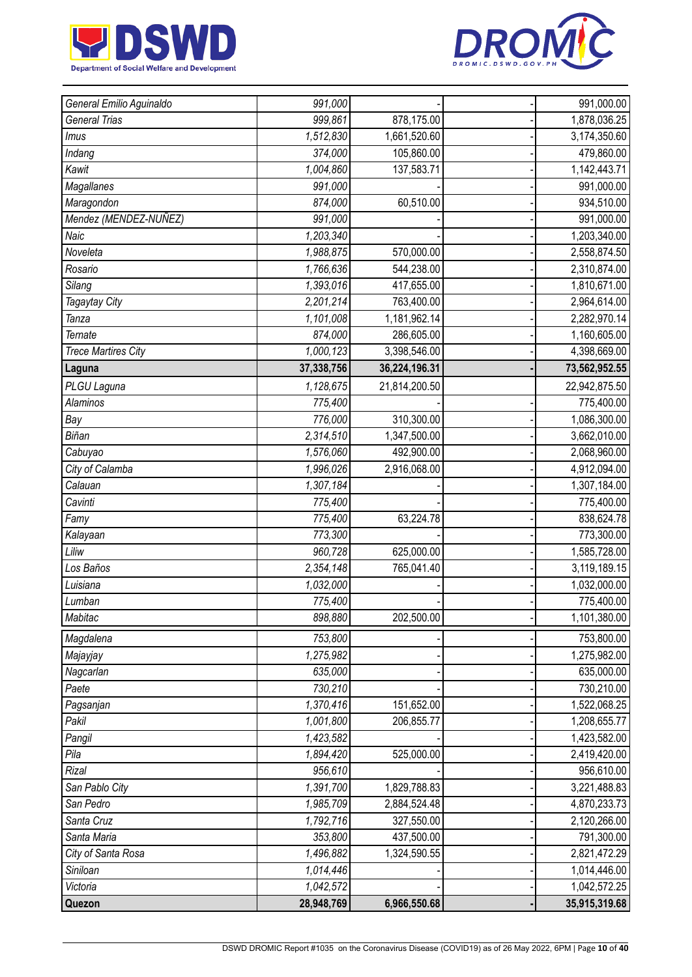



| General Emilio Aguinaldo   | 991,000    |               | 991,000.00    |
|----------------------------|------------|---------------|---------------|
| General Trias              | 999,861    | 878,175.00    | 1,878,036.25  |
| Imus                       | 1,512,830  | 1,661,520.60  | 3,174,350.60  |
| Indang                     | 374,000    | 105,860.00    | 479,860.00    |
| Kawit                      | 1,004,860  | 137,583.71    | 1,142,443.71  |
| Magallanes                 | 991,000    |               | 991,000.00    |
| Maragondon                 | 874,000    | 60,510.00     | 934,510.00    |
| Mendez (MENDEZ-NUÑEZ)      | 991,000    |               | 991,000.00    |
| Naic                       | 1,203,340  |               | 1,203,340.00  |
| Noveleta                   | 1,988,875  | 570,000.00    | 2,558,874.50  |
| Rosario                    | 1,766,636  | 544,238.00    | 2,310,874.00  |
| Silang                     | 1,393,016  | 417,655.00    | 1,810,671.00  |
| Tagaytay City              | 2,201,214  | 763,400.00    | 2,964,614.00  |
| Tanza                      | 1,101,008  | 1,181,962.14  | 2,282,970.14  |
| <b>Ternate</b>             | 874,000    | 286,605.00    | 1,160,605.00  |
| <b>Trece Martires City</b> | 1,000,123  | 3,398,546.00  | 4,398,669.00  |
| Laguna                     | 37,338,756 | 36,224,196.31 | 73,562,952.55 |
| PLGU Laguna                | 1,128,675  | 21,814,200.50 | 22,942,875.50 |
| <b>Alaminos</b>            | 775,400    |               | 775,400.00    |
| Bay                        | 776,000    | 310,300.00    | 1,086,300.00  |
| Biñan                      | 2,314,510  | 1,347,500.00  | 3,662,010.00  |
| Cabuyao                    | 1,576,060  | 492,900.00    | 2,068,960.00  |
| City of Calamba            | 1,996,026  | 2,916,068.00  | 4,912,094.00  |
| Calauan                    | 1,307,184  |               | 1,307,184.00  |
| Cavinti                    | 775,400    |               | 775,400.00    |
| Famy                       | 775,400    | 63,224.78     | 838,624.78    |
| Kalayaan                   | 773,300    |               | 773,300.00    |
| Liliw                      | 960,728    | 625,000.00    | 1,585,728.00  |
| Los Baños                  | 2,354,148  | 765,041.40    | 3,119,189.15  |
| Luisiana                   | 1,032,000  |               | 1,032,000.00  |
| Lumban                     | 775,400    |               | 775,400.00    |
| Mabitac                    | 898,880    | 202,500.00    | 1,101,380.00  |
| Magdalena                  | 753,800    |               | 753,800.00    |
| Majayjay                   | 1,275,982  |               | 1,275,982.00  |
| Nagcarlan                  | 635,000    |               | 635,000.00    |
| Paete                      | 730,210    |               | 730,210.00    |
| Pagsanjan                  | 1,370,416  | 151,652.00    | 1,522,068.25  |
| Pakil                      | 1,001,800  | 206,855.77    | 1,208,655.77  |
| Pangil                     | 1,423,582  |               | 1,423,582.00  |
| Pila                       | 1,894,420  | 525,000.00    | 2,419,420.00  |
| Rizal                      | 956,610    |               | 956,610.00    |
| San Pablo City             | 1,391,700  | 1,829,788.83  | 3,221,488.83  |
| San Pedro                  | 1,985,709  | 2,884,524.48  | 4,870,233.73  |
| Santa Cruz                 | 1,792,716  | 327,550.00    | 2,120,266.00  |
| Santa Maria                | 353,800    | 437,500.00    | 791,300.00    |
| City of Santa Rosa         | 1,496,882  | 1,324,590.55  | 2,821,472.29  |
| Siniloan                   | 1,014,446  |               | 1,014,446.00  |
| Victoria                   | 1,042,572  |               | 1,042,572.25  |
| Quezon                     | 28,948,769 | 6,966,550.68  | 35,915,319.68 |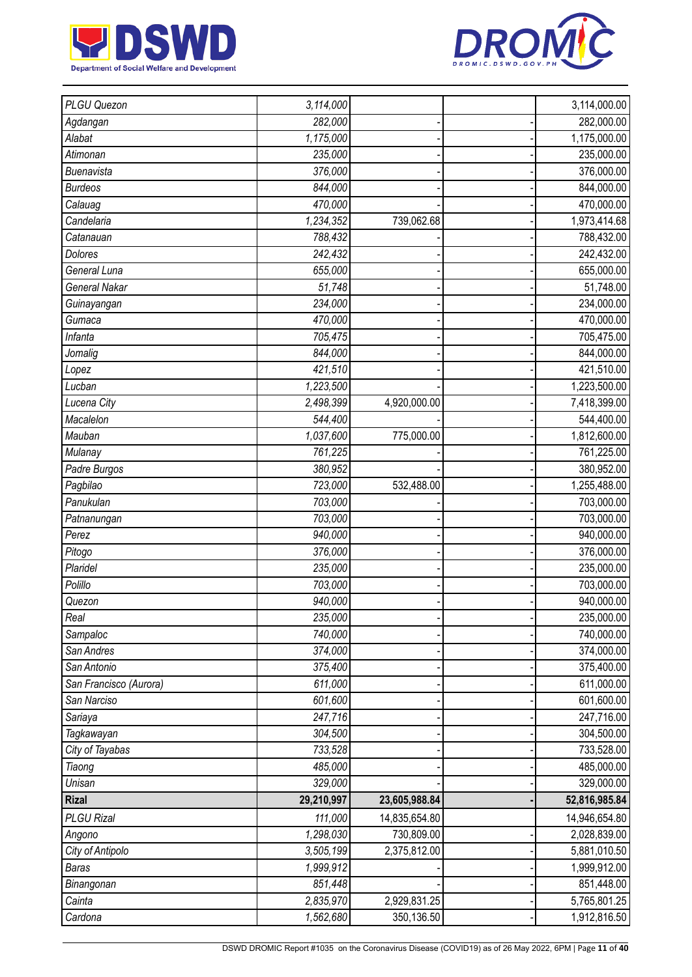



| PLGU Quezon            | 3,114,000  |               | 3,114,000.00  |
|------------------------|------------|---------------|---------------|
| Agdangan               | 282,000    |               | 282,000.00    |
| Alabat                 | 1,175,000  |               | 1,175,000.00  |
| Atimonan               | 235,000    |               | 235,000.00    |
| <b>Buenavista</b>      | 376,000    |               | 376,000.00    |
| <b>Burdeos</b>         | 844,000    |               | 844,000.00    |
| Calauag                | 470,000    |               | 470,000.00    |
| Candelaria             | 1,234,352  | 739,062.68    | 1,973,414.68  |
| Catanauan              | 788,432    |               | 788,432.00    |
| <b>Dolores</b>         | 242,432    |               | 242,432.00    |
| General Luna           | 655,000    |               | 655,000.00    |
| <b>General Nakar</b>   | 51,748     |               | 51,748.00     |
| Guinayangan            | 234,000    |               | 234,000.00    |
| Gumaca                 | 470,000    |               | 470,000.00    |
| Infanta                | 705,475    |               | 705,475.00    |
| Jomalig                | 844,000    |               | 844,000.00    |
| Lopez                  | 421,510    |               | 421,510.00    |
| Lucban                 | 1,223,500  |               | 1,223,500.00  |
| Lucena City            | 2,498,399  | 4,920,000.00  | 7,418,399.00  |
| Macalelon              | 544,400    |               | 544,400.00    |
| Mauban                 | 1,037,600  | 775,000.00    | 1,812,600.00  |
| Mulanay                | 761,225    |               | 761,225.00    |
| Padre Burgos           | 380,952    |               | 380,952.00    |
| Pagbilao               | 723,000    | 532,488.00    | 1,255,488.00  |
| Panukulan              | 703,000    |               | 703,000.00    |
| Patnanungan            | 703,000    |               | 703,000.00    |
| Perez                  | 940,000    |               | 940,000.00    |
| Pitogo                 | 376,000    |               | 376,000.00    |
| Plaridel               | 235,000    |               | 235,000.00    |
| Polillo                | 703,000    |               | 703,000.00    |
| Quezon                 | 940,000    |               | 940,000.00    |
| Real                   | 235,000    |               | 235,000.00    |
| Sampaloc               | 740,000    |               | 740,000.00    |
| San Andres             | 374,000    |               | 374,000.00    |
| San Antonio            | 375,400    |               | 375,400.00    |
| San Francisco (Aurora) | 611,000    |               | 611,000.00    |
| San Narciso            | 601,600    |               | 601,600.00    |
| Sariaya                | 247,716    |               | 247,716.00    |
| Tagkawayan             | 304,500    |               | 304,500.00    |
| City of Tayabas        | 733,528    |               | 733,528.00    |
| Tiaong                 | 485,000    |               | 485,000.00    |
| Unisan                 | 329,000    |               | 329,000.00    |
| <b>Rizal</b>           | 29,210,997 | 23,605,988.84 | 52,816,985.84 |
| <b>PLGU Rizal</b>      | 111,000    | 14,835,654.80 | 14,946,654.80 |
| Angono                 | 1,298,030  | 730,809.00    | 2,028,839.00  |
| City of Antipolo       | 3,505,199  | 2,375,812.00  | 5,881,010.50  |
| <b>Baras</b>           | 1,999,912  |               | 1,999,912.00  |
| Binangonan             | 851,448    |               | 851,448.00    |
| Cainta                 | 2,835,970  | 2,929,831.25  | 5,765,801.25  |
| Cardona                | 1,562,680  | 350,136.50    | 1,912,816.50  |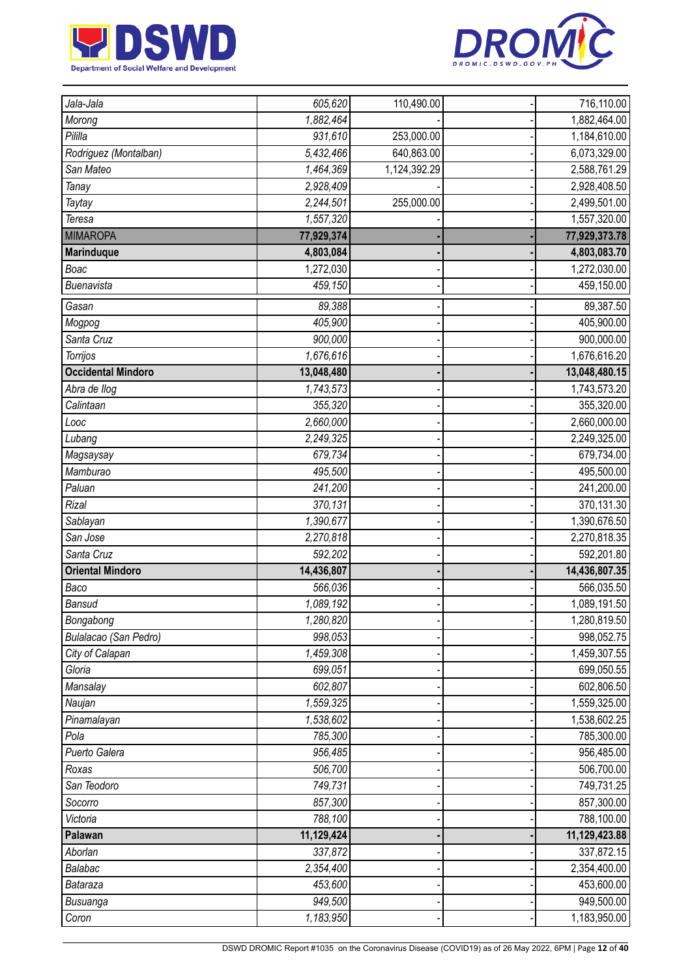



| Jala-Jala                 | 605,620                | 110,490.00   | 716,110.00                 |
|---------------------------|------------------------|--------------|----------------------------|
| Morong                    | 1,882,464              |              | 1,882,464.00               |
| Pililla                   | 931,610                | 253,000.00   | 1,184,610.00               |
| Rodriguez (Montalban)     | 5,432,466              | 640,863.00   | 6,073,329.00               |
| San Mateo                 | 1,464,369              | 1,124,392.29 | 2,588,761.29               |
| Tanay                     | 2,928,409              |              | 2,928,408.50               |
| Taytay                    | 2,244,501              | 255,000.00   | 2,499,501.00               |
| Teresa                    | 1,557,320              |              | 1,557,320.00               |
| <b>MIMAROPA</b>           | 77,929,374             |              | 77,929,373.78              |
| <b>Marinduque</b>         | 4,803,084              |              | 4,803,083.70               |
| Boac                      | 1,272,030              |              | 1,272,030.00               |
| Buenavista                | 459,150                |              | 459,150.00                 |
| Gasan                     | 89,388                 |              | 89,387.50                  |
| Mogpog                    | 405,900                |              | 405,900.00                 |
| Santa Cruz                | 900,000                |              | 900,000.00                 |
| Torrijos                  | 1,676,616              |              | 1,676,616.20               |
| <b>Occidental Mindoro</b> | 13,048,480             |              | 13,048,480.15              |
| Abra de llog              | $\overline{1,743,573}$ |              | 1,743,573.20               |
| Calintaan                 | 355,320                |              | 355,320.00                 |
| Looc                      | 2,660,000              |              | 2,660,000.00               |
| Lubang                    | 2,249,325              |              | 2,249,325.00               |
| Magsaysay                 | 679,734                |              | 679,734.00                 |
| Mamburao                  | 495,500                |              | 495,500.00                 |
| Paluan                    | 241,200                |              | 241,200.00                 |
| Rizal                     | 370,131                |              | 370,131.30                 |
| Sablayan                  | 1,390,677              |              | 1,390,676.50               |
| San Jose                  | 2,270,818              |              | 2,270,818.35               |
| Santa Cruz                | 592,202                |              | 592,201.80                 |
| <b>Oriental Mindoro</b>   | 14,436,807             |              | 14,436,807.35              |
| Baco                      | 566,036                |              | 566,035.50                 |
| Bansud                    | 1,089,192              |              | 1,089,191.50               |
| Bongabong                 | 1,280,820              |              | 1,280,819.50               |
| Bulalacao (San Pedro)     | 998.053                |              | 998,052.75                 |
| City of Calapan           | 1,459,308              |              | 1,459,307.55               |
| Gloria                    | 699,051                |              | 699,050.55                 |
| Mansalay                  | 602,807                |              | 602,806.50                 |
| Naujan                    | 1,559,325              |              | 1,559,325.00               |
| Pinamalayan               | 1,538,602              |              | 1,538,602.25               |
| Pola                      | 785,300                |              | 785,300.00                 |
| Puerto Galera             | 956,485                |              | 956,485.00                 |
| Roxas                     | 506,700                |              | 506,700.00                 |
| San Teodoro               | 749,731                |              | 749,731.25                 |
| Socorro                   | 857,300                |              | 857,300.00                 |
| Victoria                  | 788,100                |              | 788,100.00                 |
| Palawan                   | 11,129,424             |              | 11,129,423.88              |
| Aborlan                   | 337,872                |              | 337,872.15                 |
| Balabac                   |                        |              |                            |
|                           | 2,354,400              |              | 2,354,400.00               |
| Bataraza                  | 453,600                |              | 453,600.00                 |
| Busuanga<br>Coron         | 949,500<br>1,183,950   |              | 949,500.00<br>1,183,950.00 |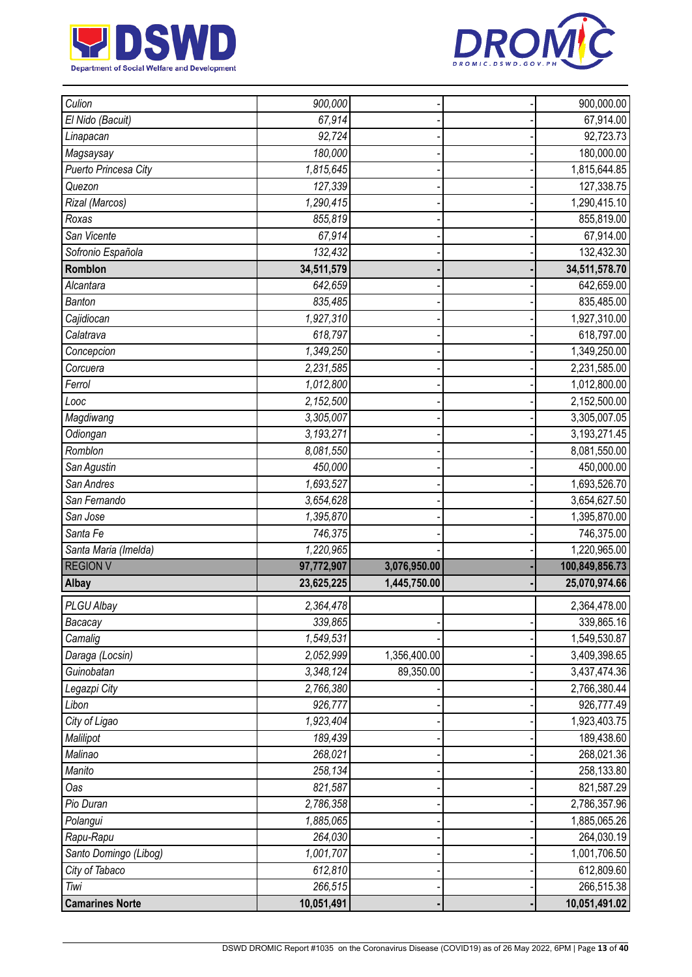



| Culion                 | 900,000              |              | 900,000.00     |
|------------------------|----------------------|--------------|----------------|
| El Nido (Bacuit)       | 67,914               |              | 67,914.00      |
| Linapacan              | 92,724               |              | 92,723.73      |
| Magsaysay              | 180,000              |              | 180,000.00     |
| Puerto Princesa City   | 1,815,645            |              | 1,815,644.85   |
| Quezon                 | 127,339              |              | 127,338.75     |
| Rizal (Marcos)         | 1,290,415            |              | 1,290,415.10   |
| Roxas                  | 855,819              |              | 855,819.00     |
| San Vicente            | 67,914               |              | 67,914.00      |
| Sofronio Española      | 132,432              |              | 132,432.30     |
| Romblon                | 34,511,579           |              | 34,511,578.70  |
| Alcantara              | $\overline{642,}659$ |              | 642,659.00     |
| <b>Banton</b>          | 835,485              |              | 835,485.00     |
| Cajidiocan             | 1,927,310            |              | 1,927,310.00   |
| Calatrava              | 618,797              |              | 618,797.00     |
| Concepcion             | 1,349,250            |              | 1,349,250.00   |
| Corcuera               | 2,231,585            |              | 2,231,585.00   |
| Ferrol                 | 1,012,800            |              | 1,012,800.00   |
| Looc                   | 2,152,500            |              | 2,152,500.00   |
| Magdiwang              | 3,305,007            |              | 3,305,007.05   |
| Odiongan               | 3,193,271            |              | 3,193,271.45   |
| Romblon                | 8,081,550            |              | 8,081,550.00   |
| San Agustin            | 450,000              |              | 450,000.00     |
| San Andres             | 1,693,527            |              | 1,693,526.70   |
| San Fernando           | 3,654,628            |              | 3,654,627.50   |
| San Jose               | 1,395,870            |              | 1,395,870.00   |
| Santa Fe               | 746,375              |              | 746,375.00     |
| Santa Maria (Imelda)   | 1,220,965            |              | 1,220,965.00   |
| <b>REGION V</b>        | 97,772,907           | 3,076,950.00 | 100,849,856.73 |
| Albay                  | 23,625,225           | 1,445,750.00 | 25,070,974.66  |
| PLGU Albay             | 2,364,478            |              | 2,364,478.00   |
| Bacacay                | 339,865              |              | 339,865.16     |
| Camalig                | 1,549,531            |              | 1,549,530.87   |
| Daraga (Locsin)        | 2,052,999            | 1,356,400.00 | 3,409,398.65   |
| Guinobatan             | 3,348,124            | 89,350.00    | 3,437,474.36   |
| Legazpi City           | 2,766,380            |              | 2,766,380.44   |
| Libon                  | 926,777              |              | 926,777.49     |
| City of Ligao          | 1,923,404            |              | 1,923,403.75   |
| Malilipot              | 189,439              |              | 189,438.60     |
| Malinao                | 268,021              |              | 268,021.36     |
| Manito                 | 258,134              |              | 258,133.80     |
| Oas                    | 821,587              |              | 821,587.29     |
| Pio Duran              | 2,786,358            |              | 2,786,357.96   |
| Polangui               | 1,885,065            |              | 1,885,065.26   |
| Rapu-Rapu              | 264,030              |              | 264,030.19     |
| Santo Domingo (Libog)  | 1,001,707            |              | 1,001,706.50   |
| City of Tabaco         | 612,810              |              | 612,809.60     |
| Tiwi                   | 266,515              |              | 266,515.38     |
| <b>Camarines Norte</b> | 10,051,491           |              | 10,051,491.02  |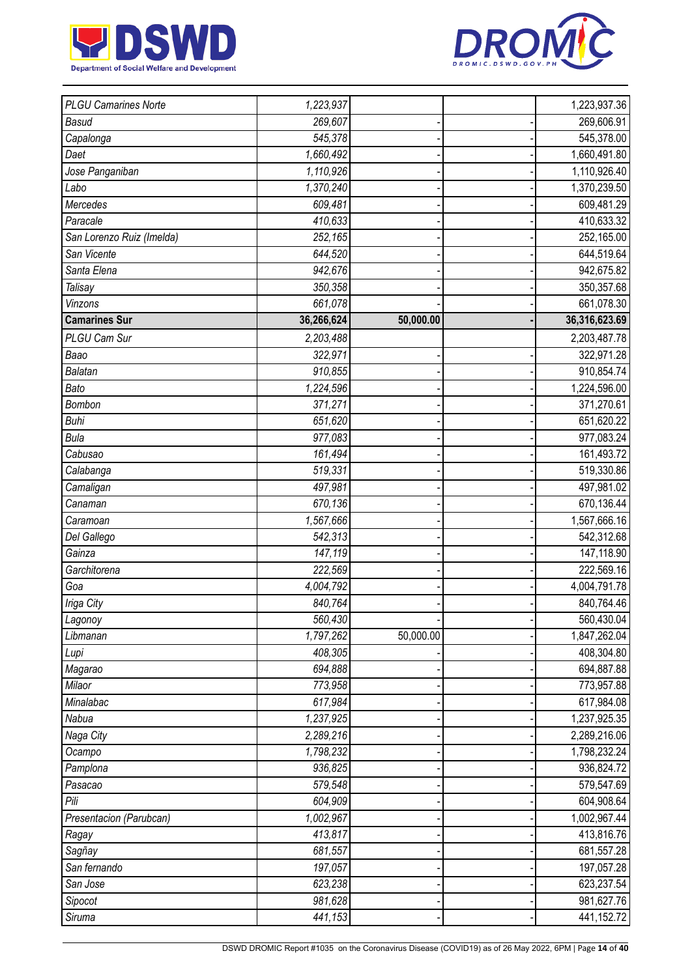



| <b>PLGU Camarines Norte</b> | 1,223,937                 |           | 1,223,937.36  |
|-----------------------------|---------------------------|-----------|---------------|
| <b>Basud</b>                | 269,607                   |           | 269,606.91    |
| Capalonga                   | 545,378                   |           | 545,378.00    |
| Daet                        | 1,660,492                 |           | 1,660,491.80  |
| Jose Panganiban             | 1,110,926                 |           | 1,110,926.40  |
| Labo                        | 1,370,240                 |           | 1,370,239.50  |
| Mercedes                    | 609,481                   |           | 609,481.29    |
| Paracale                    | 410,633                   |           | 410,633.32    |
| San Lorenzo Ruiz (Imelda)   | 252,165                   |           | 252,165.00    |
| San Vicente                 | 644,520                   |           | 644,519.64    |
| Santa Elena                 | 942,676                   |           | 942,675.82    |
| Talisay                     | 350,358                   |           | 350,357.68    |
| Vinzons                     | 661,078                   |           | 661,078.30    |
| <b>Camarines Sur</b>        | 36,266,624                | 50,000.00 | 36,316,623.69 |
| PLGU Cam Sur                | 2,203,488                 |           | 2,203,487.78  |
| Baao                        | 322,971                   |           | 322,971.28    |
| Balatan                     | 910,855                   |           | 910,854.74    |
| Bato                        | $\overline{1}$ , 224, 596 |           | 1,224,596.00  |
| <b>Bombon</b>               | 371,271                   |           | 371,270.61    |
| <b>Buhi</b>                 | 651,620                   |           | 651,620.22    |
| <b>Bula</b>                 | 977,083                   |           | 977,083.24    |
| Cabusao                     | 161,494                   |           | 161,493.72    |
| Calabanga                   | 519,331                   |           | 519,330.86    |
| Camaligan                   | 497,981                   |           | 497,981.02    |
| Canaman                     | 670,136                   |           | 670,136.44    |
| Caramoan                    | 1,567,666                 |           | 1,567,666.16  |
| Del Gallego                 | 542,313                   |           | 542,312.68    |
| Gainza                      | 147,119                   |           | 147,118.90    |
| Garchitorena                | 222,569                   |           | 222,569.16    |
| Goa                         | 4,004,792                 |           | 4,004,791.78  |
| Iriga City                  | 840,764                   |           | 840,764.46    |
| Lagonoy                     | 560,430                   |           | 560,430.04    |
| Libmanan                    | 1,797,262                 | 50,000.00 | 1,847,262.04  |
| Lupi                        | 408,305                   |           | 408,304.80    |
| Magarao                     | 694,888                   |           | 694,887.88    |
| Milaor                      | 773,958                   |           | 773,957.88    |
| Minalabac                   | 617,984                   |           | 617,984.08    |
| Nabua                       | 1,237,925                 |           | 1,237,925.35  |
| Naga City                   | 2,289,216                 |           | 2,289,216.06  |
| Ocampo                      | 1,798,232                 |           | 1,798,232.24  |
| Pamplona                    | 936,825                   |           | 936,824.72    |
| Pasacao                     | 579,548                   |           | 579,547.69    |
| Pili                        | 604,909                   |           | 604,908.64    |
| Presentacion (Parubcan)     | 1,002,967                 |           | 1,002,967.44  |
| Ragay                       | 413,817                   |           | 413,816.76    |
| Sagñay                      | 681,557                   |           | 681,557.28    |
| San fernando                | 197,057                   |           | 197,057.28    |
| San Jose                    | 623,238                   |           | 623,237.54    |
| Sipocot                     | 981,628                   |           | 981,627.76    |
| Siruma                      | 441,153                   |           | 441,152.72    |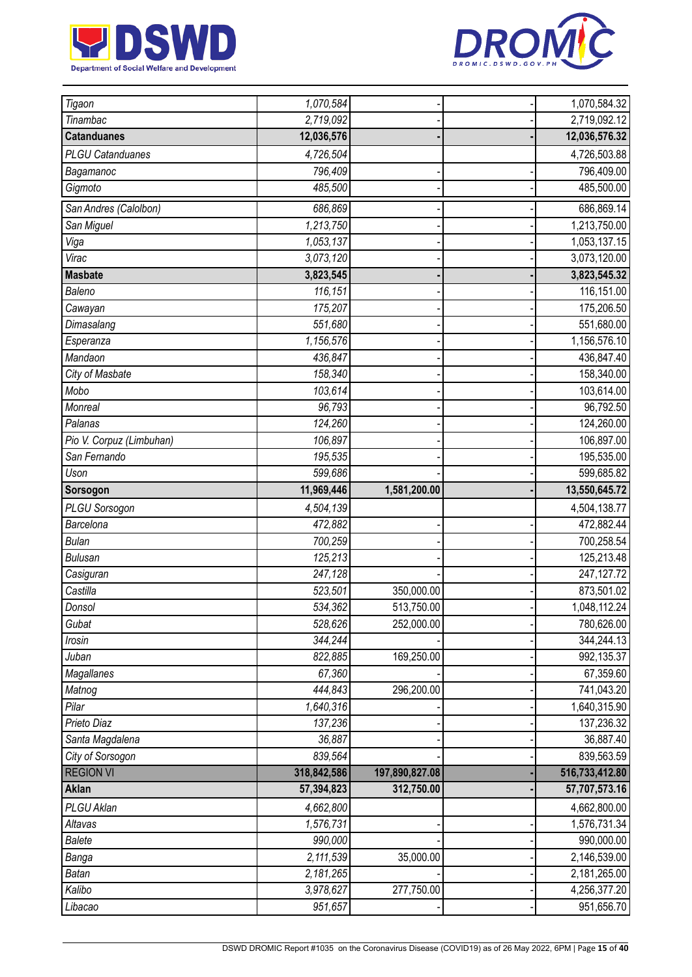



| Tigaon                   | 1,070,584   |                | 1,070,584.32   |
|--------------------------|-------------|----------------|----------------|
| Tinambac                 | 2,719,092   |                | 2,719,092.12   |
| <b>Catanduanes</b>       | 12,036,576  |                | 12,036,576.32  |
| <b>PLGU Catanduanes</b>  | 4,726,504   |                | 4,726,503.88   |
| Bagamanoc                | 796,409     |                | 796,409.00     |
| Gigmoto                  | 485,500     |                | 485,500.00     |
| San Andres (Calolbon)    | 686,869     |                | 686,869.14     |
| San Miguel               | 1,213,750   |                | 1,213,750.00   |
| Viga                     | 1,053,137   |                | 1,053,137.15   |
| Virac                    | 3,073,120   |                | 3,073,120.00   |
| <b>Masbate</b>           | 3,823,545   |                | 3,823,545.32   |
| Baleno                   | 116,151     |                | 116,151.00     |
| Cawayan                  | 175,207     |                | 175,206.50     |
| Dimasalang               | 551,680     |                | 551,680.00     |
| Esperanza                | 1,156,576   |                | 1,156,576.10   |
| Mandaon                  | 436,847     |                | 436,847.40     |
| City of Masbate          | 158,340     |                | 158,340.00     |
| Mobo                     | 103,614     |                | 103,614.00     |
| Monreal                  | 96,793      |                | 96,792.50      |
| Palanas                  | 124,260     |                | 124,260.00     |
| Pio V. Corpuz (Limbuhan) | 106,897     |                | 106,897.00     |
| San Fernando             | 195,535     |                | 195,535.00     |
| Uson                     | 599,686     |                | 599,685.82     |
| Sorsogon                 | 11,969,446  | 1,581,200.00   | 13,550,645.72  |
| PLGU Sorsogon            | 4,504,139   |                | 4,504,138.77   |
| Barcelona                | 472,882     |                | 472,882.44     |
| <b>Bulan</b>             | 700,259     |                | 700,258.54     |
| <b>Bulusan</b>           | 125,213     |                | 125,213.48     |
| Casiguran                | 247,128     |                | 247, 127. 72   |
| Castilla                 | 523,501     | 350,000.00     | 873,501.02     |
| Donsol                   | 534,362     | 513,750.00     | 1,048,112.24   |
| Gubat                    | 528,626     | 252,000.00     | 780,626.00     |
| Irosin                   | 344,244     |                | 344,244.13     |
| Juban                    | 822,885     | 169,250.00     | 992,135.37     |
| Magallanes               | 67,360      |                | 67,359.60      |
| Matnog                   | 444,843     | 296,200.00     | 741,043.20     |
| Pilar                    | 1,640,316   |                | 1,640,315.90   |
| Prieto Diaz              | 137,236     |                | 137,236.32     |
| Santa Magdalena          | 36,887      |                | 36,887.40      |
| City of Sorsogon         | 839,564     |                | 839,563.59     |
| <b>REGION VI</b>         | 318,842,586 | 197,890,827.08 | 516,733,412.80 |
| <b>Aklan</b>             | 57,394,823  | 312,750.00     | 57,707,573.16  |
| PLGU Aklan               | 4,662,800   |                | 4,662,800.00   |
| Altavas                  | 1,576,731   |                | 1,576,731.34   |
| <b>Balete</b>            | 990,000     |                | 990,000.00     |
| Banga                    | 2,111,539   | 35,000.00      | 2,146,539.00   |
| <b>Batan</b>             | 2,181,265   |                | 2,181,265.00   |
| Kalibo                   | 3,978,627   | 277,750.00     | 4,256,377.20   |
| Libacao                  | 951,657     |                | 951,656.70     |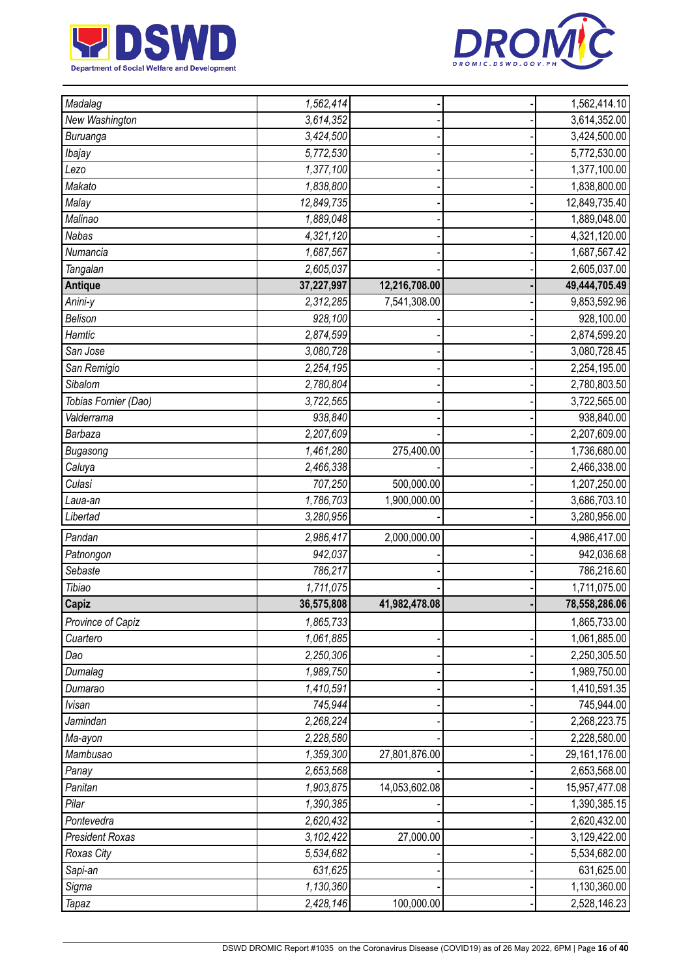



| Madalag                | 1,562,414  |               | 1,562,414.10  |
|------------------------|------------|---------------|---------------|
| New Washington         | 3,614,352  |               | 3,614,352.00  |
| Buruanga               | 3,424,500  |               | 3,424,500.00  |
| Ibajay                 | 5,772,530  |               | 5,772,530.00  |
| Lezo                   | 1,377,100  |               | 1,377,100.00  |
| Makato                 | 1,838,800  |               | 1,838,800.00  |
| Malay                  | 12,849,735 |               | 12,849,735.40 |
| Malinao                | 1,889,048  |               | 1,889,048.00  |
| <b>Nabas</b>           | 4,321,120  |               | 4,321,120.00  |
| Numancia               | 1,687,567  |               | 1,687,567.42  |
| Tangalan               | 2,605,037  |               | 2,605,037.00  |
| <b>Antique</b>         | 37,227,997 | 12,216,708.00 | 49,444,705.49 |
| Anini-y                | 2,312,285  | 7,541,308.00  | 9,853,592.96  |
| Belison                | 928,100    |               | 928,100.00    |
| Hamtic                 | 2,874,599  |               | 2,874,599.20  |
| San Jose               | 3,080,728  |               | 3,080,728.45  |
| San Remigio            | 2,254,195  |               | 2,254,195.00  |
| Sibalom                | 2,780,804  |               | 2,780,803.50  |
| Tobias Fornier (Dao)   | 3,722,565  |               | 3,722,565.00  |
| Valderrama             | 938,840    |               | 938,840.00    |
| Barbaza                | 2,207,609  |               | 2,207,609.00  |
| Bugasong               | 1,461,280  | 275,400.00    | 1,736,680.00  |
| Caluya                 | 2,466,338  |               | 2,466,338.00  |
| Culasi                 | 707,250    | 500,000.00    | 1,207,250.00  |
| Laua-an                | 1,786,703  | 1,900,000.00  | 3,686,703.10  |
| Libertad               | 3,280,956  |               | 3,280,956.00  |
| Pandan                 | 2,986,417  | 2,000,000.00  | 4,986,417.00  |
| Patnongon              | 942,037    |               | 942,036.68    |
| Sebaste                | 786,217    |               | 786,216.60    |
| Tibiao                 | 1,711,075  |               | 1,711,075.00  |
| <b>Capiz</b>           | 36,575,808 | 41,982,478.08 | 78,558,286.06 |
| Province of Capiz      | 1,865,733  |               | 1,865,733.00  |
| Cuartero               | 1,061,885  |               | 1,061,885.00  |
| Dao                    | 2,250,306  |               | 2,250,305.50  |
| Dumalag                | 1,989,750  |               | 1,989,750.00  |
| Dumarao                | 1,410,591  |               | 1,410,591.35  |
| <b>Ivisan</b>          | 745,944    |               | 745,944.00    |
| Jamindan               | 2,268,224  |               | 2,268,223.75  |
| Ma-ayon                | 2,228,580  |               | 2,228,580.00  |
| Mambusao               | 1,359,300  | 27,801,876.00 | 29,161,176.00 |
| Panay                  | 2,653,568  |               | 2,653,568.00  |
| Panitan                | 1,903,875  | 14,053,602.08 | 15,957,477.08 |
| Pilar                  | 1,390,385  |               | 1,390,385.15  |
| Pontevedra             | 2,620,432  |               | 2,620,432.00  |
| <b>President Roxas</b> | 3,102,422  | 27,000.00     | 3,129,422.00  |
| Roxas City             | 5,534,682  |               | 5,534,682.00  |
| Sapi-an                | 631,625    |               | 631,625.00    |
| Sigma                  | 1,130,360  |               | 1,130,360.00  |
| <b>Tapaz</b>           | 2,428,146  | 100,000.00    | 2,528,146.23  |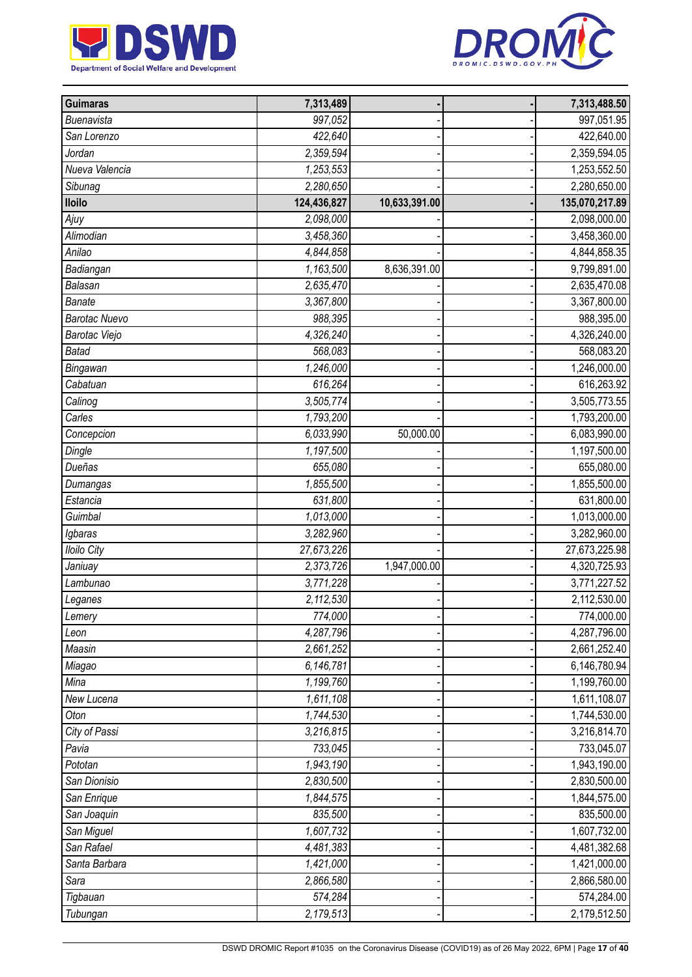



| <b>Guimaras</b>      | 7,313,489   |               | 7,313,488.50   |
|----------------------|-------------|---------------|----------------|
| Buenavista           | 997,052     |               | 997,051.95     |
| San Lorenzo          | 422,640     |               | 422,640.00     |
| Jordan               | 2,359,594   |               | 2,359,594.05   |
| Nueva Valencia       | 1,253,553   |               | 1,253,552.50   |
| Sibunag              | 2,280,650   |               | 2,280,650.00   |
| <b>Iloilo</b>        | 124,436,827 | 10,633,391.00 | 135,070,217.89 |
| Ajuy                 | 2,098,000   |               | 2,098,000.00   |
| Alimodian            | 3,458,360   |               | 3,458,360.00   |
| Anilao               | 4,844,858   |               | 4,844,858.35   |
| Badiangan            | 1,163,500   | 8,636,391.00  | 9,799,891.00   |
| Balasan              | 2,635,470   |               | 2,635,470.08   |
| <b>Banate</b>        | 3,367,800   |               | 3,367,800.00   |
| <b>Barotac Nuevo</b> | 988,395     |               | 988,395.00     |
| Barotac Viejo        | 4,326,240   |               | 4,326,240.00   |
| <b>Batad</b>         | 568,083     |               | 568,083.20     |
| Bingawan             | 1,246,000   |               | 1,246,000.00   |
| Cabatuan             | 616,264     |               | 616,263.92     |
| Calinog              | 3,505,774   |               | 3,505,773.55   |
| Carles               | 1,793,200   |               | 1,793,200.00   |
| Concepcion           | 6,033,990   | 50,000.00     | 6,083,990.00   |
| Dingle               | 1,197,500   |               | 1,197,500.00   |
| Dueñas               | 655,080     |               | 655,080.00     |
| Dumangas             | 1,855,500   |               | 1,855,500.00   |
| Estancia             | 631,800     |               | 631,800.00     |
| Guimbal              | 1,013,000   |               | 1,013,000.00   |
| Igbaras              | 3,282,960   |               | 3,282,960.00   |
| <b>Iloilo City</b>   | 27,673,226  |               | 27,673,225.98  |
| Janiuay              | 2,373,726   | 1,947,000.00  | 4,320,725.93   |
| Lambunao             | 3,771,228   |               | 3,771,227.52   |
| Leganes              | 2,112,530   |               | 2,112,530.00   |
| Lemery               | 774,000     |               | 774,000.00     |
| Leon                 | 4,287,796   |               | 4,287,796.00   |
| Maasin               | 2,661,252   |               | 2,661,252.40   |
| Miagao               | 6,146,781   |               | 6,146,780.94   |
| Mina                 | 1,199,760   |               | 1,199,760.00   |
| New Lucena           | 1,611,108   |               | 1,611,108.07   |
| Oton                 | 1,744,530   |               | 1,744,530.00   |
| City of Passi        | 3,216,815   |               | 3,216,814.70   |
| Pavia                | 733,045     |               | 733,045.07     |
| Pototan              | 1,943,190   |               | 1,943,190.00   |
| San Dionisio         | 2,830,500   |               | 2,830,500.00   |
| San Enrique          | 1,844,575   |               | 1,844,575.00   |
| San Joaquin          | 835,500     |               | 835,500.00     |
| San Miguel           | 1,607,732   |               | 1,607,732.00   |
| San Rafael           | 4,481,383   |               | 4,481,382.68   |
| Santa Barbara        | 1,421,000   |               | 1,421,000.00   |
| Sara                 | 2,866,580   |               | 2,866,580.00   |
| Tigbauan             | 574,284     |               | 574,284.00     |
| Tubungan             | 2,179,513   |               | 2,179,512.50   |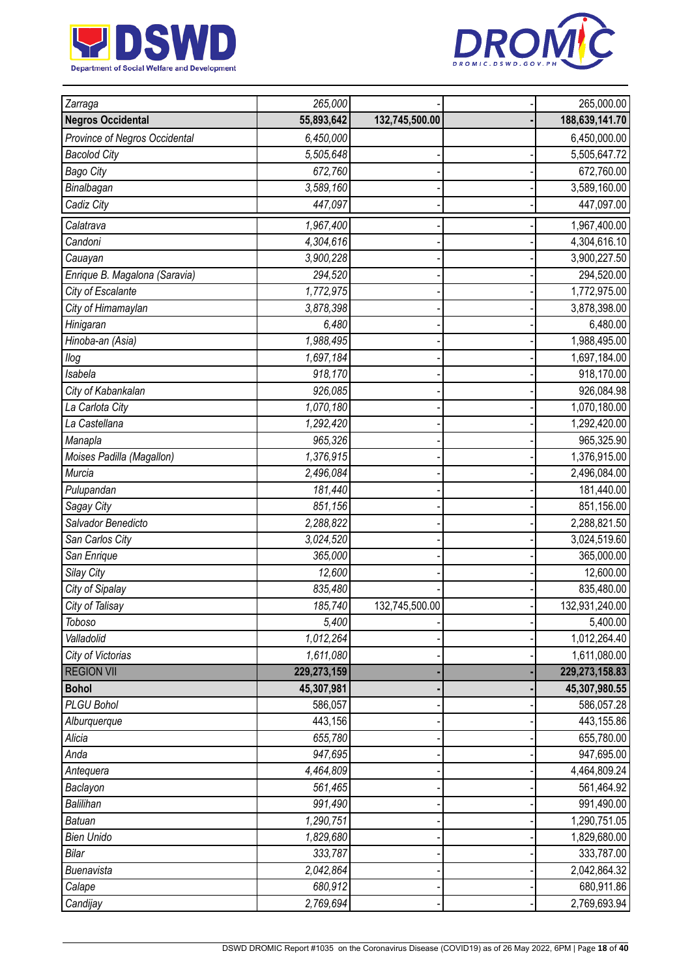



| Zarraga                       | 265,000     |                | 265,000.00       |
|-------------------------------|-------------|----------------|------------------|
| <b>Negros Occidental</b>      | 55,893,642  | 132,745,500.00 | 188,639,141.70   |
| Province of Negros Occidental | 6,450,000   |                | 6,450,000.00     |
| <b>Bacolod City</b>           | 5,505,648   |                | 5,505,647.72     |
| <b>Bago City</b>              | 672,760     |                | 672,760.00       |
| Binalbagan                    | 3,589,160   |                | 3,589,160.00     |
| Cadiz City                    | 447,097     |                | 447,097.00       |
| Calatrava                     | 1,967,400   |                | 1,967,400.00     |
| Candoni                       | 4,304,616   |                | 4,304,616.10     |
| Cauayan                       | 3,900,228   |                | 3,900,227.50     |
| Enrique B. Magalona (Saravia) | 294,520     |                | 294,520.00       |
| City of Escalante             | 1,772,975   |                | 1,772,975.00     |
| City of Himamaylan            | 3,878,398   |                | 3,878,398.00     |
| Hinigaran                     | 6,480       |                | 6,480.00         |
| Hinoba-an (Asia)              | 1,988,495   |                | 1,988,495.00     |
| llog                          | 1,697,184   |                | 1,697,184.00     |
| Isabela                       | 918,170     |                | 918,170.00       |
| City of Kabankalan            | 926,085     |                | 926,084.98       |
| La Carlota City               | 1,070,180   |                | 1,070,180.00     |
| La Castellana                 | 1,292,420   |                | 1,292,420.00     |
| Manapla                       | 965,326     |                | 965,325.90       |
| Moises Padilla (Magallon)     | 1,376,915   |                | 1,376,915.00     |
| Murcia                        | 2,496,084   |                | 2,496,084.00     |
| Pulupandan                    | 181,440     |                | 181,440.00       |
| Sagay City                    | 851,156     |                | 851,156.00       |
| Salvador Benedicto            | 2,288,822   |                | 2,288,821.50     |
| San Carlos City               | 3,024,520   |                | 3,024,519.60     |
| San Enrique                   | 365,000     |                | 365,000.00       |
| Silay City                    | 12,600      |                | 12,600.00        |
| City of Sipalay               | 835,480     |                | 835,480.00       |
| City of Talisay               | 185,740     | 132,745,500.00 | 132,931,240.00   |
| Toboso                        | 5,400       |                | 5,400.00         |
| Valladolid                    | 1,012,264   |                | 1,012,264.40     |
| City of Victorias             | 1,611,080   |                | 1,611,080.00     |
| <b>REGION VII</b>             | 229,273,159 |                | 229, 273, 158.83 |
| <b>Bohol</b>                  | 45,307,981  |                | 45,307,980.55    |
| PLGU Bohol                    | 586,057     |                | 586,057.28       |
| Alburquerque                  | 443,156     |                | 443,155.86       |
| Alicia                        | 655,780     |                | 655,780.00       |
| Anda                          | 947,695     |                | 947,695.00       |
| Antequera                     | 4,464,809   |                | 4,464,809.24     |
| Baclayon                      | 561,465     |                | 561,464.92       |
| Balilihan                     | 991,490     |                | 991,490.00       |
| <b>Batuan</b>                 | 1,290,751   |                | 1,290,751.05     |
| <b>Bien Unido</b>             | 1,829,680   |                | 1,829,680.00     |
| Bilar                         | 333,787     |                | 333,787.00       |
| Buenavista                    | 2,042,864   |                | 2,042,864.32     |
| Calape                        | 680,912     |                | 680,911.86       |
| Candijay                      | 2,769,694   |                | 2,769,693.94     |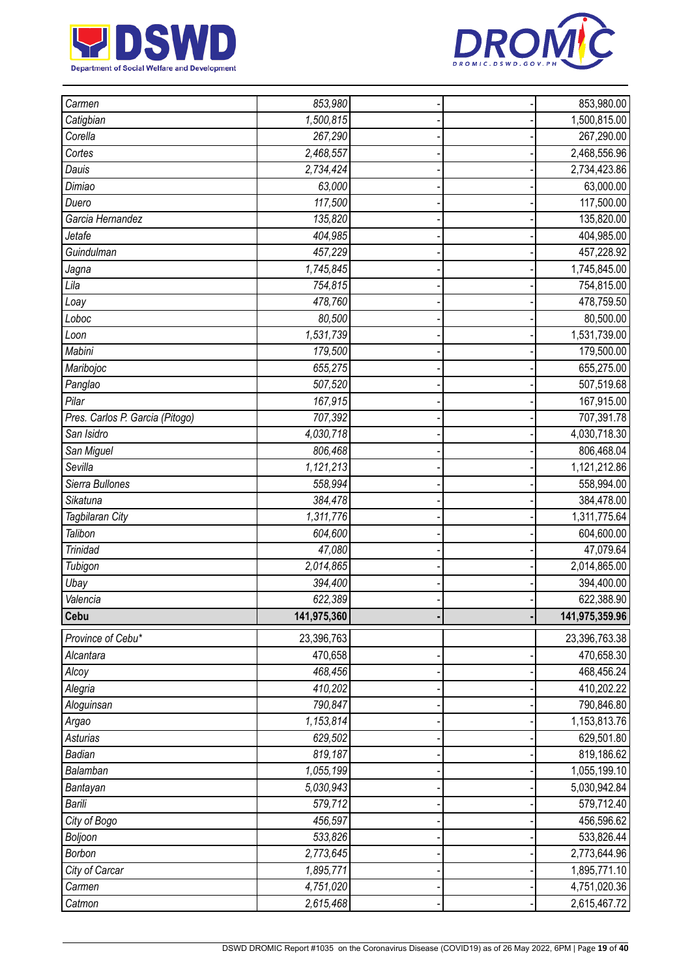



| Carmen                          | 853,980     |  | 853,980.00     |
|---------------------------------|-------------|--|----------------|
| Catigbian                       | 1,500,815   |  | 1,500,815.00   |
| Corella                         | 267,290     |  | 267,290.00     |
| Cortes                          | 2,468,557   |  | 2,468,556.96   |
| Dauis                           | 2,734,424   |  | 2,734,423.86   |
| Dimiao                          | 63,000      |  | 63,000.00      |
| Duero                           | 117,500     |  | 117,500.00     |
| Garcia Hernandez                | 135,820     |  | 135,820.00     |
| Jetafe                          | 404,985     |  | 404,985.00     |
| Guindulman                      | 457,229     |  | 457,228.92     |
| Jagna                           | 1,745,845   |  | 1,745,845.00   |
| Lila                            | 754,815     |  | 754,815.00     |
| Loay                            | 478,760     |  | 478,759.50     |
| Loboc                           | 80,500      |  | 80,500.00      |
| Loon                            | 1,531,739   |  | 1,531,739.00   |
| Mabini                          | 179,500     |  | 179,500.00     |
| Maribojoc                       | 655,275     |  | 655,275.00     |
| Panglao                         | 507,520     |  | 507,519.68     |
| Pilar                           | 167,915     |  | 167,915.00     |
| Pres. Carlos P. Garcia (Pitogo) | 707,392     |  | 707,391.78     |
| San Isidro                      | 4,030,718   |  | 4,030,718.30   |
| San Miguel                      | 806,468     |  | 806,468.04     |
| Sevilla                         | 1,121,213   |  | 1,121,212.86   |
| Sierra Bullones                 | 558,994     |  | 558,994.00     |
| Sikatuna                        | 384,478     |  | 384,478.00     |
| Tagbilaran City                 | 1,311,776   |  | 1,311,775.64   |
| Talibon                         | 604,600     |  | 604,600.00     |
| <b>Trinidad</b>                 | 47,080      |  | 47,079.64      |
| Tubigon                         | 2,014,865   |  | 2,014,865.00   |
| Ubay                            | 394,400     |  | 394,400.00     |
| Valencia                        | 622,389     |  | 622,388.90     |
| Cebu                            | 141,975,360 |  | 141,975,359.96 |
| Province of Cebu*               | 23,396,763  |  | 23,396,763.38  |
| Alcantara                       | 470,658     |  | 470,658.30     |
| Alcoy                           | 468,456     |  | 468,456.24     |
| Alegria                         | 410,202     |  | 410,202.22     |
| Aloguinsan                      | 790,847     |  | 790,846.80     |
| Argao                           | 1,153,814   |  | 1,153,813.76   |
| Asturias                        | 629,502     |  | 629,501.80     |
| Badian                          | 819,187     |  | 819,186.62     |
| Balamban                        | 1,055,199   |  | 1,055,199.10   |
| Bantayan                        | 5,030,943   |  | 5,030,942.84   |
| Barili                          | 579,712     |  | 579,712.40     |
| City of Bogo                    | 456,597     |  | 456,596.62     |
| Boljoon                         | 533,826     |  | 533,826.44     |
| Borbon                          | 2,773,645   |  | 2,773,644.96   |
| City of Carcar                  | 1,895,771   |  | 1,895,771.10   |
| Carmen                          | 4,751,020   |  | 4,751,020.36   |
| Catmon                          | 2,615,468   |  | 2,615,467.72   |
|                                 |             |  |                |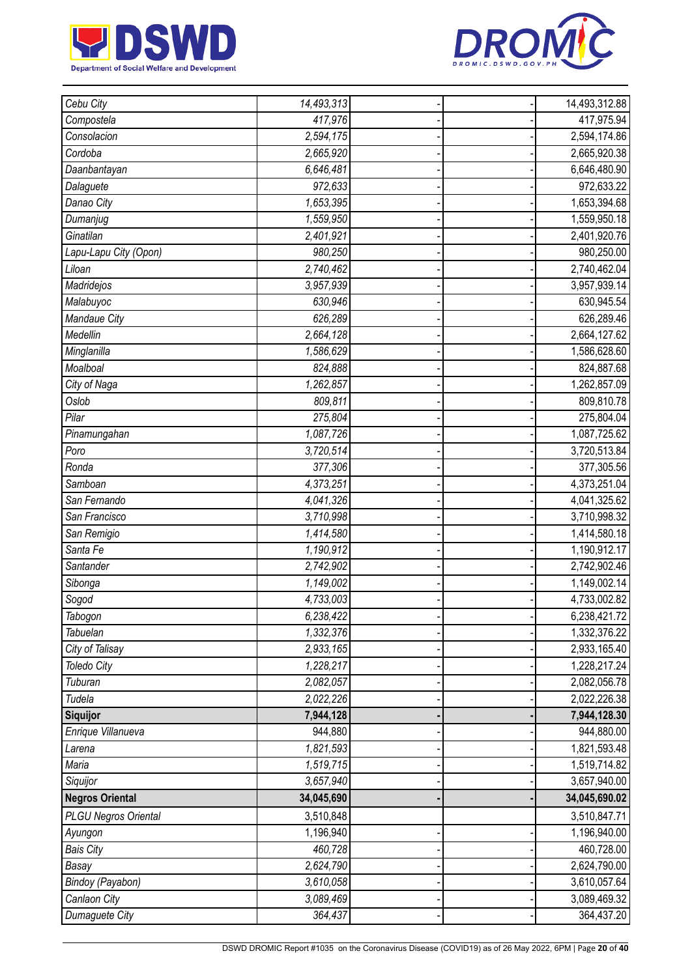



| Cebu City                   | 14,493,313             |  | 14,493,312.88 |
|-----------------------------|------------------------|--|---------------|
| Compostela                  | 417,976                |  | 417,975.94    |
| Consolacion                 | 2,594,175              |  | 2,594,174.86  |
| Cordoba                     | 2,665,920              |  | 2,665,920.38  |
| Daanbantayan                | 6,646,481              |  | 6,646,480.90  |
| Dalaguete                   | 972,633                |  | 972,633.22    |
| Danao City                  | 1,653,395              |  | 1,653,394.68  |
| Dumanjug                    | 1,559,950              |  | 1,559,950.18  |
| Ginatilan                   | 2,401,921              |  | 2,401,920.76  |
| Lapu-Lapu City (Opon)       | 980,250                |  | 980,250.00    |
| Liloan                      | 2,740,462              |  | 2,740,462.04  |
| Madridejos                  | 3,957,939              |  | 3,957,939.14  |
| Malabuyoc                   | 630,946                |  | 630,945.54    |
| Mandaue City                | 626,289                |  | 626,289.46    |
| Medellin                    | 2,664,128              |  | 2,664,127.62  |
| Minglanilla                 | 1,586,629              |  | 1,586,628.60  |
| Moalboal                    | 824,888                |  | 824,887.68    |
| City of Naga                | 1,262,857              |  | 1,262,857.09  |
| Oslob                       | 809,811                |  | 809,810.78    |
| Pilar                       | 275,804                |  | 275,804.04    |
| Pinamungahan                | 1,087,726              |  | 1,087,725.62  |
| Poro                        | 3,720,514              |  | 3,720,513.84  |
| Ronda                       | 377,306                |  | 377,305.56    |
| Samboan                     | 4,373,251              |  | 4,373,251.04  |
| San Fernando                | 4,041,326              |  | 4,041,325.62  |
| San Francisco               | 3,710,998              |  | 3,710,998.32  |
| San Remigio                 | 1,414,580              |  | 1,414,580.18  |
| Santa Fe                    | 1,190,912              |  | 1,190,912.17  |
| Santander                   | 2,742,902              |  | 2,742,902.46  |
| Sibonga                     | 1,149,002              |  | 1,149,002.14  |
| Sogod                       | 4,733,003              |  | 4,733,002.82  |
| Tabogon                     | 6,238,422              |  | 6,238,421.72  |
| Tabuelan                    | 1,332,376              |  | 1,332,376.22  |
| City of Talisay             | 2,933,165              |  | 2,933,165.40  |
| <b>Toledo City</b>          | 1,228,217              |  | 1,228,217.24  |
| Tuburan                     | 2,082,057              |  | 2,082,056.78  |
| Tudela                      | 2,022,226              |  | 2,022,226.38  |
| Siquijor                    | 7,944,128              |  | 7,944,128.30  |
| Enrique Villanueva          | 944,880                |  | 944,880.00    |
| Larena                      | 1,821,593              |  | 1,821,593.48  |
| Maria                       | 1,519,715              |  | 1,519,714.82  |
| Siquijor                    | 3,657,940              |  | 3,657,940.00  |
| <b>Negros Oriental</b>      | 34,045,690             |  | 34,045,690.02 |
| <b>PLGU Negros Oriental</b> | 3,510,848              |  | 3,510,847.71  |
| Ayungon                     | 1,196,940              |  | 1,196,940.00  |
| <b>Bais City</b>            | 460,728                |  | 460,728.00    |
| Basay                       | $\overline{2,624,790}$ |  | 2,624,790.00  |
| Bindoy (Payabon)            | 3,610,058              |  | 3,610,057.64  |
| Canlaon City                | 3,089,469              |  | 3,089,469.32  |
| Dumaguete City              | 364,437                |  | 364,437.20    |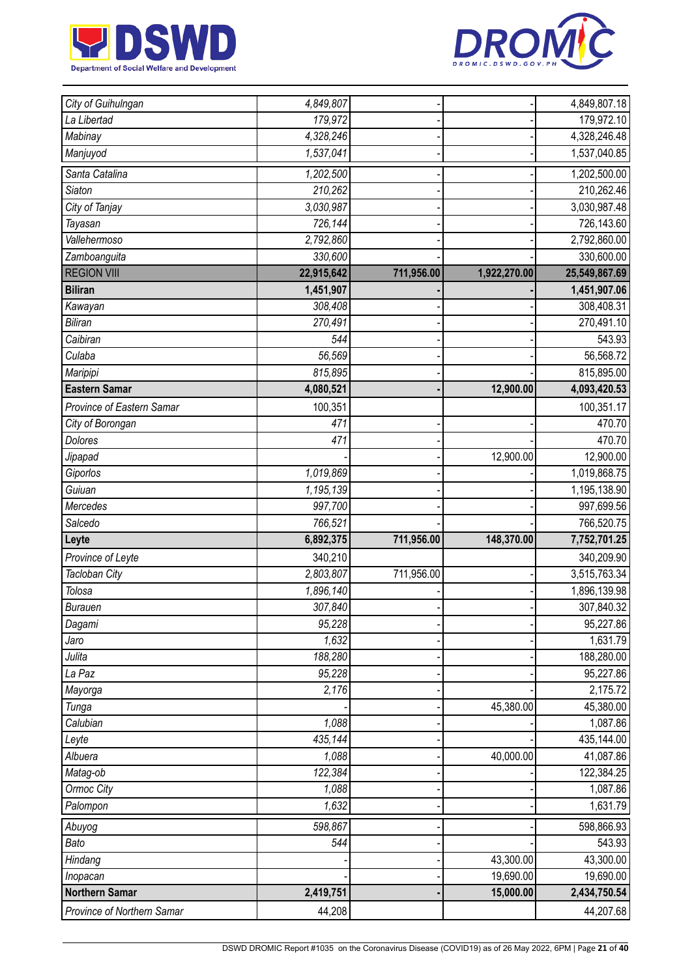



| City of Guihulngan        | 4,849,807  |            |              | 4,849,807.18  |
|---------------------------|------------|------------|--------------|---------------|
| La Libertad               | 179,972    |            |              | 179,972.10    |
| Mabinay                   | 4,328,246  |            |              | 4,328,246.48  |
| Manjuyod                  | 1,537,041  |            |              | 1,537,040.85  |
| Santa Catalina            | 1,202,500  |            |              | 1,202,500.00  |
| <b>Siaton</b>             | 210,262    |            |              | 210,262.46    |
| City of Tanjay            | 3,030,987  |            |              | 3,030,987.48  |
| Tayasan                   | 726,144    |            |              | 726,143.60    |
| Vallehermoso              | 2,792,860  |            |              | 2,792,860.00  |
| Zamboanguita              | 330,600    |            |              | 330,600.00    |
| <b>REGION VIII</b>        | 22,915,642 | 711,956.00 | 1,922,270.00 | 25,549,867.69 |
| <b>Biliran</b>            | 1,451,907  |            |              | 1,451,907.06  |
| Kawayan                   | 308,408    |            |              | 308,408.31    |
| <b>Biliran</b>            | 270,491    |            |              | 270,491.10    |
| Caibiran                  | 544        |            |              | 543.93        |
| Culaba                    | 56,569     |            |              | 56,568.72     |
| Maripipi                  | 815,895    |            |              | 815,895.00    |
| <b>Eastern Samar</b>      | 4,080,521  |            | 12,900.00    | 4,093,420.53  |
| Province of Eastern Samar | 100,351    |            |              | 100,351.17    |
| City of Borongan          | 471        |            |              | 470.70        |
| <b>Dolores</b>            | 471        |            |              | 470.70        |
| Jipapad                   |            |            | 12,900.00    | 12,900.00     |
| Giporlos                  | 1,019,869  |            |              | 1,019,868.75  |
| Guiuan                    | 1,195,139  |            |              | 1,195,138.90  |
| Mercedes                  | 997,700    |            |              | 997,699.56    |
| Salcedo                   | 766,521    |            |              | 766,520.75    |
| Leyte                     | 6,892,375  | 711,956.00 | 148,370.00   | 7,752,701.25  |
| Province of Leyte         | 340,210    |            |              | 340,209.90    |
| Tacloban City             | 2,803,807  | 711,956.00 |              | 3,515,763.34  |
| Tolosa                    | 1,896,140  |            |              | 1,896,139.98  |
| <b>Burauen</b>            | 307,840    |            |              | 307,840.32    |
| Dagami                    | 95,228     |            |              | 95,227.86     |
| Jaro                      | 1,632      |            |              | 1,631.79      |
| Julita                    | 188,280    |            |              | 188,280.00    |
| La Paz                    | 95,228     |            |              | 95,227.86     |
| Mayorga                   | 2,176      |            |              | 2,175.72      |
| Tunga                     |            |            | 45,380.00    | 45,380.00     |
| Calubian                  | 1,088      |            |              | 1,087.86      |
| Leyte                     | 435,144    |            |              | 435,144.00    |
| Albuera                   | 1,088      |            | 40,000.00    | 41,087.86     |
| Matag-ob                  | 122,384    |            |              | 122,384.25    |
| Ormoc City                | 1,088      |            |              | 1,087.86      |
|                           |            |            |              | 1,631.79      |
| Palompon                  | 1,632      |            |              |               |
|                           | 598,867    |            |              | 598,866.93    |
| Abuyog<br>Bato            | 544        |            |              | 543.93        |
| Hindang                   |            |            | 43,300.00    | 43,300.00     |
| Inopacan                  |            |            | 19,690.00    | 19,690.00     |
| <b>Northern Samar</b>     | 2,419,751  |            | 15,000.00    | 2,434,750.54  |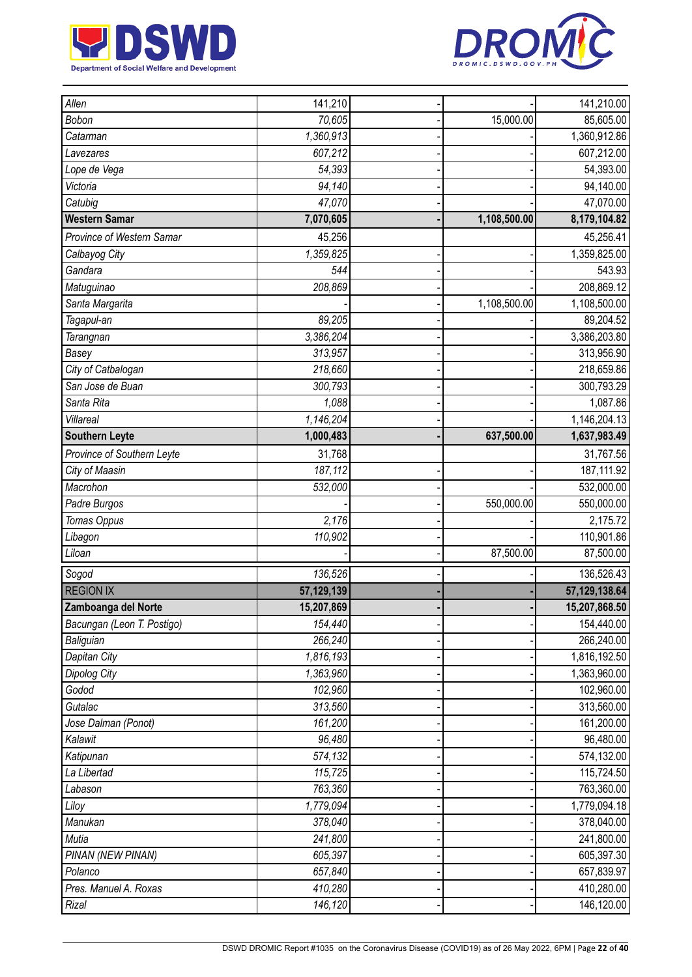



| Allen                      | 141,210    |              | 141,210.00                |
|----------------------------|------------|--------------|---------------------------|
| Bobon                      | 70,605     | 15,000.00    | 85,605.00                 |
| Catarman                   | 1,360,913  |              | 1,360,912.86              |
|                            | 607,212    |              | 607,212.00                |
| Lavezares<br>Lope de Vega  | 54,393     |              | 54,393.00                 |
| Victoria                   | 94,140     |              |                           |
| Catubig                    | 47,070     |              | 94,140.00<br>47,070.00    |
| <b>Western Samar</b>       |            |              |                           |
|                            | 7,070,605  | 1,108,500.00 | 8,179,104.82              |
| Province of Western Samar  | 45,256     |              | 45,256.41                 |
| Calbayog City              | 1,359,825  |              | 1,359,825.00              |
| Gandara                    | 544        |              | 543.93                    |
| Matuguinao                 | 208,869    |              | 208,869.12                |
| Santa Margarita            |            | 1,108,500.00 | 1,108,500.00              |
| Tagapul-an                 | 89,205     |              | 89,204.52                 |
| Tarangnan                  | 3,386,204  |              | 3,386,203.80              |
| Basey                      | 313,957    |              | 313,956.90                |
| City of Catbalogan         | 218,660    |              | 218,659.86                |
| San Jose de Buan           | 300,793    |              | 300,793.29                |
| Santa Rita                 | 1,088      |              | 1,087.86                  |
| Villareal                  | 1,146,204  |              | $\overline{1,}146,204.13$ |
| <b>Southern Leyte</b>      | 1,000,483  | 637,500.00   | 1,637,983.49              |
| Province of Southern Leyte | 31,768     |              | 31,767.56                 |
| City of Maasin             | 187,112    |              | 187, 111.92               |
| Macrohon                   | 532,000    |              | 532,000.00                |
| Padre Burgos               |            | 550,000.00   | 550,000.00                |
| Tomas Oppus                | 2,176      |              | 2,175.72                  |
| Libagon                    | 110,902    |              | 110,901.86                |
| Liloan                     |            | 87,500.00    | 87,500.00                 |
| Sogod                      | 136,526    |              | 136,526.43                |
| <b>REGION IX</b>           | 57,129,139 |              | 57,129,138.64             |
| Zamboanga del Norte        | 15,207,869 |              | 15,207,868.50             |
| Bacungan (Leon T. Postigo) | 154,440    |              | 154,440.00                |
| Baliguian                  | 266,240    |              | 266,240.00                |
| Dapitan City               | 1,816,193  |              | 1,816,192.50              |
| Dipolog City               | 1,363,960  |              | 1,363,960.00              |
| Godod                      | 102,960    |              | 102,960.00                |
| Gutalac                    | 313,560    |              | 313,560.00                |
| Jose Dalman (Ponot)        | 161,200    |              | 161,200.00                |
| Kalawit                    | 96,480     |              | 96,480.00                 |
| Katipunan                  | 574,132    |              | 574,132.00                |
| La Libertad                | 115,725    |              | 115,724.50                |
| Labason                    | 763,360    |              | 763,360.00                |
| Liloy                      | 1,779,094  |              | 1,779,094.18              |
| Manukan                    | 378,040    |              | 378,040.00                |
| Mutia                      | 241,800    |              | 241,800.00                |
| PINAN (NEW PINAN)          | 605,397    |              | 605,397.30                |
| Polanco                    | 657,840    |              | 657,839.97                |
| Pres. Manuel A. Roxas      | 410,280    |              | 410,280.00                |
| Rizal                      | 146,120    |              | 146,120.00                |
|                            |            |              |                           |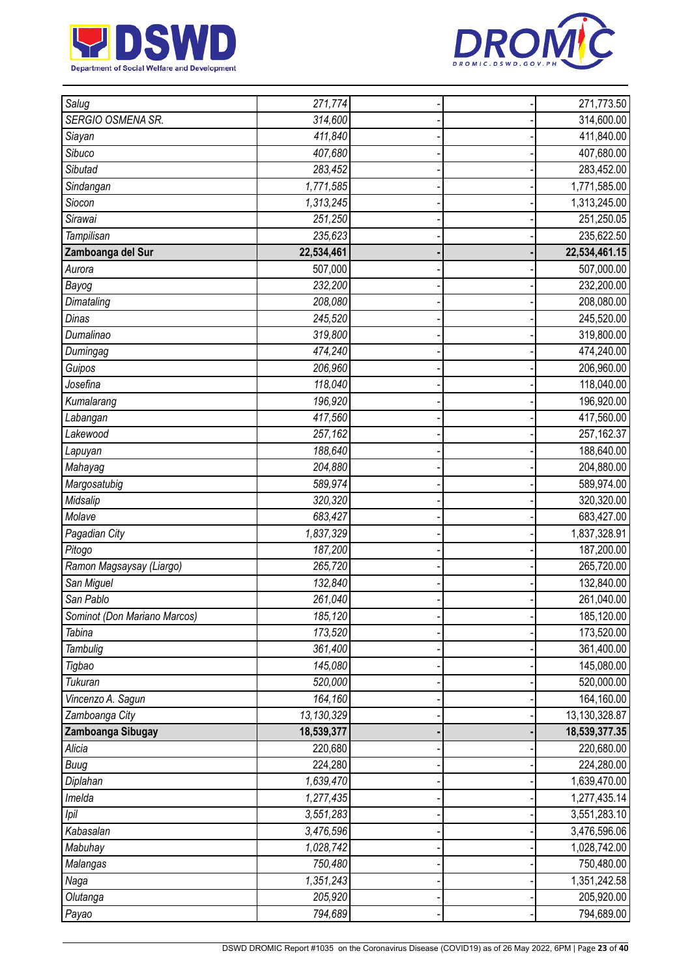



| Salug                        | 271,774    |  | 271,773.50    |
|------------------------------|------------|--|---------------|
| SERGIO OSMENA SR.            | 314,600    |  | 314,600.00    |
| Siayan                       | 411,840    |  | 411,840.00    |
| Sibuco                       | 407,680    |  | 407,680.00    |
| Sibutad                      | 283,452    |  | 283,452.00    |
| Sindangan                    | 1,771,585  |  | 1,771,585.00  |
| Siocon                       | 1,313,245  |  | 1,313,245.00  |
| Sirawai                      | 251,250    |  | 251,250.05    |
| Tampilisan                   | 235,623    |  | 235,622.50    |
| Zamboanga del Sur            | 22,534,461 |  | 22,534,461.15 |
| Aurora                       | 507,000    |  | 507,000.00    |
| Bayog                        | 232,200    |  | 232,200.00    |
| Dimataling                   | 208,080    |  | 208,080.00    |
| Dinas                        | 245,520    |  | 245,520.00    |
| Dumalinao                    | 319,800    |  | 319,800.00    |
| Dumingag                     | 474,240    |  | 474,240.00    |
| Guipos                       | 206,960    |  | 206,960.00    |
| Josefina                     | 118,040    |  | 118,040.00    |
| Kumalarang                   | 196,920    |  | 196,920.00    |
| Labangan                     | 417,560    |  | 417,560.00    |
| Lakewood                     | 257,162    |  | 257,162.37    |
| Lapuyan                      | 188,640    |  | 188,640.00    |
| Mahayag                      | 204,880    |  | 204,880.00    |
| Margosatubig                 | 589,974    |  | 589,974.00    |
| Midsalip                     | 320,320    |  | 320,320.00    |
| Molave                       | 683,427    |  | 683,427.00    |
| Pagadian City                | 1,837,329  |  | 1,837,328.91  |
| Pitogo                       | 187,200    |  | 187,200.00    |
| Ramon Magsaysay (Liargo)     | 265,720    |  | 265,720.00    |
| San Miguel                   | 132,840    |  | 132,840.00    |
| San Pablo                    | 261,040    |  | 261,040.00    |
| Sominot (Don Mariano Marcos) | 185,120    |  | 185,120.00    |
| Tabina                       | 173,520    |  | 173,520.00    |
| Tambulig                     | 361,400    |  | 361,400.00    |
| Tigbao                       | 145,080    |  | 145,080.00    |
| Tukuran                      | 520,000    |  | 520,000.00    |
| Vincenzo A. Sagun            | 164,160    |  | 164,160.00    |
| Zamboanga City               | 13,130,329 |  | 13,130,328.87 |
| Zamboanga Sibugay            | 18,539,377 |  | 18,539,377.35 |
| Alicia                       | 220,680    |  | 220,680.00    |
| <b>Buug</b>                  | 224,280    |  | 224,280.00    |
| Diplahan                     | 1,639,470  |  | 1,639,470.00  |
| Imelda                       | 1,277,435  |  | 1,277,435.14  |
| Ipil                         | 3,551,283  |  | 3,551,283.10  |
| Kabasalan                    | 3,476,596  |  | 3,476,596.06  |
| Mabuhay                      | 1,028,742  |  | 1,028,742.00  |
| Malangas                     | 750,480    |  | 750,480.00    |
| Naga                         | 1,351,243  |  | 1,351,242.58  |
| Olutanga                     | 205,920    |  | 205,920.00    |
| Payao                        | 794,689    |  | 794,689.00    |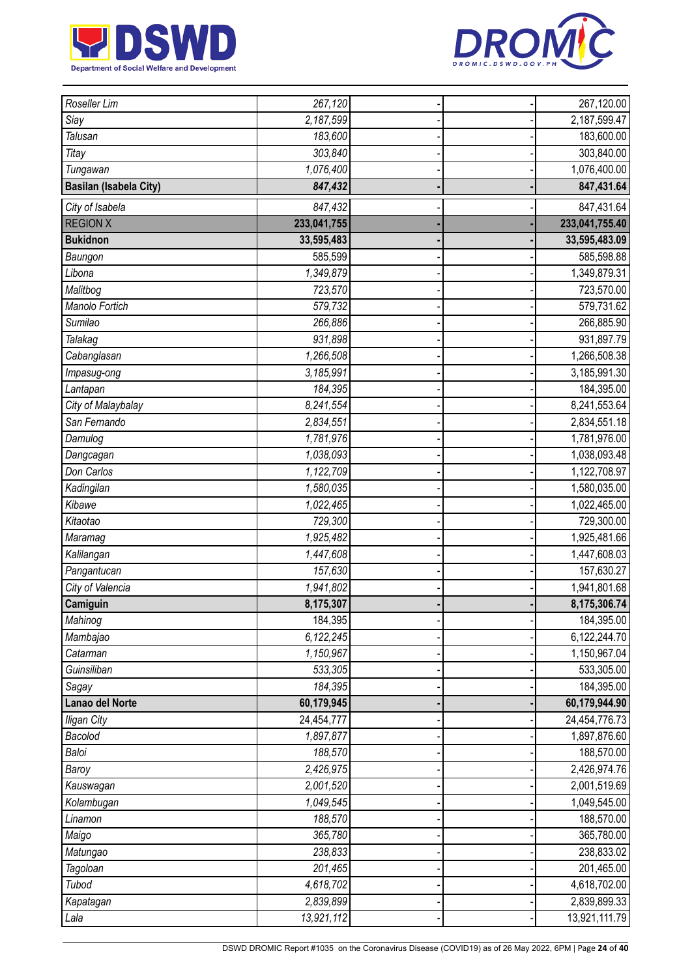



| Roseller Lim                  | 267,120     |  | 267,120.00     |
|-------------------------------|-------------|--|----------------|
| Siay                          | 2,187,599   |  | 2,187,599.47   |
| <b>Talusan</b>                | 183,600     |  | 183,600.00     |
| Titay                         | 303,840     |  | 303,840.00     |
| Tungawan                      | 1,076,400   |  | 1,076,400.00   |
| <b>Basilan (Isabela City)</b> | 847,432     |  | 847,431.64     |
| City of Isabela               | 847,432     |  | 847,431.64     |
| <b>REGION X</b>               | 233,041,755 |  | 233,041,755.40 |
| <b>Bukidnon</b>               | 33,595,483  |  | 33,595,483.09  |
| Baungon                       | 585,599     |  | 585,598.88     |
| Libona                        | 1,349,879   |  | 1,349,879.31   |
| Malitbog                      | 723,570     |  | 723,570.00     |
| Manolo Fortich                | 579,732     |  | 579,731.62     |
| Sumilao                       | 266,886     |  | 266,885.90     |
| Talakag                       | 931,898     |  | 931,897.79     |
| Cabanglasan                   | 1,266,508   |  | 1,266,508.38   |
| Impasug-ong                   | 3,185,991   |  | 3,185,991.30   |
| Lantapan                      | 184,395     |  | 184,395.00     |
| City of Malaybalay            | 8,241,554   |  | 8,241,553.64   |
| San Fernando                  | 2,834,551   |  | 2,834,551.18   |
| Damulog                       | 1,781,976   |  | 1,781,976.00   |
| Dangcagan                     | 1,038,093   |  | 1,038,093.48   |
| Don Carlos                    | 1,122,709   |  | 1,122,708.97   |
| Kadingilan                    | 1,580,035   |  | 1,580,035.00   |
| Kibawe                        | 1,022,465   |  | 1,022,465.00   |
| Kitaotao                      | 729,300     |  | 729,300.00     |
| Maramag                       | 1,925,482   |  | 1,925,481.66   |
| Kalilangan                    | 1,447,608   |  | 1,447,608.03   |
| Pangantucan                   | 157,630     |  | 157,630.27     |
| City of Valencia              | 1,941,802   |  | 1,941,801.68   |
| Camiguin                      | 8,175,307   |  | 8,175,306.74   |
| Mahinog                       | 184,395     |  | 184,395.00     |
| Mambajao                      | 6, 122, 245 |  | 6,122,244.70   |
| Catarman                      | 1,150,967   |  | 1,150,967.04   |
| Guinsiliban                   | 533,305     |  | 533,305.00     |
| Sagay                         | 184,395     |  | 184,395.00     |
| Lanao del Norte               | 60,179,945  |  | 60,179,944.90  |
| <b>Iligan City</b>            | 24,454,777  |  | 24,454,776.73  |
| Bacolod                       | 1,897,877   |  | 1,897,876.60   |
| Baloi                         | 188,570     |  | 188,570.00     |
| Baroy                         | 2,426,975   |  | 2,426,974.76   |
| Kauswagan                     | 2,001,520   |  | 2,001,519.69   |
| Kolambugan                    | 1,049,545   |  | 1,049,545.00   |
| Linamon                       | 188,570     |  | 188,570.00     |
| Maigo                         | 365,780     |  | 365,780.00     |
| Matungao                      | 238,833     |  | 238,833.02     |
| Tagoloan                      | 201,465     |  | 201,465.00     |
| Tubod                         | 4,618,702   |  | 4,618,702.00   |
| Kapatagan                     | 2,839,899   |  | 2,839,899.33   |
| Lala                          | 13,921,112  |  | 13,921,111.79  |
|                               |             |  |                |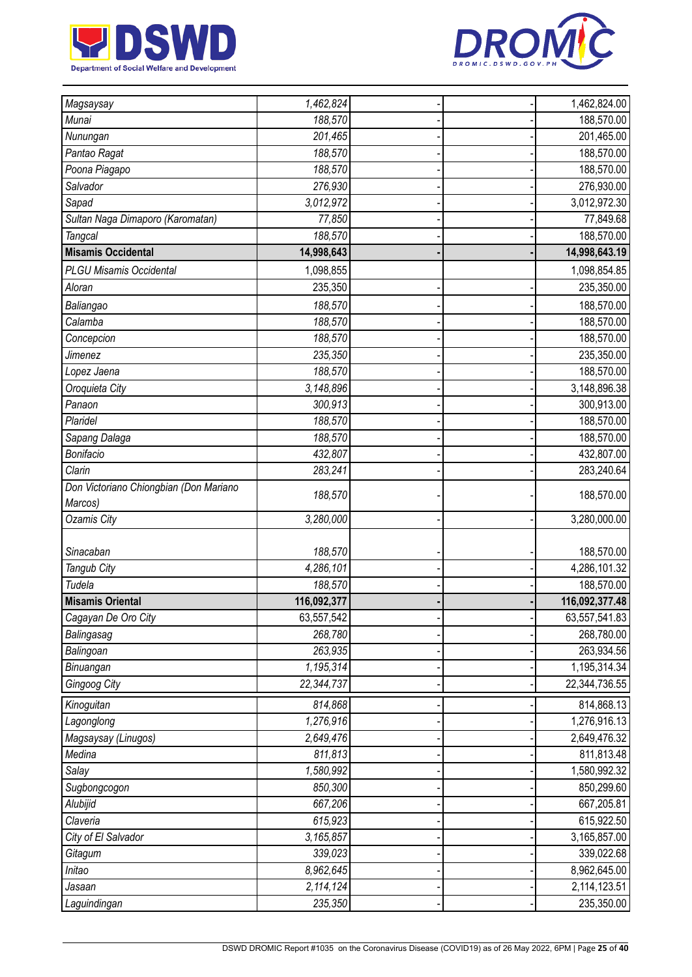



| Magsaysay                              | 1,462,824   |  | 1,462,824.00             |
|----------------------------------------|-------------|--|--------------------------|
| Munai                                  | 188,570     |  | 188,570.00               |
| Nunungan                               | 201,465     |  | 201,465.00               |
| Pantao Ragat                           | 188,570     |  | 188,570.00               |
| Poona Piagapo                          | 188,570     |  | 188,570.00               |
| Salvador                               | 276,930     |  | 276,930.00               |
| Sapad                                  | 3,012,972   |  | 3,012,972.30             |
| Sultan Naga Dimaporo (Karomatan)       | 77,850      |  | 77,849.68                |
| <b>Tangcal</b>                         | 188,570     |  | 188,570.00               |
| <b>Misamis Occidental</b>              | 14,998,643  |  | 14,998,643.19            |
| <b>PLGU Misamis Occidental</b>         | 1,098,855   |  | 1,098,854.85             |
| Aloran                                 | 235,350     |  | 235,350.00               |
| Baliangao                              | 188,570     |  | 188,570.00               |
| Calamba                                | 188,570     |  | 188,570.00               |
| Concepcion                             | 188,570     |  | 188,570.00               |
| Jimenez                                | 235,350     |  | 235,350.00               |
| Lopez Jaena                            | 188,570     |  | 188,570.00               |
| Oroquieta City                         | 3,148,896   |  | 3,148,896.38             |
| Panaon                                 | 300,913     |  | 300,913.00               |
| Plaridel                               | 188,570     |  | 188,570.00               |
|                                        | 188,570     |  | 188,570.00               |
| Sapang Dalaga<br>Bonifacio             | 432,807     |  |                          |
| Clarin                                 | 283,241     |  | 432,807.00<br>283,240.64 |
| Don Victoriano Chiongbian (Don Mariano |             |  |                          |
| Marcos)                                | 188,570     |  | 188,570.00               |
| Ozamis City                            | 3,280,000   |  | 3,280,000.00             |
|                                        |             |  |                          |
| Sinacaban                              | 188,570     |  | 188,570.00               |
| Tangub City                            | 4,286,101   |  | 4,286,101.32             |
| Tudela                                 | 188,570     |  | 188,570.00               |
| <b>Misamis Oriental</b>                | 116,092,377 |  | 116,092,377.48           |
| Cagayan De Oro City                    | 63,557,542  |  | 63,557,541.83            |
| Balingasag                             | 268,780     |  | 268,780.00               |
| Balingoan                              | 263,935     |  | 263,934.56               |
| Binuangan                              | 1,195,314   |  | 1,195,314.34             |
| Gingoog City                           | 22,344,737  |  | 22,344,736.55            |
| Kinoguitan                             | 814,868     |  | 814,868.13               |
| Lagonglong                             | 1,276,916   |  | 1,276,916.13             |
| Magsaysay (Linugos)                    | 2,649,476   |  | 2,649,476.32             |
| Medina                                 | 811,813     |  | 811,813.48               |
| Salay                                  | 1,580,992   |  | 1,580,992.32             |
| Sugbongcogon                           | 850,300     |  | 850,299.60               |
| Alubijid                               | 667,206     |  | 667,205.81               |
| Claveria                               | 615,923     |  | 615,922.50               |
| City of El Salvador                    | 3,165,857   |  | 3,165,857.00             |
| Gitagum                                | 339,023     |  | 339,022.68               |
| Initao                                 | 8,962,645   |  | 8,962,645.00             |
| Jasaan                                 | 2,114,124   |  | 2,114,123.51             |
| Laguindingan                           | 235,350     |  | 235,350.00               |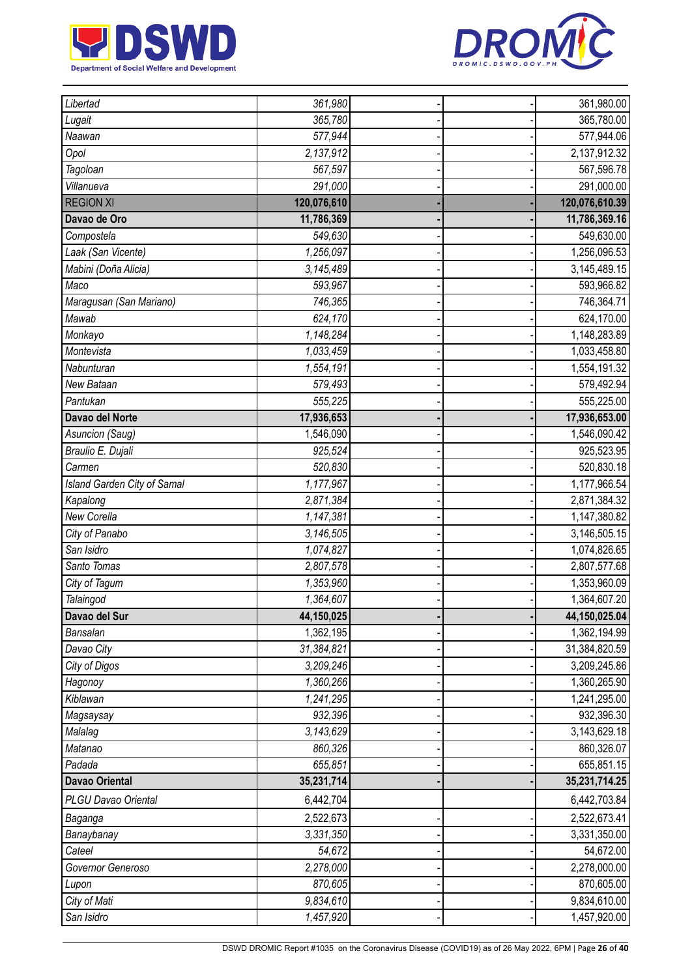



| Libertad                    | 361,980     |  | 361,980.00     |
|-----------------------------|-------------|--|----------------|
| Lugait                      | 365,780     |  | 365,780.00     |
| Naawan                      | 577,944     |  | 577,944.06     |
| Opol                        | 2,137,912   |  | 2,137,912.32   |
| Tagoloan                    | 567,597     |  | 567,596.78     |
| Villanueva                  | 291,000     |  | 291,000.00     |
| <b>REGION XI</b>            | 120,076,610 |  | 120,076,610.39 |
| Davao de Oro                | 11,786,369  |  | 11,786,369.16  |
| Compostela                  | 549,630     |  | 549,630.00     |
| Laak (San Vicente)          | 1,256,097   |  | 1,256,096.53   |
| Mabini (Doña Alicia)        | 3,145,489   |  | 3,145,489.15   |
| Maco                        | 593,967     |  | 593,966.82     |
| Maragusan (San Mariano)     | 746,365     |  | 746,364.71     |
| Mawab                       | 624,170     |  | 624,170.00     |
| Monkayo                     | 1,148,284   |  | 1,148,283.89   |
| Montevista                  | 1,033,459   |  | 1,033,458.80   |
| Nabunturan                  | 1,554,191   |  | 1,554,191.32   |
| New Bataan                  | 579,493     |  | 579,492.94     |
| Pantukan                    | 555,225     |  | 555,225.00     |
| Davao del Norte             | 17,936,653  |  | 17,936,653.00  |
| Asuncion (Saug)             | 1,546,090   |  | 1,546,090.42   |
| Braulio E. Dujali           | 925,524     |  | 925,523.95     |
| Carmen                      | 520,830     |  | 520,830.18     |
| Island Garden City of Samal | 1,177,967   |  | 1,177,966.54   |
| Kapalong                    | 2,871,384   |  | 2,871,384.32   |
| New Corella                 | 1,147,381   |  | 1,147,380.82   |
| City of Panabo              | 3,146,505   |  | 3,146,505.15   |
| San Isidro                  | 1,074,827   |  | 1,074,826.65   |
| Santo Tomas                 | 2,807,578   |  | 2,807,577.68   |
| City of Tagum               | 1,353,960   |  | 1,353,960.09   |
| Talaingod                   | 1,364,607   |  | 1,364,607.20   |
| Davao del Sur               | 44,150,025  |  | 44,150,025.04  |
| Bansalan                    | 1,362,195   |  | 1,362,194.99   |
| Davao City                  | 31,384,821  |  | 31,384,820.59  |
| City of Digos               | 3,209,246   |  | 3,209,245.86   |
| Hagonoy                     | 1,360,266   |  | 1,360,265.90   |
| Kiblawan                    | 1,241,295   |  | 1,241,295.00   |
| Magsaysay                   | 932,396     |  | 932,396.30     |
| Malalag                     | 3,143,629   |  | 3,143,629.18   |
| Matanao                     | 860,326     |  | 860,326.07     |
| Padada                      | 655,851     |  | 655,851.15     |
| <b>Davao Oriental</b>       | 35,231,714  |  | 35,231,714.25  |
| PLGU Davao Oriental         | 6,442,704   |  | 6,442,703.84   |
| Baganga                     | 2,522,673   |  | 2,522,673.41   |
| Banaybanay                  | 3,331,350   |  | 3,331,350.00   |
| Cateel                      | 54,672      |  | 54,672.00      |
| Governor Generoso           | 2,278,000   |  | 2,278,000.00   |
| Lupon                       | 870,605     |  | 870,605.00     |
| City of Mati                | 9,834,610   |  | 9,834,610.00   |
| San Isidro                  | 1,457,920   |  | 1,457,920.00   |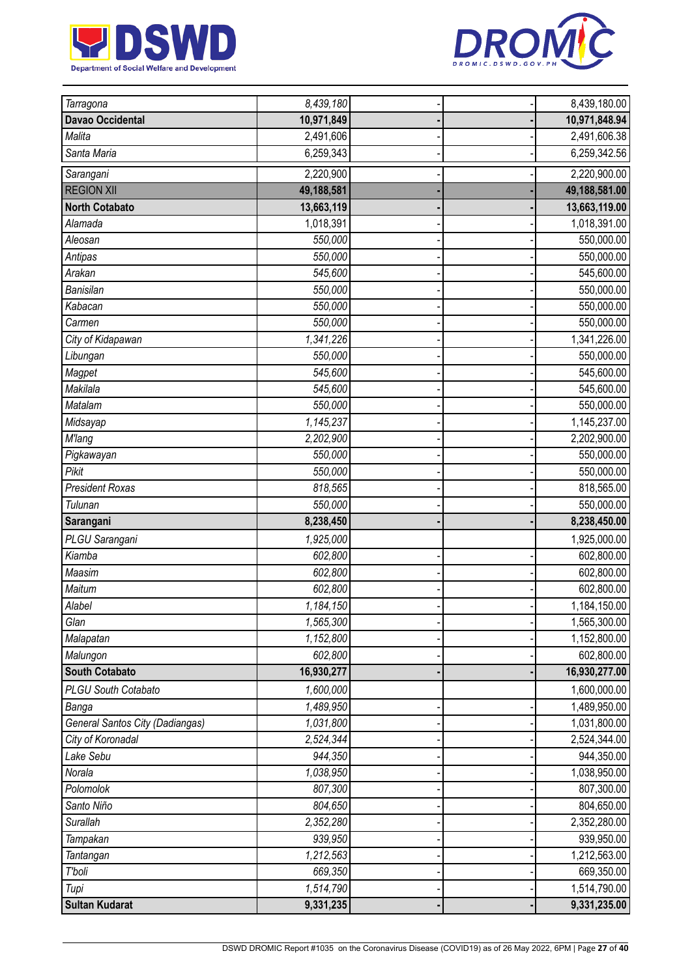



| Tarragona                       | 8,439,180              |  | 8,439,180.00  |
|---------------------------------|------------------------|--|---------------|
| <b>Davao Occidental</b>         | 10,971,849             |  | 10,971,848.94 |
| Malita                          | 2,491,606              |  | 2,491,606.38  |
| Santa Maria                     | 6,259,343              |  | 6,259,342.56  |
| Sarangani                       | 2,220,900              |  | 2,220,900.00  |
| <b>REGION XII</b>               | 49,188,581             |  | 49,188,581.00 |
| <b>North Cotabato</b>           | 13,663,119             |  | 13,663,119.00 |
| Alamada                         | 1,018,391              |  | 1,018,391.00  |
| Aleosan                         | 550,000                |  | 550,000.00    |
| Antipas                         | 550,000                |  | 550,000.00    |
| Arakan                          | 545,600                |  | 545,600.00    |
| Banisilan                       | 550,000                |  | 550,000.00    |
| Kabacan                         | 550,000                |  | 550,000.00    |
| Carmen                          | 550,000                |  | 550,000.00    |
| City of Kidapawan               | $\overline{1,}341,226$ |  | 1,341,226.00  |
| Libungan                        | 550,000                |  | 550,000.00    |
| Magpet                          | 545,600                |  | 545,600.00    |
| Makilala                        | 545,600                |  | 545,600.00    |
| Matalam                         | 550,000                |  | 550,000.00    |
| Midsayap                        | 1,145,237              |  | 1,145,237.00  |
| <b>M'lang</b>                   | 2,202,900              |  | 2,202,900.00  |
| Pigkawayan                      | 550,000                |  | 550,000.00    |
| Pikit                           | 550,000                |  | 550,000.00    |
| <b>President Roxas</b>          | 818,565                |  | 818,565.00    |
| Tulunan                         | 550,000                |  | 550,000.00    |
| Sarangani                       | 8,238,450              |  | 8,238,450.00  |
| PLGU Sarangani                  | 1,925,000              |  | 1,925,000.00  |
| Kiamba                          | 602,800                |  | 602,800.00    |
| Maasim                          | 602,800                |  | 602,800.00    |
| Maitum                          | 602,800                |  | 602,800.00    |
| Alabel                          | 1,184,150              |  | 1,184,150.00  |
| Glan                            | 1,565,300              |  | 1,565,300.00  |
| Malapatan                       | 1,152,800              |  | 1,152,800.00  |
| Malungon                        | 602,800                |  | 602,800.00    |
| <b>South Cotabato</b>           | 16,930,277             |  | 16,930,277.00 |
| <b>PLGU South Cotabato</b>      | 1,600,000              |  | 1,600,000.00  |
| Banga                           | 1,489,950              |  | 1,489,950.00  |
| General Santos City (Dadiangas) | 1,031,800              |  | 1,031,800.00  |
| City of Koronadal               | 2,524,344              |  | 2,524,344.00  |
| Lake Sebu                       | 944,350                |  | 944,350.00    |
| Norala                          | 1,038,950              |  | 1,038,950.00  |
| Polomolok                       | 807,300                |  | 807,300.00    |
| Santo Niño                      | 804,650                |  | 804,650.00    |
| Surallah                        | 2,352,280              |  | 2,352,280.00  |
| Tampakan                        | 939,950                |  | 939,950.00    |
| Tantangan                       | 1,212,563              |  | 1,212,563.00  |
| T'boli                          |                        |  |               |
|                                 | 669,350                |  | 669,350.00    |
| Tupi                            | 1,514,790              |  | 1,514,790.00  |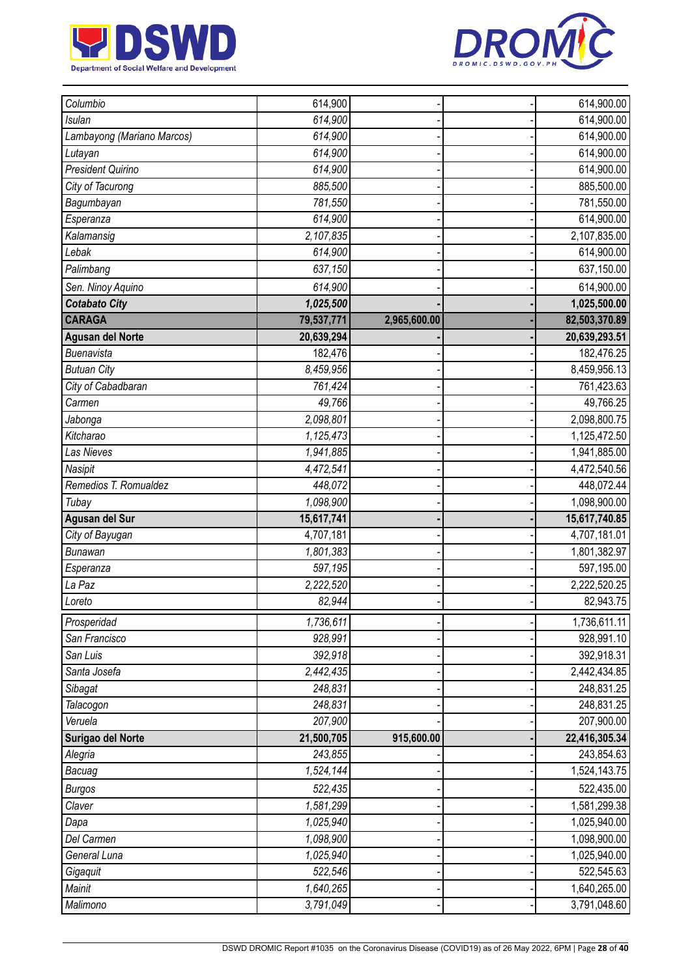



| Columbio                   | 614,900    |              | 614,900.00    |
|----------------------------|------------|--------------|---------------|
| <b>Isulan</b>              | 614,900    |              | 614,900.00    |
| Lambayong (Mariano Marcos) | 614,900    |              | 614,900.00    |
| Lutayan                    | 614,900    |              | 614,900.00    |
| <b>President Quirino</b>   | 614,900    |              | 614,900.00    |
| City of Tacurong           | 885,500    |              | 885,500.00    |
| Bagumbayan                 | 781,550    |              | 781,550.00    |
| Esperanza                  | 614,900    |              | 614,900.00    |
| Kalamansig                 | 2,107,835  |              | 2,107,835.00  |
| Lebak                      | 614,900    |              | 614,900.00    |
| Palimbang                  | 637,150    |              | 637,150.00    |
| Sen. Ninoy Aquino          | 614,900    |              | 614,900.00    |
| <b>Cotabato City</b>       | 1,025,500  |              | 1,025,500.00  |
| <b>CARAGA</b>              | 79,537,771 | 2,965,600.00 | 82,503,370.89 |
| <b>Agusan del Norte</b>    | 20,639,294 |              | 20,639,293.51 |
| Buenavista                 | 182,476    |              | 182,476.25    |
| <b>Butuan City</b>         | 8,459,956  |              | 8,459,956.13  |
| City of Cabadbaran         | 761,424    |              | 761,423.63    |
| Carmen                     | 49,766     |              | 49,766.25     |
| Jabonga                    | 2,098,801  |              | 2,098,800.75  |
| Kitcharao                  | 1,125,473  |              | 1,125,472.50  |
| <b>Las Nieves</b>          | 1,941,885  |              | 1,941,885.00  |
| Nasipit                    | 4,472,541  |              | 4,472,540.56  |
| Remedios T. Romualdez      | 448,072    |              | 448,072.44    |
| Tubay                      | 1,098,900  |              | 1,098,900.00  |
| Agusan del Sur             | 15,617,741 |              | 15,617,740.85 |
| City of Bayugan            | 4,707,181  |              | 4,707,181.01  |
| <b>Bunawan</b>             | 1,801,383  |              | 1,801,382.97  |
| Esperanza                  | 597,195    |              | 597,195.00    |
| La Paz                     | 2,222,520  |              | 2,222,520.25  |
| Loreto                     | 82,944     |              | 82,943.75     |
| Prosperidad                | 1,736,611  |              | 1,736,611.11  |
| San Francisco              | 928,991    |              | 928,991.10    |
| San Luis                   | 392,918    |              | 392,918.31    |
| Santa Josefa               | 2,442,435  |              | 2,442,434.85  |
| Sibagat                    | 248,831    |              | 248,831.25    |
| Talacogon                  | 248,831    |              | 248,831.25    |
| Veruela                    | 207,900    |              | 207,900.00    |
| Surigao del Norte          | 21,500,705 | 915,600.00   | 22,416,305.34 |
| Alegria                    | 243,855    |              | 243,854.63    |
| Bacuag                     | 1,524,144  |              | 1,524,143.75  |
| <b>Burgos</b>              | 522,435    |              | 522,435.00    |
| Claver                     | 1,581,299  |              | 1,581,299.38  |
| Dapa                       | 1,025,940  |              | 1,025,940.00  |
| Del Carmen                 | 1,098,900  |              | 1,098,900.00  |
| General Luna               | 1,025,940  |              | 1,025,940.00  |
| Gigaquit                   | 522,546    |              | 522,545.63    |
| Mainit                     | 1,640,265  |              | 1,640,265.00  |
| Malimono                   | 3,791,049  |              | 3,791,048.60  |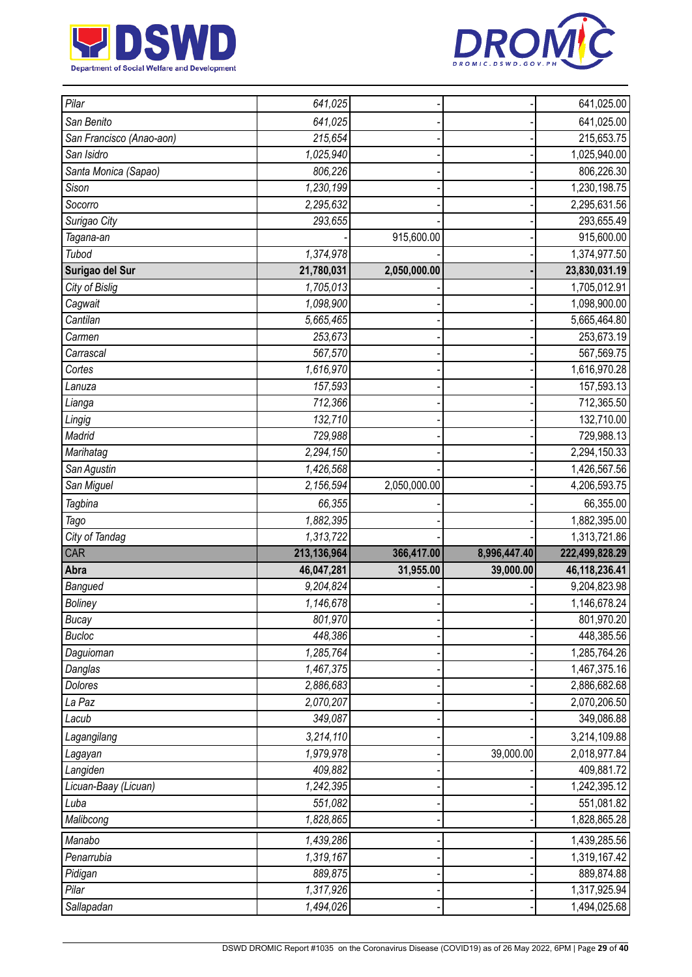



| Pilar                    | 641,025                |              |              | 641,025.00                   |
|--------------------------|------------------------|--------------|--------------|------------------------------|
| San Benito               | 641,025                |              |              | 641,025.00                   |
| San Francisco (Anao-aon) | 215,654                |              |              | 215,653.75                   |
| San Isidro               | 1,025,940              |              |              | 1,025,940.00                 |
| Santa Monica (Sapao)     | 806,226                |              |              | 806,226.30                   |
| Sison                    | 1,230,199              |              |              | 1,230,198.75                 |
| Socorro                  | 2,295,632              |              |              | 2,295,631.56                 |
| Surigao City             | 293,655                |              |              | 293,655.49                   |
| Tagana-an                |                        | 915,600.00   |              | 915,600.00                   |
| Tubod                    | 1,374,978              |              |              | 1,374,977.50                 |
| Surigao del Sur          | 21,780,031             | 2,050,000.00 |              | 23,830,031.19                |
| City of Bislig           | 1,705,013              |              |              | 1,705,012.91                 |
| Cagwait                  | 1,098,900              |              |              | 1,098,900.00                 |
| Cantilan                 | 5,665,465              |              |              | 5,665,464.80                 |
| Carmen                   | 253,673                |              |              | 253,673.19                   |
| Carrascal                | 567,570                |              |              | 567,569.75                   |
| Cortes                   | 1,616,970              |              |              | 1,616,970.28                 |
| Lanuza                   | 157,593                |              |              | 157,593.13                   |
| Lianga                   | 712,366                |              |              | 712,365.50                   |
| Lingig                   | 132,710                |              |              | 132,710.00                   |
| Madrid                   | 729,988                |              |              | 729,988.13                   |
| Marihatag                | 2,294,150              |              |              | 2,294,150.33                 |
| San Agustin              | 1,426,568              |              |              | 1,426,567.56                 |
| San Miguel               | 2,156,594              | 2,050,000.00 |              | 4,206,593.75                 |
| Tagbina                  | 66,355                 |              |              | 66,355.00                    |
|                          |                        |              |              |                              |
| Tago                     | 1,882,395              |              |              | 1,882,395.00                 |
| City of Tandag           | 1,313,722              |              |              | 1,313,721.86                 |
| CAR                      | 213,136,964            | 366,417.00   | 8,996,447.40 | 222,499,828.29               |
| Abra                     | 46,047,281             | 31,955.00    | 39,000.00    | 46,118,236.41                |
| Bangued                  | 9,204,824              |              |              | 9,204,823.98                 |
| <b>Boliney</b>           | 1,146,678              |              |              | 1,146,678.24                 |
| <b>Bucay</b>             | 801,970                |              |              | 801,970.20                   |
| <b>Bucloc</b>            | 448,386                |              |              | 448,385.56                   |
| Daguioman                | 1,285,764              |              |              | 1,285,764.26                 |
| Danglas                  | 1,467,375              |              |              | 1,467,375.16                 |
| Dolores                  | 2,886,683              |              |              | 2,886,682.68                 |
| La Paz                   | 2,070,207              |              |              | 2,070,206.50                 |
| Lacub                    | 349,087                |              |              | 349,086.88                   |
| Lagangilang              | 3,214,110              |              |              | 3,214,109.88                 |
| Lagayan                  | 1,979,978              |              | 39,000.00    | 2,018,977.84                 |
| Langiden                 | 409,882                |              |              | 409,881.72                   |
| Licuan-Baay (Licuan)     | 1,242,395              |              |              | 1,242,395.12                 |
| Luba                     | 551,082                |              |              | 551,081.82                   |
| Malibcong                | 1,828,865              |              |              | 1,828,865.28                 |
|                          |                        |              |              |                              |
| Manabo                   | 1,439,286              |              |              | 1,439,285.56                 |
| Penarrubia               | 1,319,167              |              |              | 1,319,167.42                 |
| Pidigan<br>Pilar         | 889,875                |              |              | 889,874.88                   |
| Sallapadan               | 1,317,926<br>1,494,026 |              |              | 1,317,925.94<br>1,494,025.68 |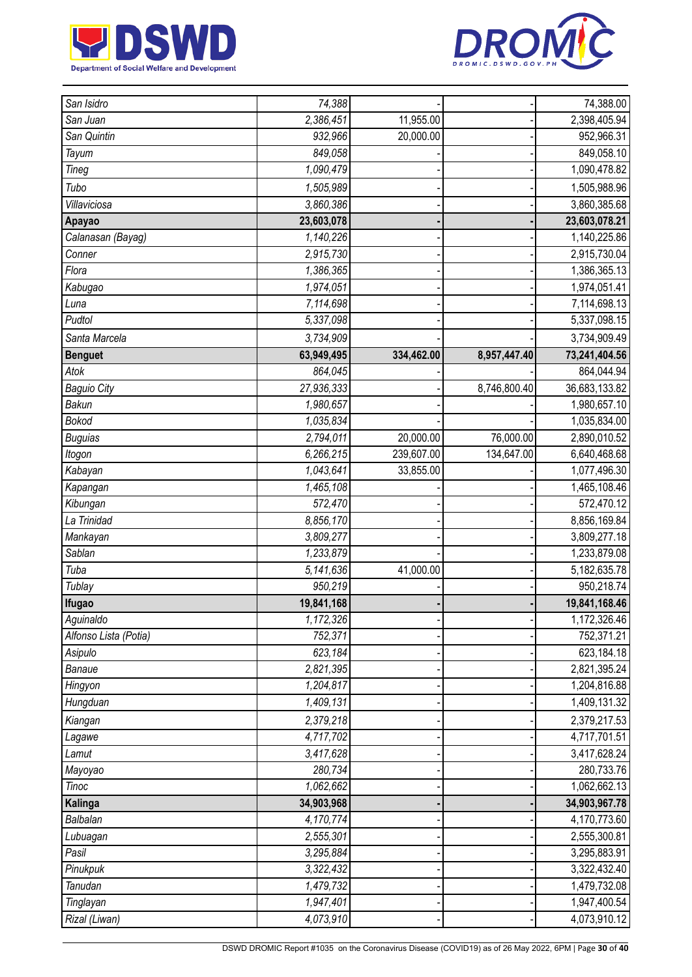



| San Isidro            | 74,388     |            |              | 74,388.00       |
|-----------------------|------------|------------|--------------|-----------------|
| San Juan              | 2,386,451  | 11,955.00  |              | 2,398,405.94    |
| San Quintin           | 932,966    | 20,000.00  |              | 952,966.31      |
| Tayum                 | 849,058    |            |              | 849,058.10      |
| Tineg                 | 1,090,479  |            |              | 1,090,478.82    |
| Tubo                  | 1,505,989  |            |              | 1,505,988.96    |
| Villaviciosa          | 3,860,386  |            |              | 3,860,385.68    |
| Apayao                | 23,603,078 |            |              | 23,603,078.21   |
| Calanasan (Bayag)     | 1,140,226  |            |              | 1,140,225.86    |
| Conner                | 2,915,730  |            |              | 2,915,730.04    |
| Flora                 | 1,386,365  |            |              | 1,386,365.13    |
| Kabugao               | 1,974,051  |            |              | 1,974,051.41    |
| Luna                  | 7,114,698  |            |              | 7,114,698.13    |
| Pudtol                | 5,337,098  |            |              | 5,337,098.15    |
| Santa Marcela         | 3,734,909  |            |              | 3,734,909.49    |
| <b>Benguet</b>        | 63,949,495 | 334,462.00 | 8,957,447.40 | 73,241,404.56   |
| Atok                  | 864,045    |            |              | 864,044.94      |
| <b>Baguio City</b>    | 27,936,333 |            | 8,746,800.40 | 36,683,133.82   |
| Bakun                 | 1,980,657  |            |              | 1,980,657.10    |
| <b>Bokod</b>          | 1,035,834  |            |              | 1,035,834.00    |
| <b>Buguias</b>        | 2,794,011  | 20,000.00  | 76,000.00    | 2,890,010.52    |
| Itogon                | 6,266,215  | 239,607.00 | 134,647.00   | 6,640,468.68    |
| Kabayan               | 1,043,641  | 33,855.00  |              | 1,077,496.30    |
| Kapangan              | 1,465,108  |            |              | 1,465,108.46    |
| Kibungan              | 572,470    |            |              | 572,470.12      |
| La Trinidad           | 8,856,170  |            |              | 8,856,169.84    |
| Mankayan              | 3,809,277  |            |              | 3,809,277.18    |
| Sablan                | 1,233,879  |            |              | 1,233,879.08    |
| Tuba                  | 5,141,636  | 41,000.00  |              | 5, 182, 635. 78 |
| Tublay                | 950,219    |            |              | 950,218.74      |
| Ifugao                | 19,841,168 |            |              | 19,841,168.46   |
| Aguinaldo             | 1,172,326  |            |              | 1,172,326.46    |
| Alfonso Lista (Potia) | 752,371    |            |              | 752,371.21      |
| Asipulo               | 623,184    |            |              | 623,184.18      |
| Banaue                | 2,821,395  |            |              | 2,821,395.24    |
| Hingyon               | 1,204,817  |            |              | 1,204,816.88    |
| Hungduan              | 1,409,131  |            |              | 1,409,131.32    |
| Kiangan               | 2,379,218  |            |              | 2,379,217.53    |
| Lagawe                | 4,717,702  |            |              | 4,717,701.51    |
| Lamut                 | 3,417,628  |            |              | 3,417,628.24    |
| Mayoyao               | 280,734    |            |              | 280,733.76      |
| <b>Tinoc</b>          | 1,062,662  |            |              | 1,062,662.13    |
| Kalinga               | 34,903,968 |            |              | 34,903,967.78   |
| Balbalan              | 4,170,774  |            |              | 4,170,773.60    |
| Lubuagan              | 2,555,301  |            |              | 2,555,300.81    |
| Pasil                 | 3,295,884  |            |              | 3,295,883.91    |
| Pinukpuk              | 3,322,432  |            |              | 3,322,432.40    |
| Tanudan               | 1,479,732  |            |              | 1,479,732.08    |
| Tinglayan             | 1,947,401  |            |              | 1,947,400.54    |
| Rizal (Liwan)         | 4,073,910  |            |              | 4,073,910.12    |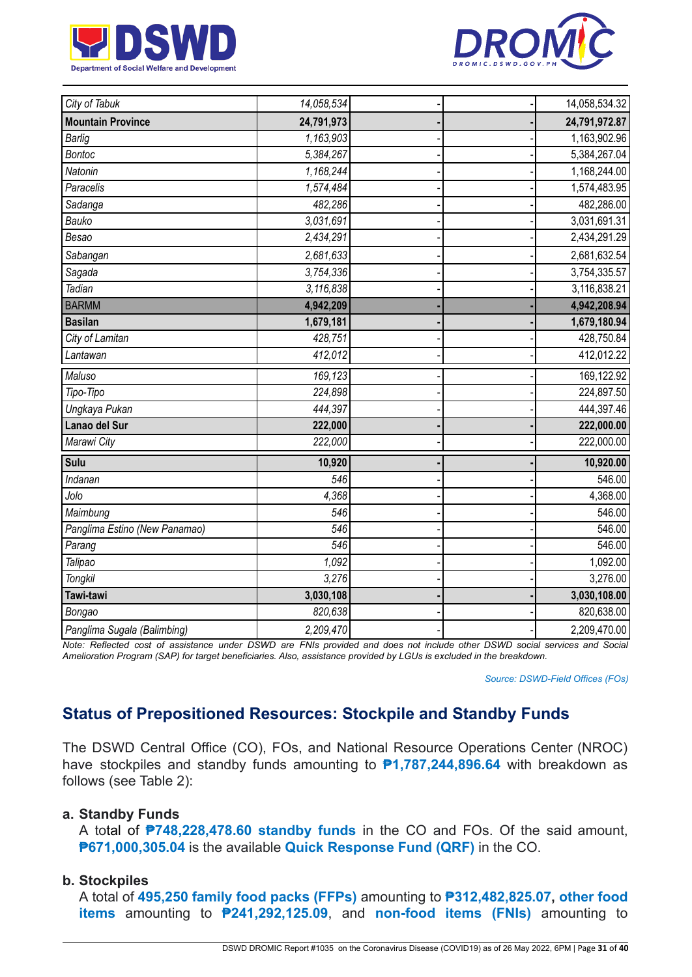



| City of Tabuk                 | 14,058,534 |  | 14,058,534.32 |
|-------------------------------|------------|--|---------------|
| <b>Mountain Province</b>      | 24,791,973 |  | 24,791,972.87 |
| Barlig                        | 1,163,903  |  | 1,163,902.96  |
| <b>Bontoc</b>                 | 5,384,267  |  | 5,384,267.04  |
| Natonin                       | 1,168,244  |  | 1,168,244.00  |
| Paracelis                     | 1,574,484  |  | 1,574,483.95  |
| Sadanga                       | 482,286    |  | 482,286.00    |
| Bauko                         | 3,031,691  |  | 3,031,691.31  |
| Besao                         | 2,434,291  |  | 2,434,291.29  |
| Sabangan                      | 2,681,633  |  | 2,681,632.54  |
| Sagada                        | 3,754,336  |  | 3,754,335.57  |
| Tadian                        | 3,116,838  |  | 3,116,838.21  |
| <b>BARMM</b>                  | 4,942,209  |  | 4,942,208.94  |
| <b>Basilan</b>                | 1,679,181  |  | 1,679,180.94  |
| City of Lamitan               | 428,751    |  | 428,750.84    |
| Lantawan                      | 412,012    |  | 412,012.22    |
| Maluso                        | 169,123    |  | 169,122.92    |
| Tipo-Tipo                     | 224,898    |  | 224,897.50    |
| Ungkaya Pukan                 | 444,397    |  | 444,397.46    |
| Lanao del Sur                 | 222,000    |  | 222,000.00    |
| Marawi City                   | 222,000    |  | 222,000.00    |
| Sulu                          | 10,920     |  | 10,920.00     |
| Indanan                       | 546        |  | 546.00        |
| Jolo                          | 4.368      |  | 4,368.00      |
| Maimbung                      | 546        |  | 546.00        |
| Panglima Estino (New Panamao) | 546        |  | 546.00        |
| Parang                        | 546        |  | 546.00        |
| Talipao                       | 1,092      |  | 1,092.00      |
| <b>Tongkil</b>                | 3,276      |  | 3,276.00      |
| Tawi-tawi                     | 3,030,108  |  | 3,030,108.00  |
| Bongao                        | 820,638    |  | 820,638.00    |
| Panglima Sugala (Balimbing)   | 2,209,470  |  | 2,209,470.00  |

Note: Reflected cost of assistance under DSWD are FNIs provided and does not include other DSWD social services and Social Amelioration Program (SAP) for target beneficiaries. Also, assistance provided by LGUs is excluded in the breakdown.

*Source: DSWD-Field Offices (FOs)*

## **Status of Prepositioned Resources: Stockpile and Standby Funds**

The DSWD Central Office (CO), FOs, and National Resource Operations Center (NROC) have stockpiles and standby funds amounting to **₱1,787,244,896.64** with breakdown as follows (see Table 2):

#### **a. Standby Funds**

A total of **₱748,228,478.60 standby funds** in the CO and FOs. Of the said amount, **₱671,000,305.04** is the available **Quick Response Fund (QRF)** in the CO.

#### **b. Stockpiles**

A total of **495,250 family food packs (FFPs)** amounting to **₱312,482,825.07, other food items** amounting to **₱241,292,125.09**, and **non-food items (FNIs)** amounting to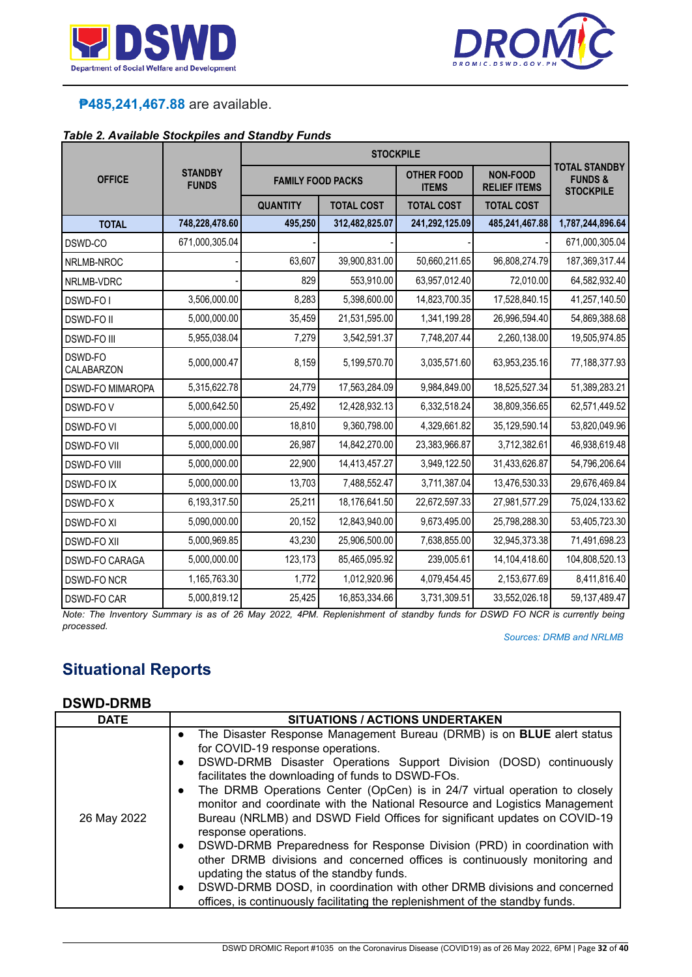



## **₱485,241,467.88** are available.

#### *Table 2. Available Stockpiles and Standby Funds*

|                         | <b>STOCKPILE</b>               |                          |                   |                                   |                                        |                                                               |
|-------------------------|--------------------------------|--------------------------|-------------------|-----------------------------------|----------------------------------------|---------------------------------------------------------------|
| <b>OFFICE</b>           | <b>STANDBY</b><br><b>FUNDS</b> | <b>FAMILY FOOD PACKS</b> |                   | <b>OTHER FOOD</b><br><b>ITEMS</b> | <b>NON-FOOD</b><br><b>RELIEF ITEMS</b> | <b>TOTAL STANDBY</b><br><b>FUNDS&amp;</b><br><b>STOCKPILE</b> |
|                         |                                | <b>QUANTITY</b>          | <b>TOTAL COST</b> | <b>TOTAL COST</b>                 | <b>TOTAL COST</b>                      |                                                               |
| <b>TOTAL</b>            | 748,228,478.60                 | 495,250                  | 312,482,825.07    | 241,292,125.09                    | 485,241,467.88                         | 1,787,244,896.64                                              |
| DSWD-CO                 | 671,000,305.04                 |                          |                   |                                   |                                        | 671,000,305.04                                                |
| NRLMB-NROC              |                                | 63,607                   | 39,900,831.00     | 50,660,211.65                     | 96,808,274.79                          | 187,369,317.44                                                |
| NRLMB-VDRC              |                                | 829                      | 553,910.00        | 63,957,012.40                     | 72,010.00                              | 64,582,932.40                                                 |
| DSWD-FO I               | 3,506,000.00                   | 8,283                    | 5,398,600.00      | 14,823,700.35                     | 17,528,840.15                          | 41,257,140.50                                                 |
| <b>DSWD-FOII</b>        | 5,000,000.00                   | 35,459                   | 21,531,595.00     | 1,341,199.28                      | 26,996,594.40                          | 54,869,388.68                                                 |
| <b>DSWD-FO III</b>      | 5,955,038.04                   | 7,279                    | 3,542,591.37      | 7,748,207.44                      | 2,260,138.00                           | 19,505,974.85                                                 |
| DSWD-FO<br>CALABARZON   | 5,000,000.47                   | 8,159                    | 5,199,570.70      | 3,035,571.60                      | 63,953,235.16                          | 77,188,377.93                                                 |
| <b>DSWD-FO MIMAROPA</b> | 5,315,622.78                   | 24,779                   | 17,563,284.09     | 9,984,849.00                      | 18,525,527.34                          | 51,389,283.21                                                 |
| DSWD-FOV                | 5,000,642.50                   | 25,492                   | 12,428,932.13     | 6,332,518.24                      | 38,809,356.65                          | 62,571,449.52                                                 |
| <b>DSWD-FO VI</b>       | 5,000,000.00                   | 18,810                   | 9,360,798.00      | 4,329,661.82                      | 35,129,590.14                          | 53,820,049.96                                                 |
| <b>DSWD-FO VII</b>      | 5,000,000.00                   | 26,987                   | 14,842,270.00     | 23,383,966.87                     | 3,712,382.61                           | 46,938,619.48                                                 |
| <b>DSWD-FO VIII</b>     | 5,000,000.00                   | 22,900                   | 14,413,457.27     | 3,949,122.50                      | 31,433,626.87                          | 54,796,206.64                                                 |
| <b>DSWD-FOIX</b>        | 5,000,000.00                   | 13,703                   | 7,488,552.47      | 3,711,387.04                      | 13,476,530.33                          | 29,676,469.84                                                 |
| DSWD-FOX                | 6,193,317.50                   | 25,211                   | 18,176,641.50     | 22,672,597.33                     | 27,981,577.29                          | 75,024,133.62                                                 |
| DSWD-FO XI              | 5,090,000.00                   | 20,152                   | 12,843,940.00     | 9,673,495.00                      | 25,798,288.30                          | 53,405,723.30                                                 |
| <b>DSWD-FO XII</b>      | 5,000,969.85                   | 43,230                   | 25,906,500.00     | 7,638,855.00                      | 32,945,373.38                          | 71,491,698.23                                                 |
| DSWD-FO CARAGA          | 5,000,000.00                   | 123,173                  | 85,465,095.92     | 239,005.61                        | 14,104,418.60                          | 104,808,520.13                                                |
| DSWD-FO NCR             | 1,165,763.30                   | 1,772                    | 1,012,920.96      | 4,079,454.45                      | 2,153,677.69                           | 8,411,816.40                                                  |
| DSWD-FO CAR             | 5,000,819.12                   | 25,425                   | 16,853,334.66     | 3,731,309.51                      | 33,552,026.18                          | 59,137,489.47                                                 |

Note: The Inventory Summary is as of 26 May 2022, 4PM. Replenishment of standby funds for DSWD FO NCR is currently being *processed.*

*Sources: DRMB and NRLMB*

# **Situational Reports**

#### **DSWD-DRMB**

| <b>DATE</b> | <b>SITUATIONS / ACTIONS UNDERTAKEN</b>                                                                                                                                                                                                                                                                                                                                                                                                                                                                                                                                                                                                                                                                                                                                                                                                                                                             |
|-------------|----------------------------------------------------------------------------------------------------------------------------------------------------------------------------------------------------------------------------------------------------------------------------------------------------------------------------------------------------------------------------------------------------------------------------------------------------------------------------------------------------------------------------------------------------------------------------------------------------------------------------------------------------------------------------------------------------------------------------------------------------------------------------------------------------------------------------------------------------------------------------------------------------|
| 26 May 2022 | • The Disaster Response Management Bureau (DRMB) is on <b>BLUE</b> alert status<br>for COVID-19 response operations.<br>DSWD-DRMB Disaster Operations Support Division (DOSD) continuously<br>facilitates the downloading of funds to DSWD-FOs.<br>The DRMB Operations Center (OpCen) is in 24/7 virtual operation to closely<br>$\bullet$<br>monitor and coordinate with the National Resource and Logistics Management<br>Bureau (NRLMB) and DSWD Field Offices for significant updates on COVID-19<br>response operations.<br>• DSWD-DRMB Preparedness for Response Division (PRD) in coordination with<br>other DRMB divisions and concerned offices is continuously monitoring and<br>updating the status of the standby funds.<br>• DSWD-DRMB DOSD, in coordination with other DRMB divisions and concerned<br>offices, is continuously facilitating the replenishment of the standby funds. |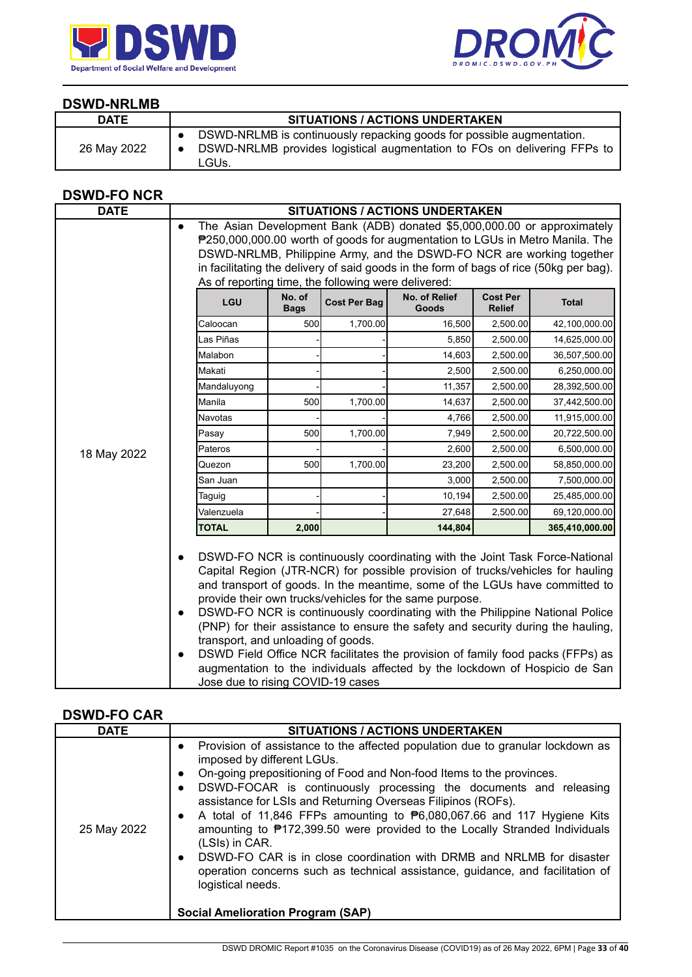



#### **DSWD-NRLMB**

| <b>DATE</b> | <b>SITUATIONS / ACTIONS UNDERTAKEN</b>                                                                                                                     |
|-------------|------------------------------------------------------------------------------------------------------------------------------------------------------------|
| 26 May 2022 | DSWD-NRLMB is continuously repacking goods for possible augmentation.<br>DSWD-NRLMB provides logistical augmentation to FOs on delivering FFPs to<br>LGUs. |

## **DSWD-FO NCR**

| <b>DATE</b> |                                                                                                                |                                                                                                                                                                                                                                   |                     | <b>SITUATIONS / ACTIONS UNDERTAKEN</b>                                                                                                                                                                                                                                                                                                                                                       |                                  |                                                                                                                                                                                                                                              |
|-------------|----------------------------------------------------------------------------------------------------------------|-----------------------------------------------------------------------------------------------------------------------------------------------------------------------------------------------------------------------------------|---------------------|----------------------------------------------------------------------------------------------------------------------------------------------------------------------------------------------------------------------------------------------------------------------------------------------------------------------------------------------------------------------------------------------|----------------------------------|----------------------------------------------------------------------------------------------------------------------------------------------------------------------------------------------------------------------------------------------|
|             | $\bullet$                                                                                                      | The Asian Development Bank (ADB) donated \$5,000,000.00 or approximately<br>P250,000,000.00 worth of goods for augmentation to LGUs in Metro Manila. The<br>DSWD-NRLMB, Philippine Army, and the DSWD-FO NCR are working together |                     |                                                                                                                                                                                                                                                                                                                                                                                              |                                  |                                                                                                                                                                                                                                              |
|             |                                                                                                                |                                                                                                                                                                                                                                   |                     | in facilitating the delivery of said goods in the form of bags of rice (50kg per bag).                                                                                                                                                                                                                                                                                                       |                                  |                                                                                                                                                                                                                                              |
|             | As of reporting time, the following were delivered:                                                            |                                                                                                                                                                                                                                   |                     |                                                                                                                                                                                                                                                                                                                                                                                              |                                  |                                                                                                                                                                                                                                              |
|             | <b>LGU</b>                                                                                                     | No. of<br><b>Bags</b>                                                                                                                                                                                                             | <b>Cost Per Bag</b> | No. of Relief<br>Goods                                                                                                                                                                                                                                                                                                                                                                       | <b>Cost Per</b><br><b>Relief</b> | <b>Total</b>                                                                                                                                                                                                                                 |
|             | Caloocan                                                                                                       | 500                                                                                                                                                                                                                               | 1,700.00            | 16,500                                                                                                                                                                                                                                                                                                                                                                                       | 2,500.00                         | 42,100,000.00                                                                                                                                                                                                                                |
|             | Las Piñas                                                                                                      |                                                                                                                                                                                                                                   |                     | 5,850                                                                                                                                                                                                                                                                                                                                                                                        | 2,500.00                         | 14,625,000.00                                                                                                                                                                                                                                |
|             | Malabon                                                                                                        |                                                                                                                                                                                                                                   |                     | 14,603                                                                                                                                                                                                                                                                                                                                                                                       | 2,500.00                         | 36,507,500.00                                                                                                                                                                                                                                |
|             | Makati                                                                                                         |                                                                                                                                                                                                                                   |                     | 2,500                                                                                                                                                                                                                                                                                                                                                                                        | 2,500.00                         | 6,250,000.00                                                                                                                                                                                                                                 |
|             | Mandaluyong                                                                                                    |                                                                                                                                                                                                                                   |                     | 11,357                                                                                                                                                                                                                                                                                                                                                                                       | 2,500.00                         | 28,392,500.00                                                                                                                                                                                                                                |
|             | Manila                                                                                                         | 500                                                                                                                                                                                                                               | 1,700.00            | 14,637                                                                                                                                                                                                                                                                                                                                                                                       | 2,500.00                         | 37,442,500.00                                                                                                                                                                                                                                |
|             | <b>Navotas</b>                                                                                                 |                                                                                                                                                                                                                                   |                     | 4,766                                                                                                                                                                                                                                                                                                                                                                                        | 2,500.00                         | 11,915,000.00                                                                                                                                                                                                                                |
|             | Pasay                                                                                                          | 500                                                                                                                                                                                                                               | 1,700.00            | 7,949                                                                                                                                                                                                                                                                                                                                                                                        | 2,500.00                         | 20,722,500.00                                                                                                                                                                                                                                |
| 18 May 2022 | Pateros                                                                                                        |                                                                                                                                                                                                                                   |                     | 2,600                                                                                                                                                                                                                                                                                                                                                                                        | 2,500.00                         | 6,500,000.00                                                                                                                                                                                                                                 |
|             | Quezon                                                                                                         | 500                                                                                                                                                                                                                               | 1,700.00            | 23,200                                                                                                                                                                                                                                                                                                                                                                                       | 2,500.00                         | 58,850,000.00                                                                                                                                                                                                                                |
|             | San Juan                                                                                                       |                                                                                                                                                                                                                                   |                     | 3,000                                                                                                                                                                                                                                                                                                                                                                                        | 2,500.00                         | 7,500,000.00                                                                                                                                                                                                                                 |
|             | Taguig                                                                                                         |                                                                                                                                                                                                                                   |                     | 10,194                                                                                                                                                                                                                                                                                                                                                                                       | 2,500.00                         | 25,485,000.00                                                                                                                                                                                                                                |
|             | Valenzuela                                                                                                     |                                                                                                                                                                                                                                   |                     | 27,648                                                                                                                                                                                                                                                                                                                                                                                       | 2,500.00                         | 69,120,000.00                                                                                                                                                                                                                                |
|             | <b>TOTAL</b>                                                                                                   | 2,000                                                                                                                                                                                                                             |                     | 144,804                                                                                                                                                                                                                                                                                                                                                                                      |                                  | 365,410,000.00                                                                                                                                                                                                                               |
|             | $\bullet$<br>$\bullet$<br>transport, and unloading of goods.<br>$\bullet$<br>Jose due to rising COVID-19 cases |                                                                                                                                                                                                                                   |                     | DSWD-FO NCR is continuously coordinating with the Joint Task Force-National<br>Capital Region (JTR-NCR) for possible provision of trucks/vehicles for hauling<br>provide their own trucks/vehicles for the same purpose.<br>DSWD-FO NCR is continuously coordinating with the Philippine National Police<br>(PNP) for their assistance to ensure the safety and security during the hauling, |                                  | and transport of goods. In the meantime, some of the LGUs have committed to<br>DSWD Field Office NCR facilitates the provision of family food packs (FFPs) as<br>augmentation to the individuals affected by the lockdown of Hospicio de San |

### **DSWD-FO CAR**

| <b>DATE</b> | <b>SITUATIONS / ACTIONS UNDERTAKEN</b>                                                                                                                                                                                                                                                                                                                                                                                                                                                                                                                                                                                                                                                                                                                                                                      |
|-------------|-------------------------------------------------------------------------------------------------------------------------------------------------------------------------------------------------------------------------------------------------------------------------------------------------------------------------------------------------------------------------------------------------------------------------------------------------------------------------------------------------------------------------------------------------------------------------------------------------------------------------------------------------------------------------------------------------------------------------------------------------------------------------------------------------------------|
| 25 May 2022 | Provision of assistance to the affected population due to granular lockdown as<br>$\bullet$<br>imposed by different LGUs.<br>On-going prepositioning of Food and Non-food Items to the provinces.<br>$\bullet$<br>DSWD-FOCAR is continuously processing the documents and releasing<br>$\bullet$<br>assistance for LSIs and Returning Overseas Filipinos (ROFs).<br>A total of 11,846 FFPs amounting to $\mathbf{P}6,080,067.66$ and 117 Hygiene Kits<br>$\bullet$<br>amounting to ₱172,399.50 were provided to the Locally Stranded Individuals<br>(LSIs) in CAR.<br>DSWD-FO CAR is in close coordination with DRMB and NRLMB for disaster<br>$\bullet$<br>operation concerns such as technical assistance, guidance, and facilitation of<br>logistical needs.<br><b>Social Amelioration Program (SAP)</b> |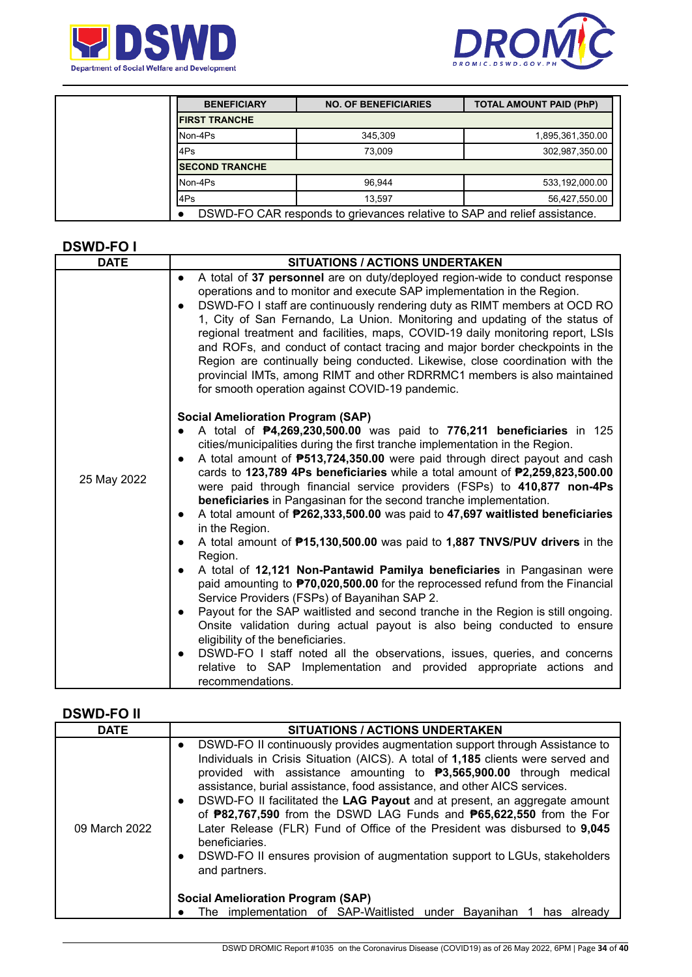



| <b>BENEFICIARY</b>    | <b>NO. OF BENEFICIARIES</b>                                               | <b>TOTAL AMOUNT PAID (PhP)</b> |
|-----------------------|---------------------------------------------------------------------------|--------------------------------|
| <b>FIRST TRANCHE</b>  |                                                                           |                                |
| Non-4Ps               | 345.309                                                                   | 1,895,361,350.00               |
| 4Ps                   | 73.009                                                                    | 302,987,350.00                 |
| <b>SECOND TRANCHE</b> |                                                                           |                                |
| Non-4Ps               | 96.944                                                                    | 533,192,000.00                 |
| 4Ps                   | 13.597                                                                    | 56,427,550.00                  |
|                       | DSWD-FO CAR responds to grievances relative to SAP and relief assistance. |                                |

#### **DSWD-FO I**

| <b>DATE</b> | <b>SITUATIONS / ACTIONS UNDERTAKEN</b>                                                                                                                                                                                                                                                                                                                                                                                                                                                                                                                                                                                                                                                                                                                                                                                                                                                                                                                                                                                                                                                                                                                                                                                                                                                                                                                                                 |
|-------------|----------------------------------------------------------------------------------------------------------------------------------------------------------------------------------------------------------------------------------------------------------------------------------------------------------------------------------------------------------------------------------------------------------------------------------------------------------------------------------------------------------------------------------------------------------------------------------------------------------------------------------------------------------------------------------------------------------------------------------------------------------------------------------------------------------------------------------------------------------------------------------------------------------------------------------------------------------------------------------------------------------------------------------------------------------------------------------------------------------------------------------------------------------------------------------------------------------------------------------------------------------------------------------------------------------------------------------------------------------------------------------------|
|             | A total of 37 personnel are on duty/deployed region-wide to conduct response<br>$\bullet$<br>operations and to monitor and execute SAP implementation in the Region.<br>DSWD-FO I staff are continuously rendering duty as RIMT members at OCD RO<br>$\bullet$<br>1, City of San Fernando, La Union. Monitoring and updating of the status of<br>regional treatment and facilities, maps, COVID-19 daily monitoring report, LSIs<br>and ROFs, and conduct of contact tracing and major border checkpoints in the<br>Region are continually being conducted. Likewise, close coordination with the<br>provincial IMTs, among RIMT and other RDRRMC1 members is also maintained<br>for smooth operation against COVID-19 pandemic.                                                                                                                                                                                                                                                                                                                                                                                                                                                                                                                                                                                                                                                       |
| 25 May 2022 | <b>Social Amelioration Program (SAP)</b><br>A total of <b>P4,269,230,500.00</b> was paid to 776,211 beneficiaries in 125<br>cities/municipalities during the first tranche implementation in the Region.<br>A total amount of <b>P513,724,350.00</b> were paid through direct payout and cash<br>cards to 123,789 4Ps beneficiaries while a total amount of P2,259,823,500.00<br>were paid through financial service providers (FSPs) to 410,877 non-4Ps<br>beneficiaries in Pangasinan for the second tranche implementation.<br>A total amount of P262,333,500.00 was paid to 47,697 waitlisted beneficiaries<br>$\bullet$<br>in the Region.<br>A total amount of <b>P15,130,500.00</b> was paid to 1,887 TNVS/PUV drivers in the<br>$\bullet$<br>Region.<br>A total of 12,121 Non-Pantawid Pamilya beneficiaries in Pangasinan were<br>paid amounting to <b>P70,020,500.00</b> for the reprocessed refund from the Financial<br>Service Providers (FSPs) of Bayanihan SAP 2.<br>Payout for the SAP waitlisted and second tranche in the Region is still ongoing.<br>$\bullet$<br>Onsite validation during actual payout is also being conducted to ensure<br>eligibility of the beneficiaries.<br>DSWD-FO I staff noted all the observations, issues, queries, and concerns<br>$\bullet$<br>relative to SAP Implementation and provided appropriate actions and<br>recommendations. |

#### **DSWD-FO II**

| <b>DATE</b><br><b>SITUATIONS / ACTIONS UNDERTAKEN</b><br>DSWD-FO II continuously provides augmentation support through Assistance to<br>$\bullet$<br>Individuals in Crisis Situation (AICS). A total of 1,185 clients were served and<br>provided with assistance amounting to $\textbf{P}3,565,900.00$ through medical                                                                                                    |                                                                                                                                                 |
|----------------------------------------------------------------------------------------------------------------------------------------------------------------------------------------------------------------------------------------------------------------------------------------------------------------------------------------------------------------------------------------------------------------------------|-------------------------------------------------------------------------------------------------------------------------------------------------|
|                                                                                                                                                                                                                                                                                                                                                                                                                            |                                                                                                                                                 |
| DSWD-FO II facilitated the LAG Payout and at present, an aggregate amount<br>of <b>P82,767,590</b> from the DSWD LAG Funds and <b>P65,622,550</b> from the For<br>Later Release (FLR) Fund of Office of the President was disbursed to 9,045<br>09 March 2022<br>beneficiaries.<br>DSWD-FO II ensures provision of augmentation support to LGUs, stakeholders<br>and partners.<br><b>Social Amelioration Program (SAP)</b> | assistance, burial assistance, food assistance, and other AICS services.<br>The implementation of SAP-Waitlisted under Bayanihan<br>has already |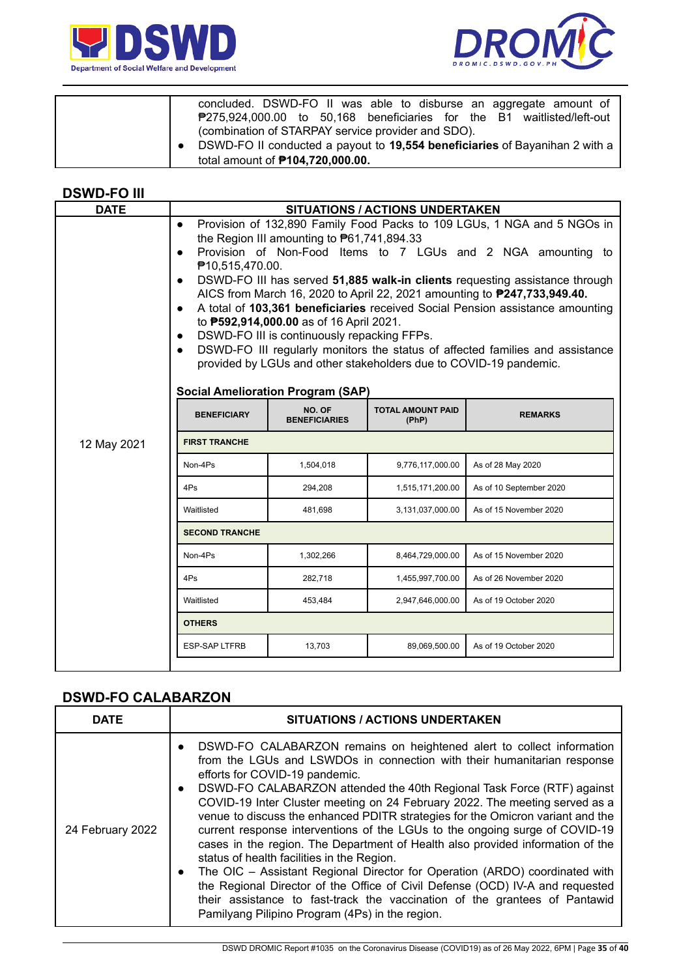



| concluded. DSWD-FO II was able to disburse an aggregate amount of<br>₱275,924,000.00 to 50,168 beneficiaries for the B1 waitlisted/left-out                                  |
|------------------------------------------------------------------------------------------------------------------------------------------------------------------------------|
| (combination of STARPAY service provider and SDO).<br>DSWD-FO II conducted a payout to 19,554 beneficiaries of Bayanihan 2 with a<br>total amount of <b>P104,720,000.00.</b> |

#### **DSWD-FO III**

| <b>SITUATIONS / ACTIONS UNDERTAKEN</b>                                     |                                |                                   |                                                                                                                                                                                                                                                                                                                                                                                                                                                                                                                                                                                                                                                                                                                                                 |  |
|----------------------------------------------------------------------------|--------------------------------|-----------------------------------|-------------------------------------------------------------------------------------------------------------------------------------------------------------------------------------------------------------------------------------------------------------------------------------------------------------------------------------------------------------------------------------------------------------------------------------------------------------------------------------------------------------------------------------------------------------------------------------------------------------------------------------------------------------------------------------------------------------------------------------------------|--|
| $\bullet$<br>$\bullet$<br>$\bullet$<br>$\bullet$<br>$\bullet$<br>$\bullet$ |                                |                                   |                                                                                                                                                                                                                                                                                                                                                                                                                                                                                                                                                                                                                                                                                                                                                 |  |
| <b>BENEFICIARY</b>                                                         | NO. OF<br><b>BENEFICIARIES</b> | <b>TOTAL AMOUNT PAID</b><br>(PhP) | <b>REMARKS</b>                                                                                                                                                                                                                                                                                                                                                                                                                                                                                                                                                                                                                                                                                                                                  |  |
| <b>FIRST TRANCHE</b>                                                       |                                |                                   |                                                                                                                                                                                                                                                                                                                                                                                                                                                                                                                                                                                                                                                                                                                                                 |  |
| Non-4Ps                                                                    | 1,504,018                      | 9,776,117,000.00                  | As of 28 May 2020                                                                                                                                                                                                                                                                                                                                                                                                                                                                                                                                                                                                                                                                                                                               |  |
| 4Ps                                                                        | 294,208                        | 1,515,171,200.00                  | As of 10 September 2020                                                                                                                                                                                                                                                                                                                                                                                                                                                                                                                                                                                                                                                                                                                         |  |
| Waitlisted                                                                 | 481,698                        | 3,131,037,000.00                  | As of 15 November 2020                                                                                                                                                                                                                                                                                                                                                                                                                                                                                                                                                                                                                                                                                                                          |  |
| <b>SECOND TRANCHE</b>                                                      |                                |                                   |                                                                                                                                                                                                                                                                                                                                                                                                                                                                                                                                                                                                                                                                                                                                                 |  |
| Non-4Ps                                                                    | 1,302,266                      | 8,464,729,000.00                  | As of 15 November 2020                                                                                                                                                                                                                                                                                                                                                                                                                                                                                                                                                                                                                                                                                                                          |  |
| 4Ps                                                                        | 282,718                        | 1,455,997,700.00                  | As of 26 November 2020                                                                                                                                                                                                                                                                                                                                                                                                                                                                                                                                                                                                                                                                                                                          |  |
| Waitlisted                                                                 | 453,484                        | 2,947,646,000.00                  | As of 19 October 2020                                                                                                                                                                                                                                                                                                                                                                                                                                                                                                                                                                                                                                                                                                                           |  |
| <b>OTHERS</b>                                                              |                                |                                   |                                                                                                                                                                                                                                                                                                                                                                                                                                                                                                                                                                                                                                                                                                                                                 |  |
| <b>ESP-SAP LTFRB</b>                                                       | 13,703                         | 89,069,500.00                     | As of 19 October 2020                                                                                                                                                                                                                                                                                                                                                                                                                                                                                                                                                                                                                                                                                                                           |  |
|                                                                            |                                | ₱10,515,470.00.                   | Provision of 132,890 Family Food Packs to 109 LGUs, 1 NGA and 5 NGOs in<br>the Region III amounting to $P61,741,894.33$<br>Provision of Non-Food Items to 7 LGUs and 2 NGA amounting to<br>DSWD-FO III has served 51,885 walk-in clients requesting assistance through<br>AICS from March 16, 2020 to April 22, 2021 amounting to <b>P247, 733, 949.40.</b><br>A total of 103,361 beneficiaries received Social Pension assistance amounting<br>to <b>P592,914,000.00</b> as of 16 April 2021.<br>DSWD-FO III is continuously repacking FFPs.<br>DSWD-FO III regularly monitors the status of affected families and assistance<br>provided by LGUs and other stakeholders due to COVID-19 pandemic.<br><b>Social Amelioration Program (SAP)</b> |  |

## **DSWD-FO CALABARZON**

| <b>DATE</b>      | <b>SITUATIONS / ACTIONS UNDERTAKEN</b>                                                                                                                                                                                                                                                                                                                                                                                                                                                                                                                                                                                                                                                                                                                                                                                                                                                                                                                                               |
|------------------|--------------------------------------------------------------------------------------------------------------------------------------------------------------------------------------------------------------------------------------------------------------------------------------------------------------------------------------------------------------------------------------------------------------------------------------------------------------------------------------------------------------------------------------------------------------------------------------------------------------------------------------------------------------------------------------------------------------------------------------------------------------------------------------------------------------------------------------------------------------------------------------------------------------------------------------------------------------------------------------|
| 24 February 2022 | DSWD-FO CALABARZON remains on heightened alert to collect information<br>$\bullet$<br>from the LGUs and LSWDOs in connection with their humanitarian response<br>efforts for COVID-19 pandemic.<br>DSWD-FO CALABARZON attended the 40th Regional Task Force (RTF) against<br>$\bullet$<br>COVID-19 Inter Cluster meeting on 24 February 2022. The meeting served as a<br>venue to discuss the enhanced PDITR strategies for the Omicron variant and the<br>current response interventions of the LGUs to the ongoing surge of COVID-19<br>cases in the region. The Department of Health also provided information of the<br>status of health facilities in the Region.<br>The OIC - Assistant Regional Director for Operation (ARDO) coordinated with<br>$\bullet$<br>the Regional Director of the Office of Civil Defense (OCD) IV-A and requested<br>their assistance to fast-track the vaccination of the grantees of Pantawid<br>Pamilyang Pilipino Program (4Ps) in the region. |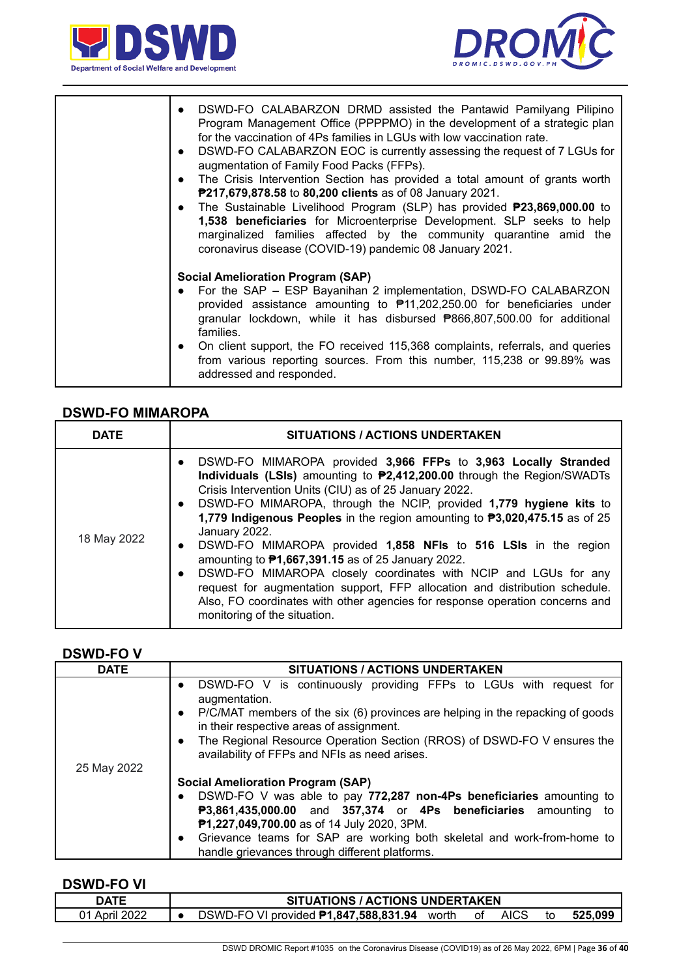



| DSWD-FO CALABARZON DRMD assisted the Pantawid Pamilyang Pilipino<br>$\bullet$<br>Program Management Office (PPPPMO) in the development of a strategic plan<br>for the vaccination of 4Ps families in LGUs with low vaccination rate.<br>DSWD-FO CALABARZON EOC is currently assessing the request of 7 LGUs for<br>$\bullet$<br>augmentation of Family Food Packs (FFPs).<br>The Crisis Intervention Section has provided a total amount of grants worth<br>$\bullet$<br>P217,679,878.58 to 80,200 clients as of 08 January 2021.<br>The Sustainable Livelihood Program (SLP) has provided <b>P23,869,000.00</b> to<br>$\bullet$<br>1,538 beneficiaries for Microenterprise Development. SLP seeks to help<br>marginalized families affected by the community quarantine amid the<br>coronavirus disease (COVID-19) pandemic 08 January 2021. |
|-----------------------------------------------------------------------------------------------------------------------------------------------------------------------------------------------------------------------------------------------------------------------------------------------------------------------------------------------------------------------------------------------------------------------------------------------------------------------------------------------------------------------------------------------------------------------------------------------------------------------------------------------------------------------------------------------------------------------------------------------------------------------------------------------------------------------------------------------|
| <b>Social Amelioration Program (SAP)</b><br>For the SAP - ESP Bayanihan 2 implementation, DSWD-FO CALABARZON<br>provided assistance amounting to $\overline{P}$ 11,202,250.00 for beneficiaries under<br>granular lockdown, while it has disbursed <b>P866,807,500.00</b> for additional<br>families.<br>On client support, the FO received 115,368 complaints, referrals, and queries<br>$\bullet$<br>from various reporting sources. From this number, 115,238 or 99.89% was<br>addressed and responded.                                                                                                                                                                                                                                                                                                                                    |

#### **DSWD-FO MIMAROPA**

| <b>DATE</b> | <b>SITUATIONS / ACTIONS UNDERTAKEN</b>                                                                                                                                                                                                                                                                                                                                                                                                                                                                                                                                                                                                                                                                                                                                                                                         |
|-------------|--------------------------------------------------------------------------------------------------------------------------------------------------------------------------------------------------------------------------------------------------------------------------------------------------------------------------------------------------------------------------------------------------------------------------------------------------------------------------------------------------------------------------------------------------------------------------------------------------------------------------------------------------------------------------------------------------------------------------------------------------------------------------------------------------------------------------------|
| 18 May 2022 | DSWD-FO MIMAROPA provided 3,966 FFPs to 3,963 Locally Stranded<br>$\bullet$<br>Individuals (LSIs) amounting to <b>P2,412,200.00</b> through the Region/SWADTs<br>Crisis Intervention Units (CIU) as of 25 January 2022.<br>DSWD-FO MIMAROPA, through the NCIP, provided 1,779 hygiene kits to<br>$\bullet$<br>1,779 Indigenous Peoples in the region amounting to P3,020,475.15 as of 25<br>January 2022.<br>DSWD-FO MIMAROPA provided 1,858 NFIs to 516 LSIs in the region<br>$\bullet$<br>amounting to $P1,667,391.15$ as of 25 January 2022.<br>DSWD-FO MIMAROPA closely coordinates with NCIP and LGUs for any<br>$\bullet$<br>request for augmentation support, FFP allocation and distribution schedule.<br>Also, FO coordinates with other agencies for response operation concerns and<br>monitoring of the situation. |

#### **DSWD-FO V**

| <b>DATE</b> | <b>SITUATIONS / ACTIONS UNDERTAKEN</b>                                                                                                  |
|-------------|-----------------------------------------------------------------------------------------------------------------------------------------|
|             | DSWD-FO V is continuously providing FFPs to LGUs with request for<br>$\bullet$<br>augmentation.                                         |
|             | P/C/MAT members of the six (6) provinces are helping in the repacking of goods<br>$\bullet$<br>in their respective areas of assignment. |
|             | The Regional Resource Operation Section (RROS) of DSWD-FO V ensures the<br>$\bullet$<br>availability of FFPs and NFIs as need arises.   |
| 25 May 2022 |                                                                                                                                         |
|             | <b>Social Amelioration Program (SAP)</b>                                                                                                |
|             | DSWD-FO V was able to pay 772,287 non-4Ps beneficiaries amounting to                                                                    |
|             | P3,861,435,000.00 and 357,374 or 4Ps beneficiaries amounting<br>to                                                                      |
|             | P1,227,049,700.00 as of 14 July 2020, 3PM.                                                                                              |
|             | Grievance teams for SAP are working both skeletal and work-from-home to<br>$\bullet$                                                    |
|             | handle grievances through different platforms.                                                                                          |

#### **DSWD-FO VI**

| DATE       | <b>SITUATIONS / ACTIONS UNDERTAKEN</b>       |       |    |      |         |
|------------|----------------------------------------------|-------|----|------|---------|
| April 2022 | DSWD-FO VI provided <b>P1.847.588.831.94</b> | worth | οt | AICS | 525.099 |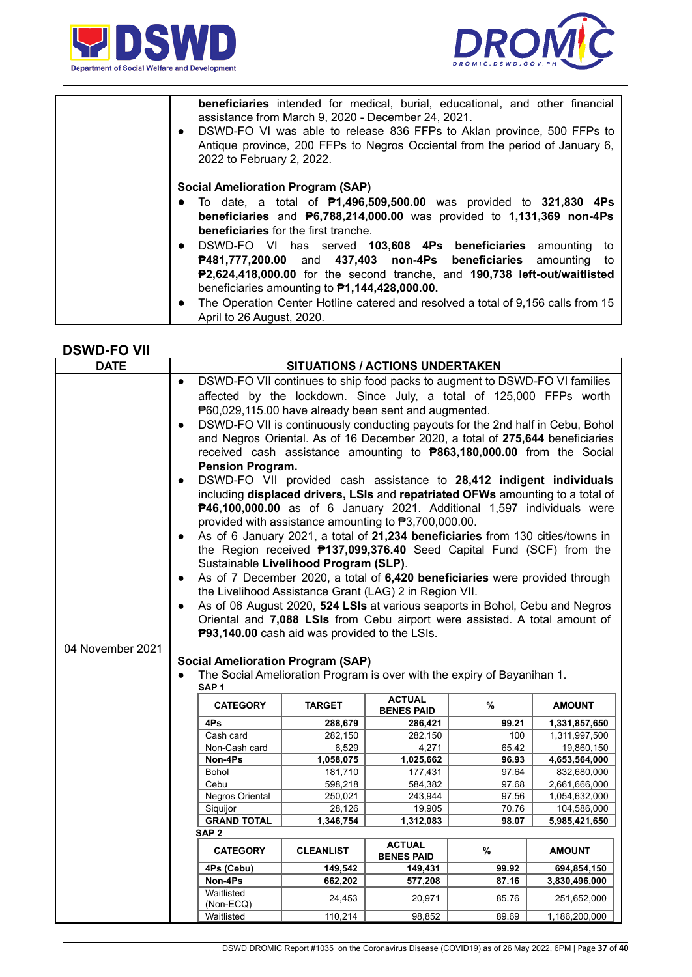



| <b>beneficiaries</b> intended for medical, burial, educational, and other financial<br>assistance from March 9, 2020 - December 24, 2021.<br>DSWD-FO VI was able to release 836 FFPs to Aklan province, 500 FFPs to<br>$\bullet$<br>Antique province, 200 FFPs to Negros Occiental from the period of January 6,<br>2022 to February 2, 2022.                                                      |
|----------------------------------------------------------------------------------------------------------------------------------------------------------------------------------------------------------------------------------------------------------------------------------------------------------------------------------------------------------------------------------------------------|
| <b>Social Amelioration Program (SAP)</b><br>• To date, a total of $P1,496,509,500.00$ was provided to 321,830 4Ps<br><b>beneficiaries</b> and $\overline{P6,788,214,000.00}$ was provided to 1,131,369 non-4Ps<br><b>beneficiaries</b> for the first tranche.                                                                                                                                      |
| • DSWD-FO VI has served 103,608 4Ps beneficiaries amounting to<br>P481,777,200.00 and 437,403 non-4Ps beneficiaries amounting<br>to<br>P2,624,418,000.00 for the second tranche, and 190,738 left-out/waitlisted<br>beneficiaries amounting to $P1,144,428,000.00$ .<br>The Operation Center Hotline catered and resolved a total of 9,156 calls from 15<br>$\bullet$<br>April to 26 August, 2020. |

#### **DSWD-FO VII**

| <b>DATE</b>      |                                                                                                                     |                                                                                | <b>SITUATIONS / ACTIONS UNDERTAKEN</b> |                |                                |  |
|------------------|---------------------------------------------------------------------------------------------------------------------|--------------------------------------------------------------------------------|----------------------------------------|----------------|--------------------------------|--|
|                  | $\bullet$                                                                                                           | DSWD-FO VII continues to ship food packs to augment to DSWD-FO VI families     |                                        |                |                                |  |
|                  |                                                                                                                     | affected by the lockdown. Since July, a total of 125,000 FFPs worth            |                                        |                |                                |  |
|                  |                                                                                                                     | P60,029,115.00 have already been sent and augmented.                           |                                        |                |                                |  |
|                  | $\bullet$                                                                                                           | DSWD-FO VII is continuously conducting payouts for the 2nd half in Cebu, Bohol |                                        |                |                                |  |
|                  |                                                                                                                     | and Negros Oriental. As of 16 December 2020, a total of 275,644 beneficiaries  |                                        |                |                                |  |
|                  |                                                                                                                     | received cash assistance amounting to <b>P863,180,000.00</b> from the Social   |                                        |                |                                |  |
|                  | <b>Pension Program.</b>                                                                                             |                                                                                |                                        |                |                                |  |
|                  | $\bullet$                                                                                                           | DSWD-FO VII provided cash assistance to 28,412 indigent individuals            |                                        |                |                                |  |
|                  |                                                                                                                     | including displaced drivers, LSIs and repatriated OFWs amounting to a total of |                                        |                |                                |  |
|                  |                                                                                                                     | P46,100,000.00 as of 6 January 2021. Additional 1,597 individuals were         |                                        |                |                                |  |
|                  |                                                                                                                     | provided with assistance amounting to P3,700,000.00.                           |                                        |                |                                |  |
|                  | $\bullet$                                                                                                           | As of 6 January 2021, a total of 21,234 beneficiaries from 130 cities/towns in |                                        |                |                                |  |
|                  |                                                                                                                     | the Region received <b>P137,099,376.40</b> Seed Capital Fund (SCF) from the    |                                        |                |                                |  |
|                  |                                                                                                                     | Sustainable Livelihood Program (SLP).                                          |                                        |                |                                |  |
|                  | $\bullet$                                                                                                           | As of 7 December 2020, a total of 6,420 beneficiaries were provided through    |                                        |                |                                |  |
|                  |                                                                                                                     | the Livelihood Assistance Grant (LAG) 2 in Region VII.                         |                                        |                |                                |  |
|                  |                                                                                                                     | As of 06 August 2020, 524 LSIs at various seaports in Bohol, Cebu and Negros   |                                        |                |                                |  |
|                  |                                                                                                                     | Oriental and 7,088 LSIs from Cebu airport were assisted. A total amount of     |                                        |                |                                |  |
|                  |                                                                                                                     | P93,140.00 cash aid was provided to the LSIs.                                  |                                        |                |                                |  |
| 04 November 2021 |                                                                                                                     |                                                                                |                                        |                |                                |  |
|                  |                                                                                                                     |                                                                                |                                        |                |                                |  |
|                  | <b>Social Amelioration Program (SAP)</b><br>The Social Amelioration Program is over with the expiry of Bayanihan 1. |                                                                                |                                        |                |                                |  |
|                  |                                                                                                                     |                                                                                |                                        |                |                                |  |
|                  | SAP <sub>1</sub>                                                                                                    |                                                                                |                                        |                |                                |  |
|                  | <b>CATEGORY</b>                                                                                                     | <b>TARGET</b>                                                                  | <b>ACTUAL</b>                          | %              | <b>AMOUNT</b>                  |  |
|                  | 4Ps                                                                                                                 | 288,679                                                                        | <b>BENES PAID</b><br>286,421           | 99.21          |                                |  |
|                  | Cash card                                                                                                           | 282,150                                                                        | 282,150                                | 100            | 1,331,857,650<br>1,311,997,500 |  |
|                  | Non-Cash card                                                                                                       | 6,529                                                                          | 4,271                                  | 65.42          | 19,860,150                     |  |
|                  | Non-4Ps                                                                                                             | 1,058,075                                                                      | 1,025,662                              | 96.93          | 4,653,564,000                  |  |
|                  | Bohol                                                                                                               | 181,710                                                                        | 177,431                                | 97.64          | 832,680,000                    |  |
|                  | Cebu                                                                                                                | 598,218                                                                        | 584,382                                | 97.68          | 2,661,666,000                  |  |
|                  | Negros Oriental                                                                                                     | 250,021                                                                        | 243,944                                | 97.56          | 1,054,632,000                  |  |
|                  | Siquijor                                                                                                            | 28,126                                                                         | 19,905                                 | 70.76          | 104,586,000                    |  |
|                  | <b>GRAND TOTAL</b><br>SAP <sub>2</sub>                                                                              | 1,346,754                                                                      | 1,312,083                              | 98.07          | 5,985,421,650                  |  |
|                  | <b>CATEGORY</b>                                                                                                     | <b>CLEANLIST</b>                                                               | <b>ACTUAL</b>                          | %              | <b>AMOUNT</b>                  |  |
|                  |                                                                                                                     |                                                                                | <b>BENES PAID</b>                      |                |                                |  |
|                  | 4Ps (Cebu)<br>Non-4Ps                                                                                               | 149,542<br>662,202                                                             | 149,431<br>577,208                     | 99.92<br>87.16 | 694,854,150<br>3,830,496,000   |  |
|                  | Waitlisted<br>(Non-ECQ)                                                                                             | 24,453                                                                         | 20,971                                 | 85.76          | 251,652,000                    |  |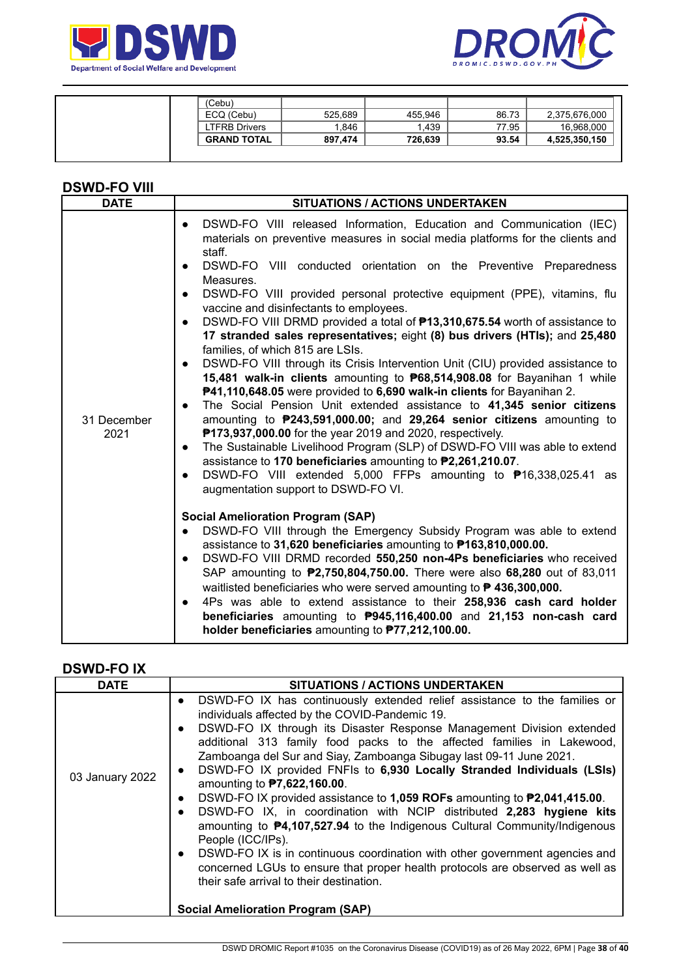



| (Cebu)             |         |         |       |               |
|--------------------|---------|---------|-------|---------------|
| ECQ (Cebu)         | 525,689 | 455.946 | 86.73 | 2,375,676,000 |
| LTFRB Drivers      | 1.846   | .439    | 77.95 | 16,968,000    |
| <b>GRAND TOTAL</b> | 897.474 | 726.639 | 93.54 | 4,525,350,150 |
|                    |         |         |       |               |

### **DSWD-FO VIII**

## **DSWD-FO IX**

| <b>DATE</b>     | SITUATIONS / ACTIONS UNDERTAKEN                                                                                                                                                                                                                                                                                                                                                                                                                                                                                                                                                                                                                                                                                                                                                                                                                                                                                                                                                                                                                                            |
|-----------------|----------------------------------------------------------------------------------------------------------------------------------------------------------------------------------------------------------------------------------------------------------------------------------------------------------------------------------------------------------------------------------------------------------------------------------------------------------------------------------------------------------------------------------------------------------------------------------------------------------------------------------------------------------------------------------------------------------------------------------------------------------------------------------------------------------------------------------------------------------------------------------------------------------------------------------------------------------------------------------------------------------------------------------------------------------------------------|
| 03 January 2022 | DSWD-FO IX has continuously extended relief assistance to the families or<br>$\bullet$<br>individuals affected by the COVID-Pandemic 19.<br>DSWD-FO IX through its Disaster Response Management Division extended<br>$\bullet$<br>additional 313 family food packs to the affected families in Lakewood,<br>Zamboanga del Sur and Siay, Zamboanga Sibugay last 09-11 June 2021.<br>DSWD-FO IX provided FNFIs to 6,930 Locally Stranded Individuals (LSIs)<br>$\bullet$<br>amounting to <b>P7,622,160.00</b> .<br>DSWD-FO IX provided assistance to 1,059 ROFs amounting to P2,041,415.00.<br>$\bullet$<br>DSWD-FO IX, in coordination with NCIP distributed 2,283 hygiene kits<br>$\bullet$<br>amounting to <b>P4,107,527.94</b> to the Indigenous Cultural Community/Indigenous<br>People (ICC/IPs).<br>DSWD-FO IX is in continuous coordination with other government agencies and<br>$\bullet$<br>concerned LGUs to ensure that proper health protocols are observed as well as<br>their safe arrival to their destination.<br><b>Social Amelioration Program (SAP)</b> |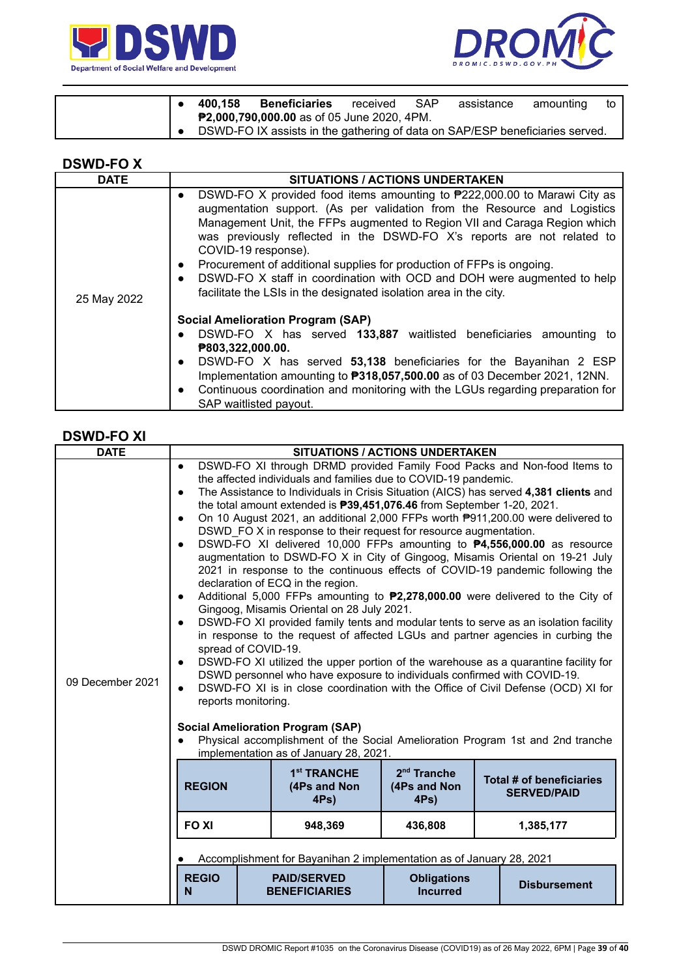



|  | 400.158 | <b>Beneficiaries</b>                                                         | received | <b>SAP</b> | assistance | amounting | to I |
|--|---------|------------------------------------------------------------------------------|----------|------------|------------|-----------|------|
|  |         | <b>P2,000,790,000.00</b> as of 05 June 2020, 4PM.                            |          |            |            |           |      |
|  |         | DSWD-FO IX assists in the gathering of data on SAP/ESP beneficiaries served. |          |            |            |           |      |

| /VD-'<br>┍<br>s.<br>− |  |
|-----------------------|--|
|-----------------------|--|

| <b>DATE</b> | <b>SITUATIONS / ACTIONS UNDERTAKEN</b>                                                                                                                                                                                                                                                                                                                                                                                                                                                                                                                                                               |
|-------------|------------------------------------------------------------------------------------------------------------------------------------------------------------------------------------------------------------------------------------------------------------------------------------------------------------------------------------------------------------------------------------------------------------------------------------------------------------------------------------------------------------------------------------------------------------------------------------------------------|
| 25 May 2022 | DSWD-FO X provided food items amounting to $P222,000.00$ to Marawi City as<br>$\bullet$<br>augmentation support. (As per validation from the Resource and Logistics<br>Management Unit, the FFPs augmented to Region VII and Caraga Region which<br>was previously reflected in the DSWD-FO X's reports are not related to<br>COVID-19 response).<br>Procurement of additional supplies for production of FFPs is ongoing.<br>$\bullet$<br>DSWD-FO X staff in coordination with OCD and DOH were augmented to help<br>$\bullet$<br>facilitate the LSIs in the designated isolation area in the city. |
|             | <b>Social Amelioration Program (SAP)</b><br>DSWD-FO X has served 133,887 waitlisted beneficiaries amounting to<br>$\bullet$<br>₱803,322,000.00.<br>DSWD-FO X has served 53,138 beneficiaries for the Bayanihan 2 ESP<br>$\bullet$<br>Implementation amounting to <b>P318,057,500.00</b> as of 03 December 2021, 12NN.<br>Continuous coordination and monitoring with the LGUs regarding preparation for<br>$\bullet$<br>SAP waitlisted payout.                                                                                                                                                       |

## **DSWD-FO XI**

| <b>DATE</b>      |                                                                                                                                                                                                                                                                                                                                                                                                                                                                                                                                                                                                                                                                                                                                                                                                                                                                                                                                                                                                                                                                                                                                                                                                                                                                                                                                                                                                                                                                                                                                                                                                                                                                                       |                                                    | <b>SITUATIONS / ACTIONS UNDERTAKEN</b>             |                                                |  |
|------------------|---------------------------------------------------------------------------------------------------------------------------------------------------------------------------------------------------------------------------------------------------------------------------------------------------------------------------------------------------------------------------------------------------------------------------------------------------------------------------------------------------------------------------------------------------------------------------------------------------------------------------------------------------------------------------------------------------------------------------------------------------------------------------------------------------------------------------------------------------------------------------------------------------------------------------------------------------------------------------------------------------------------------------------------------------------------------------------------------------------------------------------------------------------------------------------------------------------------------------------------------------------------------------------------------------------------------------------------------------------------------------------------------------------------------------------------------------------------------------------------------------------------------------------------------------------------------------------------------------------------------------------------------------------------------------------------|----------------------------------------------------|----------------------------------------------------|------------------------------------------------|--|
| 09 December 2021 | DSWD-FO XI through DRMD provided Family Food Packs and Non-food Items to<br>$\bullet$<br>the affected individuals and families due to COVID-19 pandemic.<br>The Assistance to Individuals in Crisis Situation (AICS) has served 4,381 clients and<br>$\bullet$<br>the total amount extended is <b>P39,451,076.46</b> from September 1-20, 2021.<br>On 10 August 2021, an additional 2,000 FFPs worth P911,200.00 were delivered to<br>$\bullet$<br>DSWD FO X in response to their request for resource augmentation.<br>DSWD-FO XI delivered 10,000 FFPs amounting to <b>₱4,556,000.00</b> as resource<br>$\bullet$<br>augmentation to DSWD-FO X in City of Gingoog, Misamis Oriental on 19-21 July<br>2021 in response to the continuous effects of COVID-19 pandemic following the<br>declaration of ECQ in the region.<br>Additional 5,000 FFPs amounting to $P2,278,000.00$ were delivered to the City of<br>$\bullet$<br>Gingoog, Misamis Oriental on 28 July 2021.<br>DSWD-FO XI provided family tents and modular tents to serve as an isolation facility<br>$\bullet$<br>in response to the request of affected LGUs and partner agencies in curbing the<br>spread of COVID-19.<br>DSWD-FO XI utilized the upper portion of the warehouse as a quarantine facility for<br>$\bullet$<br>DSWD personnel who have exposure to individuals confirmed with COVID-19.<br>DSWD-FO XI is in close coordination with the Office of Civil Defense (OCD) XI for<br>$\bullet$<br>reports monitoring.<br><b>Social Amelioration Program (SAP)</b><br>Physical accomplishment of the Social Amelioration Program 1st and 2nd tranche<br>$\bullet$<br>implementation as of January 28, 2021. |                                                    |                                                    |                                                |  |
|                  | <b>REGION</b>                                                                                                                                                                                                                                                                                                                                                                                                                                                                                                                                                                                                                                                                                                                                                                                                                                                                                                                                                                                                                                                                                                                                                                                                                                                                                                                                                                                                                                                                                                                                                                                                                                                                         | 1 <sup>st</sup> TRANCHE<br>(4Ps and Non<br>$4Ps$ ) | 2 <sup>nd</sup> Tranche<br>(4Ps and Non<br>$4Ps$ ) | Total # of beneficiaries<br><b>SERVED/PAID</b> |  |
|                  | <b>FOXI</b>                                                                                                                                                                                                                                                                                                                                                                                                                                                                                                                                                                                                                                                                                                                                                                                                                                                                                                                                                                                                                                                                                                                                                                                                                                                                                                                                                                                                                                                                                                                                                                                                                                                                           | 948,369                                            | 436,808                                            | 1,385,177                                      |  |
|                  | Accomplishment for Bayanihan 2 implementation as of January 28, 2021                                                                                                                                                                                                                                                                                                                                                                                                                                                                                                                                                                                                                                                                                                                                                                                                                                                                                                                                                                                                                                                                                                                                                                                                                                                                                                                                                                                                                                                                                                                                                                                                                  |                                                    |                                                    |                                                |  |
|                  | <b>REGIO</b><br>N                                                                                                                                                                                                                                                                                                                                                                                                                                                                                                                                                                                                                                                                                                                                                                                                                                                                                                                                                                                                                                                                                                                                                                                                                                                                                                                                                                                                                                                                                                                                                                                                                                                                     | <b>PAID/SERVED</b><br><b>BENEFICIARIES</b>         | <b>Obligations</b><br><b>Incurred</b>              | <b>Disbursement</b>                            |  |